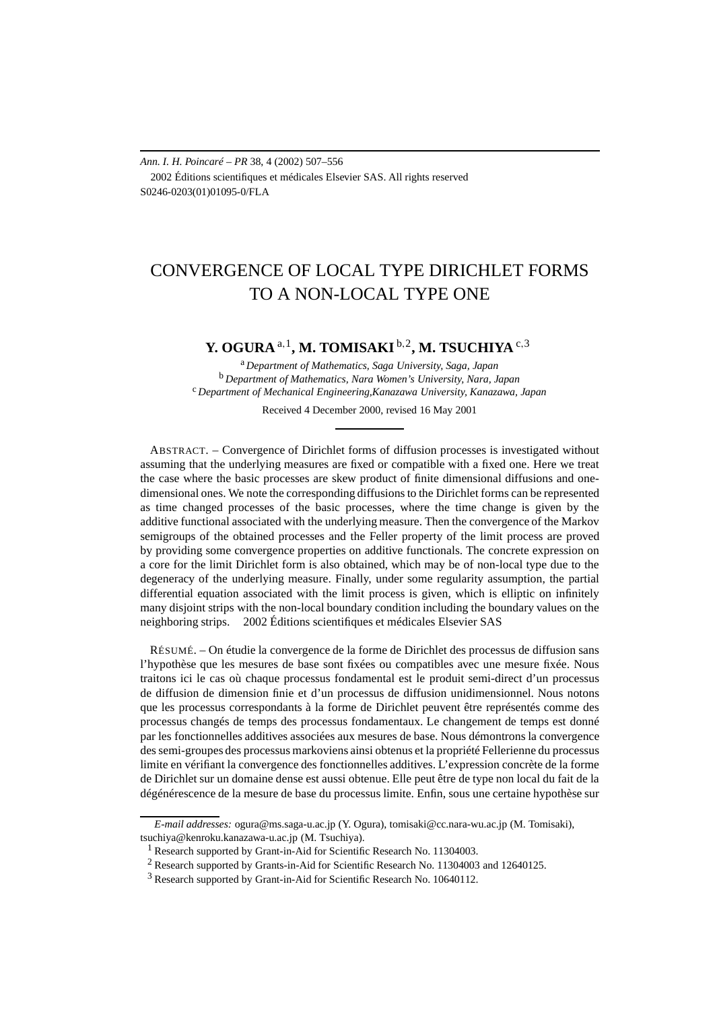*Ann. I. H. Poincaré – PR* 38, 4 (2002) 507–556 2002 Éditions scientifiques et médicales Elsevier SAS. All rights reserved S0246-0203(01)01095-0/FLA

# CONVERGENCE OF LOCAL TYPE DIRICHLET FORMS TO A NON-LOCAL TYPE ONE

# **Y. OGURA** <sup>a</sup>*,*1**, M. TOMISAKI** <sup>b</sup>*,*2**, M. TSUCHIYA** <sup>c</sup>*,*<sup>3</sup>

<sup>a</sup> *Department of Mathematics, Saga University, Saga, Japan* <sup>b</sup> *Department of Mathematics, Nara Women's University, Nara, Japan* <sup>c</sup> *Department of Mechanical Engineering,Kanazawa University, Kanazawa, Japan*

Received 4 December 2000, revised 16 May 2001

ABSTRACT. – Convergence of Dirichlet forms of diffusion processes is investigated without assuming that the underlying measures are fixed or compatible with a fixed one. Here we treat the case where the basic processes are skew product of finite dimensional diffusions and onedimensional ones. We note the corresponding diffusions to the Dirichlet forms can be represented as time changed processes of the basic processes, where the time change is given by the additive functional associated with the underlying measure. Then the convergence of the Markov semigroups of the obtained processes and the Feller property of the limit process are proved by providing some convergence properties on additive functionals. The concrete expression on a core for the limit Dirichlet form is also obtained, which may be of non-local type due to the degeneracy of the underlying measure. Finally, under some regularity assumption, the partial differential equation associated with the limit process is given, which is elliptic on infinitely many disjoint strips with the non-local boundary condition including the boundary values on the neighboring strips. 2002 Éditions scientifiques et médicales Elsevier SAS

RÉSUMÉ. – On étudie la convergence de la forme de Dirichlet des processus de diffusion sans l'hypothèse que les mesures de base sont fixées ou compatibles avec une mesure fixée. Nous traitons ici le cas où chaque processus fondamental est le produit semi-direct d'un processus de diffusion de dimension finie et d'un processus de diffusion unidimensionnel. Nous notons que les processus correspondants à la forme de Dirichlet peuvent être représentés comme des processus changés de temps des processus fondamentaux. Le changement de temps est donné par les fonctionnelles additives associées aux mesures de base. Nous démontrons la convergence des semi-groupes des processus markoviens ainsi obtenus et la propriété Fellerienne du processus limite en vérifiant la convergence des fonctionnelles additives. L'expression concrète de la forme de Dirichlet sur un domaine dense est aussi obtenue. Elle peut être de type non local du fait de la dégénérescence de la mesure de base du processus limite. Enfin, sous une certaine hypothèse sur

*E-mail addresses:* ogura@ms.saga-u.ac.jp (Y. Ogura), tomisaki@cc.nara-wu.ac.jp (M. Tomisaki), tsuchiya@kenroku.kanazawa-u.ac.jp (M. Tsuchiya).

<sup>&</sup>lt;sup>1</sup> Research supported by Grant-in-Aid for Scientific Research No. 11304003.

<sup>2</sup> Research supported by Grants-in-Aid for Scientific Research No. 11304003 and 12640125.

<sup>3</sup> Research supported by Grant-in-Aid for Scientific Research No. 10640112.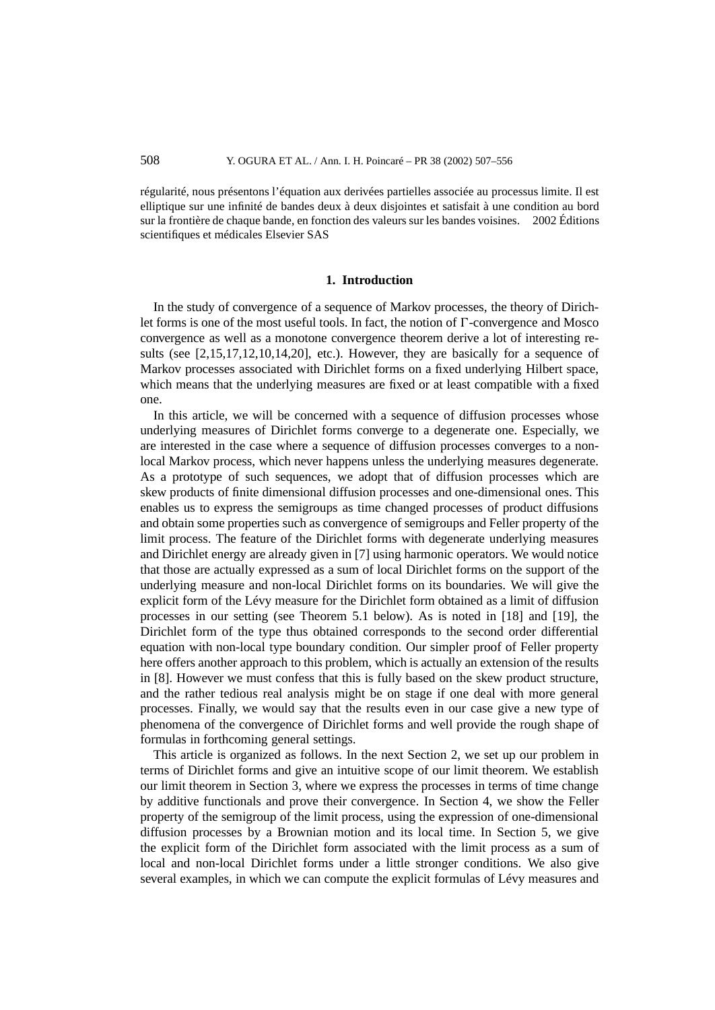régularité, nous présentons l'équation aux derivées partielles associée au processus limite. Il est elliptique sur une infinité de bandes deux à deux disjointes et satisfait à une condition au bord sur la frontière de chaque bande, en fonction des valeurs sur les bandes voisines.  $\circ$  2002 Éditions scientifiques et médicales Elsevier SAS

#### **1. Introduction**

In the study of convergence of a sequence of Markov processes, the theory of Dirichlet forms is one of the most useful tools. In fact, the notion of  $\Gamma$ -convergence and Mosco convergence as well as a monotone convergence theorem derive a lot of interesting results (see [2,15,17,12,10,14,20], etc.). However, they are basically for a sequence of Markov processes associated with Dirichlet forms on a fixed underlying Hilbert space, which means that the underlying measures are fixed or at least compatible with a fixed one.

In this article, we will be concerned with a sequence of diffusion processes whose underlying measures of Dirichlet forms converge to a degenerate one. Especially, we are interested in the case where a sequence of diffusion processes converges to a nonlocal Markov process, which never happens unless the underlying measures degenerate. As a prototype of such sequences, we adopt that of diffusion processes which are skew products of finite dimensional diffusion processes and one-dimensional ones. This enables us to express the semigroups as time changed processes of product diffusions and obtain some properties such as convergence of semigroups and Feller property of the limit process. The feature of the Dirichlet forms with degenerate underlying measures and Dirichlet energy are already given in [7] using harmonic operators. We would notice that those are actually expressed as a sum of local Dirichlet forms on the support of the underlying measure and non-local Dirichlet forms on its boundaries. We will give the explicit form of the Lévy measure for the Dirichlet form obtained as a limit of diffusion processes in our setting (see Theorem 5.1 below). As is noted in [18] and [19], the Dirichlet form of the type thus obtained corresponds to the second order differential equation with non-local type boundary condition. Our simpler proof of Feller property here offers another approach to this problem, which is actually an extension of the results in [8]. However we must confess that this is fully based on the skew product structure, and the rather tedious real analysis might be on stage if one deal with more general processes. Finally, we would say that the results even in our case give a new type of phenomena of the convergence of Dirichlet forms and well provide the rough shape of formulas in forthcoming general settings.

This article is organized as follows. In the next Section 2, we set up our problem in terms of Dirichlet forms and give an intuitive scope of our limit theorem. We establish our limit theorem in Section 3, where we express the processes in terms of time change by additive functionals and prove their convergence. In Section 4, we show the Feller property of the semigroup of the limit process, using the expression of one-dimensional diffusion processes by a Brownian motion and its local time. In Section 5, we give the explicit form of the Dirichlet form associated with the limit process as a sum of local and non-local Dirichlet forms under a little stronger conditions. We also give several examples, in which we can compute the explicit formulas of Lévy measures and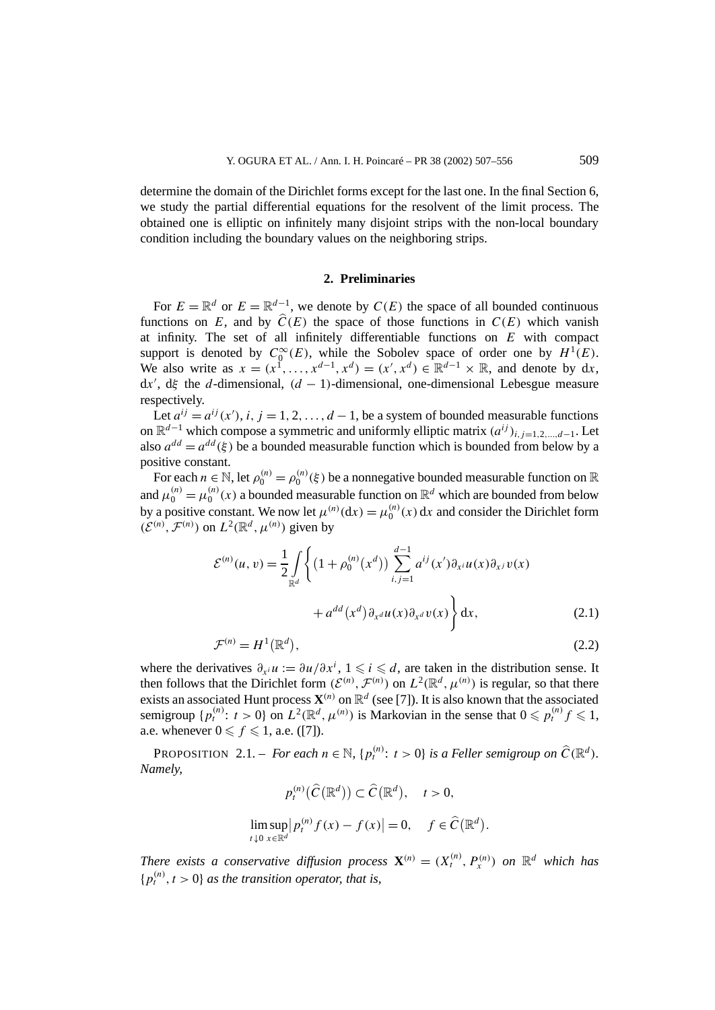determine the domain of the Dirichlet forms except for the last one. In the final Section 6, we study the partial differential equations for the resolvent of the limit process. The obtained one is elliptic on infinitely many disjoint strips with the non-local boundary condition including the boundary values on the neighboring strips.

### **2. Preliminaries**

For  $E = \mathbb{R}^d$  or  $E = \mathbb{R}^{d-1}$ , we denote by  $C(E)$  the space of all bounded continuous functions on *E*, and by  $\hat{C}(E)$  the space of those functions in  $C(E)$  which vanish at infinity. The set of all infinitely differentiable functions on *E* with compact support is denoted by  $C_0^{\infty}(E)$ , while the Sobolev space of order one by  $H^1(E)$ . We also write as  $x = (x^1, \ldots, x^{d-1}, x^d) = (x', x^d) \in \mathbb{R}^{d-1} \times \mathbb{R}$ , and denote by dx, d*x* , d*ξ* the *d*-dimensional, *(d* − 1*)*-dimensional, one-dimensional Lebesgue measure respectively.

Let  $a^{ij} = a^{ij}(x')$ , *i*,  $j = 1, 2, ..., d - 1$ , be a system of bounded measurable functions on  $\mathbb{R}^{d-1}$  which compose a symmetric and uniformly elliptic matrix  $(a^{ij})_{i,j=1,2,...,d-1}$ . Let also  $a^{dd} = a^{dd}(\xi)$  be a bounded measurable function which is bounded from below by a positive constant.

For each  $n \in \mathbb{N}$ , let  $\rho_0^{(n)} = \rho_0^{(n)}(\xi)$  be a nonnegative bounded measurable function on  $\mathbb R$ and  $\mu_0^{(n)} = \mu_0^{(n)}(x)$  a bounded measurable function on  $\mathbb{R}^d$  which are bounded from below by a positive constant. We now let  $\mu^{(n)}(dx) = \mu_0^{(n)}(x) dx$  and consider the Dirichlet form  $(\mathcal{E}^{(n)}\mathcal{F}^{(n)})$  on  $L^2(\mathbb{R}^d, \mu^{(n)})$  given by

$$
\mathcal{E}^{(n)}(u,v) = \frac{1}{2} \int\limits_{\mathbb{R}^d} \left\{ \left( 1 + \rho_0^{(n)}(x^d) \right) \sum_{i,j=1}^{d-1} a^{ij}(x') \partial_{x^i} u(x) \partial_{x^j} v(x) + a^{dd}(x^d) \partial_{x^d} u(x) \partial_{x^d} v(x) \right\} dx,
$$
\n(2.1)

$$
\mathcal{F}^{(n)} = H^1(\mathbb{R}^d),\tag{2.2}
$$

where the derivatives  $\partial_{x_i} u := \partial u / \partial x^i$ ,  $1 \leq i \leq d$ , are taken in the distribution sense. It then follows that the Dirichlet form  $(\mathcal{E}^{(n)}, \mathcal{F}^{(n)})$  on  $L^2(\mathbb{R}^d, \mu^{(n)})$  is regular, so that there exists an associated Hunt process  $\mathbf{X}^{(n)}$  on  $\mathbb{R}^d$  (see [7]). It is also known that the associated semigroup  $\{p_t^{(n)}: t > 0\}$  on  $L^2(\mathbb{R}^d, \mu^{(n)})$  is Markovian in the sense that  $0 \leq p_t^{(n)} f \leq 1$ , a.e. whenever  $0 \leq f \leq 1$ , a.e. ([7]).

PROPOSITION 2.1. – *For each*  $n \in \mathbb{N}$ ,  $\{p_t^{(n)}: t > 0\}$  *is a Feller semigroup on*  $\widehat{C}(\mathbb{R}^d)$ *. Namely,*

$$
p_t^{(n)}(\widehat{C}(\mathbb{R}^d)) \subset \widehat{C}(\mathbb{R}^d), \quad t > 0,
$$
  

$$
\limsup_{t \downarrow 0} |p_t^{(n)} f(x) - f(x)| = 0, \quad f \in \widehat{C}(\mathbb{R}^d).
$$

*There exists a conservative diffusion process*  $\mathbf{X}^{(n)} = (X_t^{(n)}, P_x^{(n)})$  *on*  $\mathbb{R}^d$  *which has*  ${p_t^{(n)}, t > 0}$  *as the transition operator, that is,*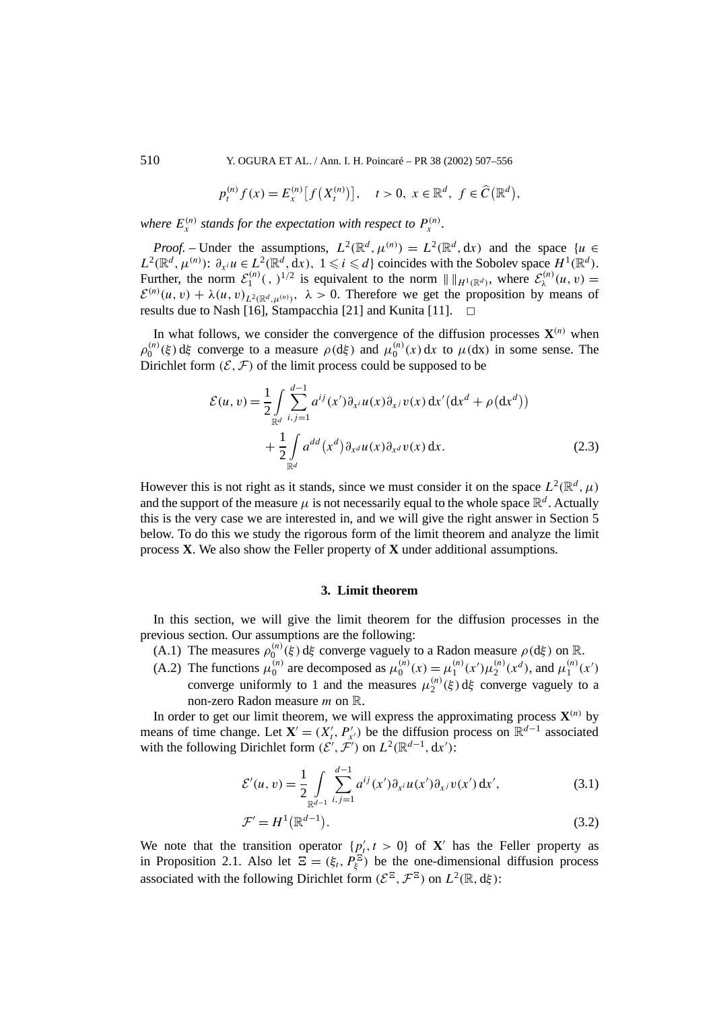510 Y. OGURA ET AL. / Ann. I. H. Poincaré – PR 38 (2002) 507–556

$$
p_t^{(n)} f(x) = E_x^{(n)} [f(X_t^{(n)})], \quad t > 0, \ x \in \mathbb{R}^d, \ f \in \widehat{C}(\mathbb{R}^d),
$$

*where*  $E_x^{(n)}$  *stands for the expectation with respect to*  $P_x^{(n)}$ *.* 

*Proof.* – Under the assumptions,  $L^2(\mathbb{R}^d, \mu^{(n)}) = L^2(\mathbb{R}^d, dx)$  and the space  $\{u \in \mathbb{R}^d\}$ *L*<sup>2</sup>( $\mathbb{R}^d$ ,  $\mu^{(n)}$ ):  $\partial_{x_i} u \in L^2(\mathbb{R}^d, dx)$ ,  $1 \leq i \leq d$ } coincides with the Sobolev space  $H^1(\mathbb{R}^d)$ . Further, the norm  $\mathcal{E}_1^{(n)}(x, y)^{1/2}$  is equivalent to the norm  $|| \, ||_{H^1(\mathbb{R}^d)}$ , where  $\mathcal{E}_\lambda^{(n)}(u, v) =$  $\mathcal{E}^{(n)}(u, v) + \lambda(u, v)_{L^2(\mathbb{R}^d, \mu^{(n)})}, \ \lambda > 0.$  Therefore we get the proposition by means of results due to Nash [16], Stampacchia [21] and Kunita [11].  $\Box$ 

In what follows, we consider the convergence of the diffusion processes  $\mathbf{X}^{(n)}$  when *ρ*<sup>(*n*)</sup>(*ξ*) d*ξ* converge to a measure *ρ*(d*ξ*) and  $μ_0^{(n)}(x) dx$  to  $μ$ (dx) in some sense. The Dirichlet form  $(\mathcal{E}, \mathcal{F})$  of the limit process could be supposed to be

$$
\mathcal{E}(u,v) = \frac{1}{2} \int_{\mathbb{R}^d} \sum_{i,j=1}^{d-1} a^{ij}(x') \partial_{x^i} u(x) \partial_{x^j} v(x) dx' (dx^d + \rho(dx^d))
$$
  
+ 
$$
\frac{1}{2} \int_{\mathbb{R}^d} a^{dd}(x^d) \partial_{x^d} u(x) \partial_{x^d} v(x) dx.
$$
 (2.3)

However this is not right as it stands, since we must consider it on the space  $L^2(\mathbb{R}^d, \mu)$ and the support of the measure  $\mu$  is not necessarily equal to the whole space  $\mathbb{R}^d$ . Actually this is the very case we are interested in, and we will give the right answer in Section 5 below. To do this we study the rigorous form of the limit theorem and analyze the limit process **X**. We also show the Feller property of **X** under additional assumptions.

#### **3. Limit theorem**

In this section, we will give the limit theorem for the diffusion processes in the previous section. Our assumptions are the following:

- (A.1) The measures  $\rho_0^{(n)}(\xi)$  d $\xi$  converge vaguely to a Radon measure  $\rho(d\xi)$  on R.
- (A.2) The functions  $\mu_0^{(n)}$  are decomposed as  $\mu_0^{(n)}(x) = \mu_1^{(n)}(x')\mu_2^{(n)}(x^d)$ , and  $\mu_1^{(n)}(x')$ converge uniformly to 1 and the measures  $\mu_2^{(n)}(\xi)$  d $\xi$  converge vaguely to a non-zero Radon measure *m* on R.

In order to get our limit theorem, we will express the approximating process  $\mathbf{X}^{(n)}$  by means of time change. Let  $\mathbf{X}' = (X'_t, P'_{x'})$  be the diffusion process on  $\mathbb{R}^{d-1}$  associated with the following Dirichlet form  $(\mathcal{E}', \mathcal{F}')$  on  $L^2(\mathbb{R}^{d-1}, dx')$ :

$$
\mathcal{E}'(u,v) = \frac{1}{2} \int\limits_{\mathbb{R}^{d-1}} \sum_{i,j=1}^{d-1} a^{ij}(x') \partial_{x^i} u(x') \partial_{x^j} v(x') dx', \tag{3.1}
$$

$$
\mathcal{F}' = H^1(\mathbb{R}^{d-1}).\tag{3.2}
$$

We note that the transition operator  $\{p'_t, t > 0\}$  of **X**' has the Feller property as in Proposition 2.1. Also let  $\Xi = (\xi_t, P_{\xi}^{\Xi})$  be the one-dimensional diffusion process associated with the following Dirichlet form  $({\mathcal{E}}^{\mathbb{E}}, {\mathcal{F}}^{\mathbb{E}})$  on  $L^2(\mathbb{R}, d\xi)$ :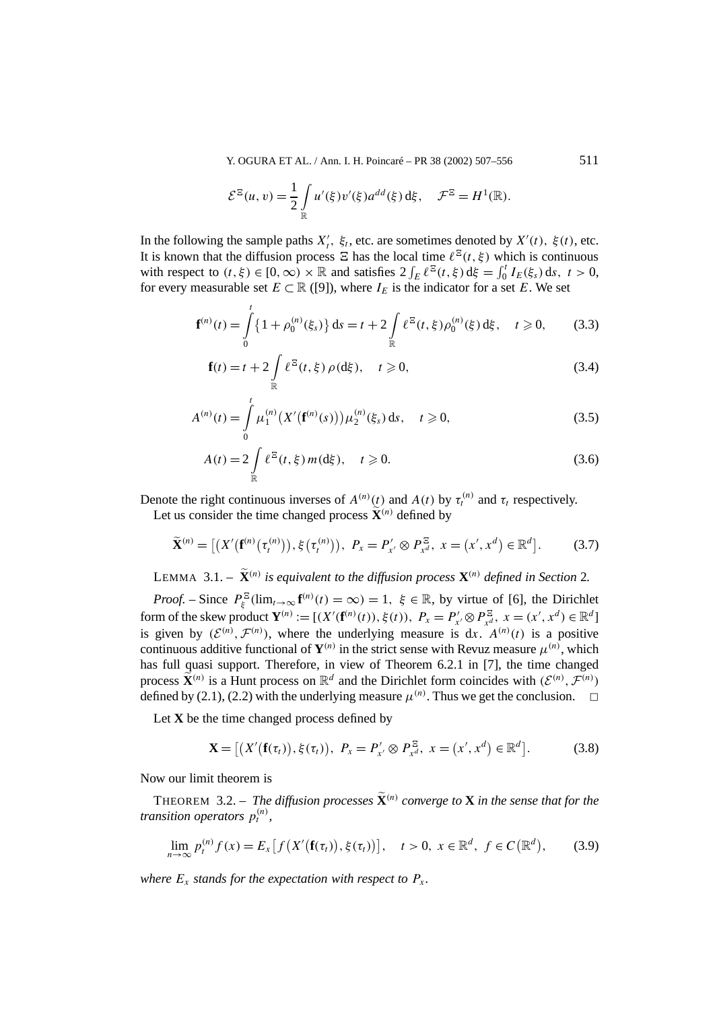Y. OGURA ET AL. / Ann. I. H. Poincaré – PR 38 (2002) 507–556 511

$$
\mathcal{E}^{\Xi}(u,v) = \frac{1}{2} \int\limits_{\mathbb{R}} u'(\xi) v'(\xi) a^{dd}(\xi) d\xi, \quad \mathcal{F}^{\Xi} = H^1(\mathbb{R}).
$$

In the following the sample paths  $X'_t$ ,  $\xi_t$ , etc. are sometimes denoted by  $X'(t)$ ,  $\xi(t)$ , etc. It is known that the diffusion process  $\Xi$  has the local time  $\ell^{\Xi}(t, \xi)$  which is continuous with respect to  $(t, \xi) \in [0, \infty) \times \mathbb{R}$  and satisfies  $2 \int_E \ell^{\Xi}(t, \xi) d\xi = \int_0^t I_E(\xi_s) ds, t > 0$ , for every measurable set  $E \subset \mathbb{R}$  ([9]), where  $I_E$  is the indicator for a set *E*. We set

$$
\mathbf{f}^{(n)}(t) = \int_{0}^{t} \{1 + \rho_0^{(n)}(\xi_s)\} ds = t + 2 \int_{\mathbb{R}} \ell^{\Xi}(t, \xi) \rho_0^{(n)}(\xi) d\xi, \quad t \ge 0,
$$
 (3.3)

$$
\mathbf{f}(t) = t + 2 \int_{\mathbb{R}} \ell^{\Xi}(t, \xi) \rho(\mathrm{d}\xi), \quad t \ge 0,
$$
 (3.4)

$$
A^{(n)}(t) = \int_{0}^{t} \mu_1^{(n)}(X'(\mathbf{f}^{(n)}(s))) \mu_2^{(n)}(\xi_s) ds, \quad t \ge 0,
$$
 (3.5)

$$
A(t) = 2 \int_{\mathbb{R}} \ell^{\Xi}(t, \xi) m(d\xi), \quad t \ge 0.
$$
 (3.6)

Denote the right continuous inverses of  $A^{(n)}(t)$  and  $A(t)$  by  $\tau_t^{(n)}$  and  $\tau_t$  respectively.

Let us consider the time changed process  $\widetilde{\mathbf{X}}^{(n)}$  defined by

$$
\widetilde{\mathbf{X}}^{(n)} = \left[ \left( X'(\mathbf{f}^{(n)}(\tau_t^{(n)})), \xi(\tau_t^{(n)}) \right), \ P_x = P'_{x'} \otimes P_{x^d}^{\Xi}, \ x = (x', x^d) \in \mathbb{R}^d \right]. \tag{3.7}
$$

LEMMA 3.1. –  $\widetilde{\mathbf{X}}^{(n)}$  *is equivalent to the diffusion process*  $\mathbf{X}^{(n)}$  *defined in Section* 2*.* 

*Proof.* – Since  $P_{\xi}^{\Xi}(\lim_{t\to\infty} \mathbf{f}^{(n)}(t) = \infty) = 1$ ,  $\xi \in \mathbb{R}$ , by virtue of [6], the Dirichlet form of the skew product  $\mathbf{Y}^{(n)} := [(X'(\mathbf{f}^{(n)}(t)), \xi(t)), P_x = P'_{x'} \otimes P_{x^d}^{\Xi}, x = (x', x^d) \in \mathbb{R}^d]$ is given by  $(\mathcal{E}^{(n)}, \mathcal{F}^{(n)})$ , where the underlying measure is dx.  $A^{(n)}(t)$  is a positive continuous additive functional of  $Y^{(n)}$  in the strict sense with Revuz measure  $\mu^{(n)}$ , which has full quasi support. Therefore, in view of Theorem 6.2.1 in [7], the time changed process  $\widetilde{\mathbf{X}}^{(n)}$  is a Hunt process on  $\mathbb{R}^d$  and the Dirichlet form coincides with  $(\mathcal{E}^{(n)}, \mathcal{F}^{(n)})$ defined by (2.1), (2.2) with the underlying measure  $\mu^{(n)}$ . Thus we get the conclusion.  $\Box$ 

Let **X** be the time changed process defined by

$$
\mathbf{X} = [(X'(\mathbf{f}(\tau_t)), \xi(\tau_t)), \ P_x = P'_{x'} \otimes P_{x^d}^{\Xi}, \ x = (x', x^d) \in \mathbb{R}^d]. \tag{3.8}
$$

Now our limit theorem is

THEOREM 3.2. – *The diffusion processes*  $\widetilde{\mathbf{X}}^{(n)}$  *converge to* **X** *in the sense that for the transition operators*  $p_t^{(n)}$ ,

$$
\lim_{n \to \infty} p_t^{(n)} f(x) = E_x [f(X'(\mathbf{f}(\tau_t)), \xi(\tau_t))], \quad t > 0, \ x \in \mathbb{R}^d, \ f \in C(\mathbb{R}^d), \tag{3.9}
$$

*where*  $E_x$  *stands for the expectation with respect to*  $P_x$ *.*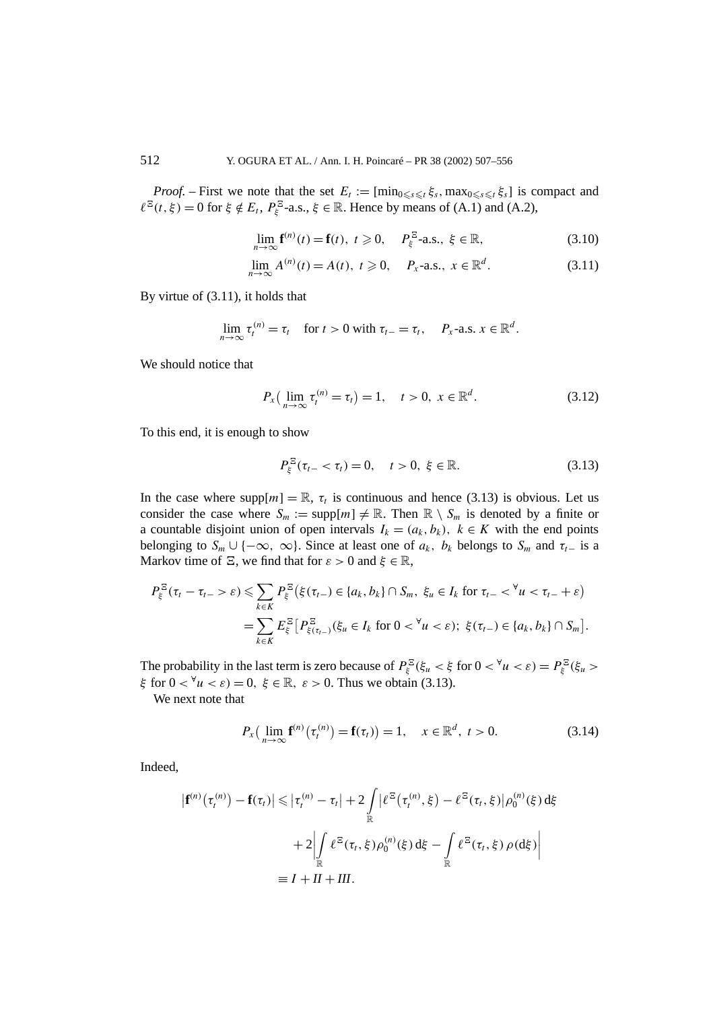*Proof.* – First we note that the set  $E_t := [\min_{0 \le s \le t} \xi_s, \max_{0 \le s \le t} \xi_s]$  is compact and  $\ell^{\Xi}(t, \xi) = 0$  for  $\xi \notin E_t$ ,  $P_{\xi}^{\Xi}$ -a.s.,  $\xi \in \mathbb{R}$ . Hence by means of (A.1) and (A.2),

$$
\lim_{n \to \infty} \mathbf{f}^{(n)}(t) = \mathbf{f}(t), \ t \geq 0, \quad P_{\xi}^{\Xi} \text{-a.s., } \xi \in \mathbb{R}, \tag{3.10}
$$

$$
\lim_{n \to \infty} A^{(n)}(t) = A(t), \ t \geq 0, \quad P_x\text{-a.s., } x \in \mathbb{R}^d. \tag{3.11}
$$

By virtue of (3.11), it holds that

$$
\lim_{n\to\infty}\tau_t^{(n)}=\tau_t\quad\text{ for }t>0\text{ with }\tau_{t-}=\tau_t,\quad P_x\text{-a.s. }x\in\mathbb{R}^d.
$$

We should notice that

$$
P_x\left(\lim_{n\to\infty}\tau_t^{(n)}=\tau_t\right)=1,\quad t>0,\ x\in\mathbb{R}^d.\tag{3.12}
$$

To this end, it is enough to show

$$
P_{\xi}^{\Xi}(\tau_{t-} < \tau_t) = 0, \quad t > 0, \ \xi \in \mathbb{R}.
$$
 (3.13)

In the case where  $\text{supp}[m] = \mathbb{R}$ ,  $\tau_t$  is continuous and hence (3.13) is obvious. Let us consider the case where  $S_m := \text{supp}[m] \neq \mathbb{R}$ . Then  $\mathbb{R} \setminus S_m$  is denoted by a finite or a countable disjoint union of open intervals  $I_k = (a_k, b_k)$ ,  $k \in K$  with the end points belonging to  $S_m \cup \{-\infty, \infty\}$ . Since at least one of  $a_k$ ,  $b_k$  belongs to  $S_m$  and  $\tau_{t-}$  is a Markov time of  $\Xi$ , we find that for  $\varepsilon > 0$  and  $\xi \in \mathbb{R}$ ,

$$
P_{\xi}^{\Xi}(\tau_{t}-\tau_{t-}>\varepsilon)\leqslant\sum_{k\in K}P_{\xi}^{\Xi}\left(\xi(\tau_{t-})\in\{a_{k},b_{k}\}\cap S_{m},\ \xi_{u}\in I_{k}\ \text{for}\ \tau_{t-}<^{\forall}u<\tau_{t-}+\varepsilon\right)
$$
\n
$$
=\sum_{k\in K}E_{\xi}^{\Xi}\left[P_{\xi(\tau_{t-})}^{\Xi}(\xi_{u}\in I_{k}\ \text{for}\ 0<\forall u<\varepsilon);\ \xi(\tau_{t-})\in\{a_{k},b_{k}\}\cap S_{m}\right].
$$

The probability in the last term is zero because of  $P_{\xi}^{\Xi}(\xi_u < \xi \text{ for } 0 < \forall u < \varepsilon) = P_{\xi}^{\Xi}(\xi_u >$ *ξ* for 0 *<* <sup>∀</sup>*u < ε)* = 0*, ξ* ∈ R*, ε>* 0. Thus we obtain (3.13).

We next note that

$$
P_{x}\left(\lim_{n\to\infty} f^{(n)}(\tau_t^{(n)}) = f(\tau_t)\right) = 1, \quad x \in \mathbb{R}^d, \ t > 0.
$$
 (3.14)

Indeed,

$$
\left| \mathbf{f}^{(n)}(\tau_t^{(n)}) - \mathbf{f}(\tau_t) \right| \leq \left| \tau_t^{(n)} - \tau_t \right| + 2 \int_{\mathbb{R}} \left| \ell^{\Xi}(\tau_t^{(n)}, \xi) - \ell^{\Xi}(\tau_t, \xi) \right| \rho_0^{(n)}(\xi) d\xi
$$

$$
+ 2 \left| \int_{\mathbb{R}} \ell^{\Xi}(\tau_t, \xi) \rho_0^{(n)}(\xi) d\xi - \int_{\mathbb{R}} \ell^{\Xi}(\tau_t, \xi) \rho(d\xi) \right|
$$

$$
\equiv I + II + III.
$$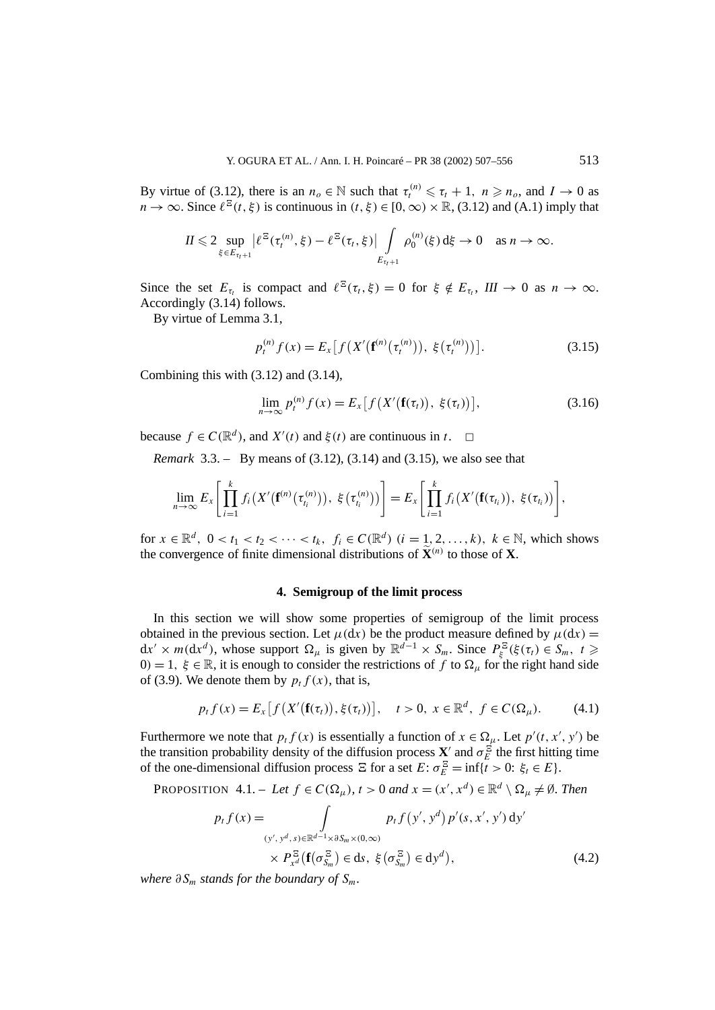By virtue of (3.12), there is an  $n_o \in \mathbb{N}$  such that  $\tau_t^{(n)} \leq \tau_t + 1$ ,  $n \geq n_o$ , and  $I \to 0$  as  $n \to \infty$ . Since  $\ell^{\mathbb{E}}(t, \xi)$  is continuous in  $(t, \xi) \in [0, \infty) \times \mathbb{R}$ , (3.12) and (A.1) imply that

$$
II\leqslant 2\sup_{\xi\in E_{\tau_t+1}}\big|\ell^{\Xi}(\tau_t^{(n)},\xi)-\ell^{\Xi}(\tau_t,\xi)\big|\int\limits_{E_{\tau_t+1}}\rho_0^{(n)}(\xi)\,d\xi\to 0\quad\text{as }n\to\infty.
$$

Since the set  $E_{\tau_t}$  is compact and  $\ell^{\Xi}(\tau_t,\xi) = 0$  for  $\xi \notin E_{\tau_t}$ ,  $III \to 0$  as  $n \to \infty$ . Accordingly (3.14) follows.

By virtue of Lemma 3.1,

$$
p_t^{(n)} f(x) = E_x \left[ f\left(X'\left(\mathbf{f}^{(n)}\left(\tau_t^{(n)}\right)\right), \ \xi\left(\tau_t^{(n)}\right)\right) \right]. \tag{3.15}
$$

Combining this with (3.12) and (3.14),

$$
\lim_{n \to \infty} p_t^{(n)} f(x) = E_x \left[ f\left(X'\big(\mathbf{f}(\tau_t)\big), \ \xi(\tau_t)\right) \right],\tag{3.16}
$$

because  $f \in C(\mathbb{R}^d)$ , and  $X'(t)$  and  $\xi(t)$  are continuous in  $t$ .  $\Box$ 

*Remark* 3.3. – By means of (3.12), (3.14) and (3.15), we also see that

$$
\lim_{n\to\infty}E_x\bigg[\prod_{i=1}^k f_i\big(X'\big(\mathbf{f}^{(n)}(\tau_{t_i}^{(n)})\big),\ \xi\big(\tau_{t_i}^{(n)}\big)\big)\bigg]=E_x\bigg[\prod_{i=1}^k f_i\big(X'\big(\mathbf{f}(\tau_{t_i})\big),\ \xi(\tau_{t_i})\big)\bigg],
$$

for  $x \in \mathbb{R}^d$ ,  $0 < t_1 < t_2 < \cdots < t_k$ ,  $f_i \in C(\mathbb{R}^d)$   $(i = 1, 2, \ldots, k)$ ,  $k \in \mathbb{N}$ , which shows the convergence of finite dimensional distributions of  $\widetilde{\mathbf{X}}^{(n)}$  to those of **X**.

#### **4. Semigroup of the limit process**

In this section we will show some properties of semigroup of the limit process obtained in the previous section. Let  $\mu(dx)$  be the product measure defined by  $\mu(dx)$  =  $dx' \times m(dx^d)$ , whose support  $\Omega_\mu$  is given by  $\mathbb{R}^{d-1} \times S_m$ . Since  $P_{\xi}^{\Xi}(\xi(\tau_t) \in S_m, t \geq 0$  $0$ *)* = 1,  $\xi \in \mathbb{R}$ , it is enough to consider the restrictions of *f* to  $\Omega$ <sub>*u*</sub> for the right hand side of (3.9). We denote them by  $p_t f(x)$ , that is,

$$
p_t f(x) = E_x[f(X'(\mathbf{f}(\tau_t)), \xi(\tau_t))], \quad t > 0, \ x \in \mathbb{R}^d, \ f \in C(\Omega_\mu). \tag{4.1}
$$

Furthermore we note that  $p_t f(x)$  is essentially a function of  $x \in \Omega_\mu$ . Let  $p'(t, x', y')$  be the transition probability density of the diffusion process  $\mathbf{X}'$  and  $\sigma_E^{\Xi}$  the first hitting time of the one-dimensional diffusion process  $\Xi$  for a set  $E: \sigma_E^{\Xi} = \inf\{t > 0: \xi_t \in E\}.$ 

PROPOSITION 4.1. – Let 
$$
f \in C(\Omega_{\mu})
$$
,  $t > 0$  and  $x = (x', x^d) \in \mathbb{R}^d \setminus \Omega_{\mu} \neq \emptyset$ . Then  
\n
$$
p_t f(x) = \int_{(y', y^d, s) \in \mathbb{R}^{d-1} \times \partial S_m \times (0, \infty)} p_t f(y', y^d) p'(s, x', y') dy'
$$
\n
$$
\times P_{x^d}^{\Xi}(\mathbf{f}(\sigma_{S_m}^{\Xi}) \in \mathrm{d}s, \ \xi(\sigma_{S_m}^{\Xi}) \in \mathrm{d}y^d), \tag{4.2}
$$

*where*  $\partial S_m$  *stands for the boundary of*  $S_m$ *.*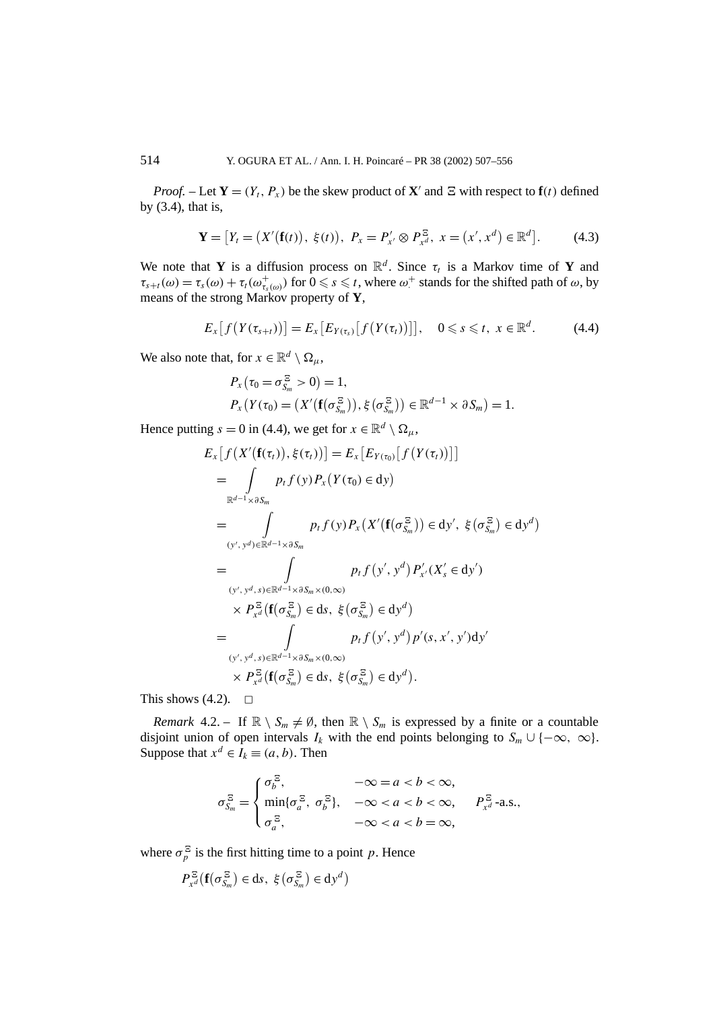*Proof.* – Let  $Y = (Y_t, P_x)$  be the skew product of  $X'$  and  $E$  with respect to  $f(t)$  defined by (3.4), that is,

$$
\mathbf{Y} = [Y_t = (X'(\mathbf{f}(t)), \xi(t)), P_x = P'_{x'} \otimes P_{x^d}^{\Xi}, x = (x', x^d) \in \mathbb{R}^d].
$$
 (4.3)

We note that **Y** is a diffusion process on  $\mathbb{R}^d$ . Since  $\tau_t$  is a Markov time of **Y** and  $\tau_{s+t}(\omega) = \tau_s(\omega) + \tau_t(\omega_{\tau_s(\omega)}^+)$  for  $0 \le s \le t$ , where  $\omega^+$  stands for the shifted path of  $\omega$ , by means of the strong Markov property of **Y**,

$$
E_x[f(Y(\tau_{s+t}))]=E_x[E_{Y(\tau_s)}[f(Y(\tau_t))]], \quad 0 \leq s \leq t, \ x \in \mathbb{R}^d. \tag{4.4}
$$

We also note that, for  $x \in \mathbb{R}^d \setminus \Omega_u$ ,

$$
P_{x}(\tau_{0} = \sigma_{S_{m}}^{\Xi} > 0) = 1,
$$
  
\n
$$
P_{x}(Y(\tau_{0}) = (X'(\mathbf{f}(\sigma_{S_{m}}^{\Xi})), \xi(\sigma_{S_{m}}^{\Xi})) \in \mathbb{R}^{d-1} \times \partial S_{m}) = 1.
$$

Hence putting  $s = 0$  in (4.4), we get for  $x \in \mathbb{R}^d \setminus \Omega_u$ ,

$$
E_{x}[f(X'(\mathbf{f}(\tau_{t})), \xi(\tau_{t}))] = E_{x}[E_{Y(\tau_{0})}[f(Y(\tau_{t}))]]
$$
  
\n
$$
= \int_{\mathbb{R}^{d-1} \times \partial S_{m}} p_{t}f(y)P_{x}(Y(\tau_{0}) \in dy)
$$
  
\n
$$
= \int_{(y', y^{d}) \in \mathbb{R}^{d-1} \times \partial S_{m}} p_{t}f(y)P_{x}(X'(\mathbf{f}(\sigma_{S_{m}}^{\Xi})) \in dy', \xi(\sigma_{S_{m}}^{\Xi}) \in dy^{d})
$$
  
\n
$$
= \int_{(y', y^{d}, s) \in \mathbb{R}^{d-1} \times \partial S_{m} \times (0, \infty)} p_{t}f(y', y^{d})P_{x'}'(X'_{s} \in dy')
$$
  
\n
$$
\times P_{x^{d}}^{\Xi}(\mathbf{f}(\sigma_{S_{m}}^{\Xi}) \in ds, \xi(\sigma_{S_{m}}^{\Xi}) \in dy^{d})
$$
  
\n
$$
= \int_{(y', y^{d}, s) \in \mathbb{R}^{d-1} \times \partial S_{m} \times (0, \infty)} p_{t}f(y', y^{d})p'(s, x', y')dy'
$$
  
\n
$$
\times P_{x^{d}}^{\Xi}(\mathbf{f}(\sigma_{S_{m}}^{\Xi}) \in ds, \xi(\sigma_{S_{m}}^{\Xi}) \in dy^{d}).
$$

This shows  $(4.2)$ .  $\Box$ 

*Remark* 4.2. – If  $\mathbb{R} \setminus S_m \neq \emptyset$ , then  $\mathbb{R} \setminus S_m$  is expressed by a finite or a countable disjoint union of open intervals  $I_k$  with the end points belonging to  $S_m \cup \{-\infty, \infty\}$ . Suppose that  $x^d \in I_k \equiv (a, b)$ . Then

$$
\sigma_{S_m}^{\Xi} = \begin{cases} \sigma_b^{\Xi}, & -\infty = a < b < \infty, \\ \min\{\sigma_a^{\Xi}, \ \sigma_b^{\Xi}\}, & -\infty < a < b < \infty, \\ \sigma_a^{\Xi}, & -\infty < a < b = \infty, \end{cases} P_{x^d}^{\Xi}
$$
-a.s.,

where  $\sigma_p^{\Xi}$  is the first hitting time to a point *p*. Hence

 $P_{x^d}^{\Xi}(\mathbf{f}(\sigma_{S_m}^{\Xi}) \in \mathrm{d}s, \xi(\sigma_{S_m}^{\Xi}) \in \mathrm{d}y^d)$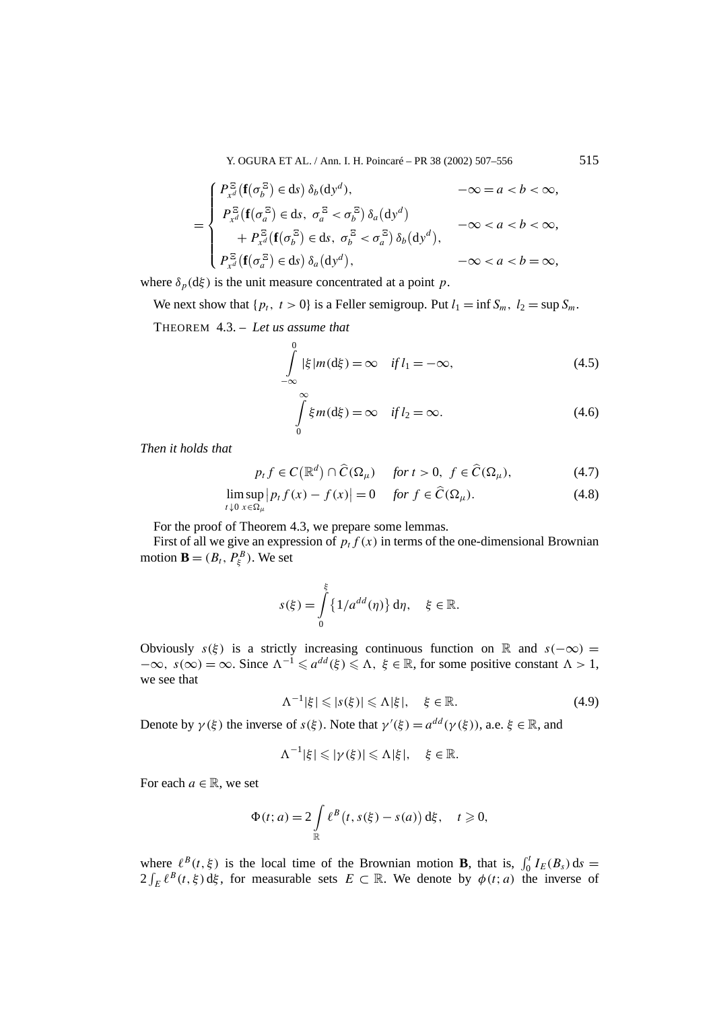Y. OGURA ET AL. / Ann. I. H. Poincaré – PR 38 (2002) 507–556 515

$$
= \begin{cases} P_{x^d}^{\Xi}(\mathbf{f}(\sigma_b^{\Xi}) \in ds) \, \delta_b(\mathrm{d}y^d), & -\infty = a < b < \infty, \\ P_{x^d}^{\Xi}(\mathbf{f}(\sigma_a^{\Xi}) \in ds, \ \sigma_a^{\Xi} < \sigma_b^{\Xi}) \, \delta_a(\mathrm{d}y^d) & -\infty < a < b < \infty, \\ + P_{x^d}^{\Xi}(\mathbf{f}(\sigma_b^{\Xi}) \in ds, \ \sigma_b^{\Xi} < \sigma_a^{\Xi}) \, \delta_b(\mathrm{d}y^d), & -\infty < a < b = \infty, \\ P_{x^d}^{\Xi}(\mathbf{f}(\sigma_a^{\Xi}) \in ds) \, \delta_a(\mathrm{d}y^d), & -\infty < a < b = \infty, \end{cases}
$$

where  $\delta_p(d\xi)$  is the unit measure concentrated at a point *p*.

We next show that  $\{p_t, t>0\}$  is a Feller semigroup. Put  $l_1 = \inf S_m$ ,  $l_2 = \sup S_m$ .

THEOREM 4.3. – *Let us assume that*

$$
\int_{-\infty}^{0} |\xi| m(\mathrm{d}\xi) = \infty \quad \text{if } l_1 = -\infty,
$$
\n(4.5)

$$
\int_{0}^{\infty} \xi m(d\xi) = \infty \quad \text{if } l_2 = \infty.
$$
\n(4.6)

*Then it holds that*

$$
p_t f \in C(\mathbb{R}^d) \cap \widehat{C}(\Omega_\mu) \quad \text{for } t > 0, \ f \in \widehat{C}(\Omega_\mu), \tag{4.7}
$$

$$
\limsup_{t \downarrow 0} |p_t f(x) - f(x)| = 0 \quad \text{for } f \in \widehat{C}(\Omega_\mu). \tag{4.8}
$$

For the proof of Theorem 4.3, we prepare some lemmas.

First of all we give an expression of  $p_t f(x)$  in terms of the one-dimensional Brownian motion **B** =  $(B_t, P_{\xi}^B)$ . We set

$$
s(\xi) = \int_{0}^{\xi} \{1/a^{dd}(\eta)\} d\eta, \quad \xi \in \mathbb{R}.
$$

Obviously  $s(\xi)$  is a strictly increasing continuous function on R and  $s(-\infty)$  =  $-\infty$ ,  $s(\infty) = \infty$ . Since  $\Lambda^{-1} \leq a^{dd}(\xi) \leq \Lambda$ ,  $\xi \in \mathbb{R}$ , for some positive constant  $\Lambda > 1$ , we see that

$$
\Lambda^{-1}|\xi| \leqslant |s(\xi)| \leqslant \Lambda |\xi|, \quad \xi \in \mathbb{R}.\tag{4.9}
$$

Denote by  $\gamma(\xi)$  the inverse of  $s(\xi)$ . Note that  $\gamma'(\xi) = a^{dd}(\gamma(\xi))$ , a.e.  $\xi \in \mathbb{R}$ , and

$$
\Lambda^{-1}|\xi|\leqslant |\gamma(\xi)|\leqslant \Lambda|\xi|,\quad \xi\in\mathbb{R}.
$$

For each  $a \in \mathbb{R}$ , we set

$$
\Phi(t; a) = 2 \int_{\mathbb{R}} \ell^{B}(t, s(\xi) - s(a)) d\xi, \quad t \geq 0,
$$

where  $\ell^{B}(t, \xi)$  is the local time of the Brownian motion **B**, that is,  $\int_{0}^{t} I_{E}(B_{s}) ds =$  $2 \int_E \ell^B(t, \xi) d\xi$ , for measurable sets  $E \subset \mathbb{R}$ . We denote by  $\phi(t; a)$  the inverse of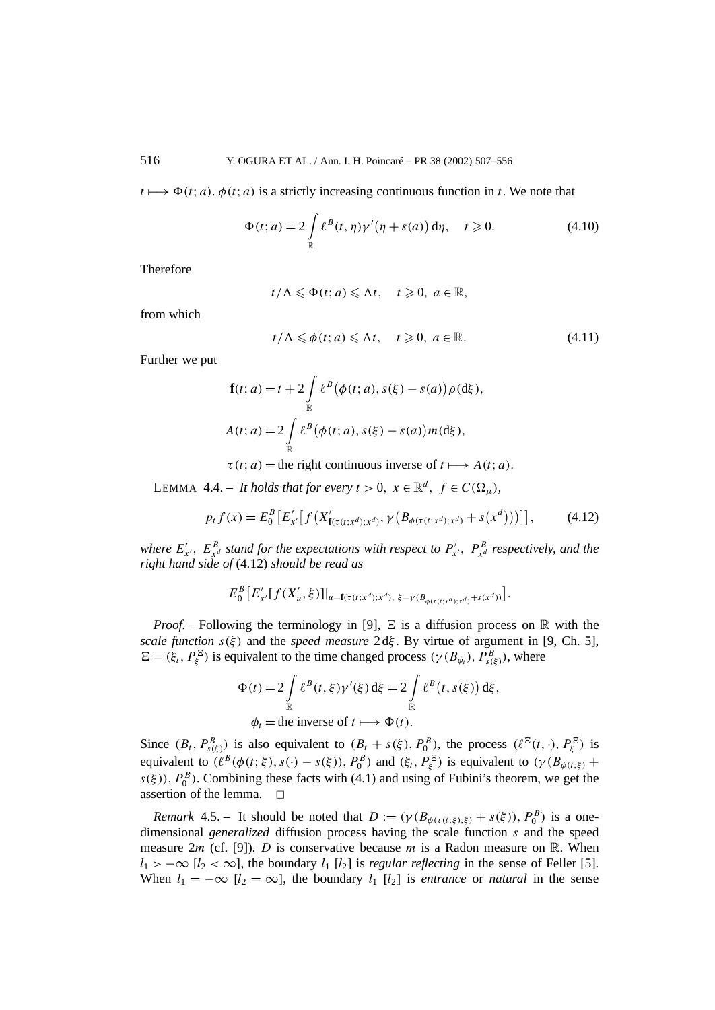$t \mapsto \Phi(t; a)$ .  $\phi(t; a)$  is a strictly increasing continuous function in *t*. We note that

$$
\Phi(t; a) = 2 \int_{\mathbb{R}} \ell^{B}(t, \eta) \gamma'(\eta + s(a)) d\eta, \quad t \geq 0.
$$
 (4.10)

Therefore

$$
t/\Lambda\leqslant \Phi(t;a)\leqslant \Lambda t,\quad t\geqslant 0,\ a\in\mathbb{R},
$$

from which

$$
t/\Lambda \leq \phi(t; a) \leq \Lambda t, \quad t \geq 0, \ a \in \mathbb{R}.
$$
 (4.11)

Further we put

$$
\mathbf{f}(t; a) = t + 2 \int_{\mathbb{R}} \ell^{B} (\phi(t; a), s(\xi) - s(a)) \rho(d\xi),
$$
  

$$
A(t; a) = 2 \int_{\mathbb{R}} \ell^{B} (\phi(t; a), s(\xi) - s(a)) m(d\xi),
$$

 $\tau(t; a)$  = the right continuous inverse of  $t \mapsto A(t; a)$ .

LEMMA 4.4. – *It holds that for every*  $t > 0$ ,  $x \in \mathbb{R}^d$ ,  $f \in C(\Omega_u)$ ,

$$
p_t f(x) = E_0^B \left[ E'_{x'} \left[ f\left( X'_{f(\tau(t; x^d); x^d)}, \gamma \left( B_{\phi(\tau(t; x^d); x^d)} + s(x^d) \right) \right) \right] \right],\tag{4.12}
$$

*where*  $E'_{x'}$ ,  $E^B_{x^d}$  *stand for the expectations with respect to*  $P'_{x'}$ ,  $P^B_{x^d}$  *respectively, and the right hand side of* (4.12) *should be read as*

$$
E_0^B \left[ E'_{x'}[f(X'_u, \xi)]|_{u = f(\tau(t; x^d); x^d), \xi = \gamma(B_{\phi(\tau(t; x^d); x^d)} + s(x^d))} \right].
$$

*Proof.* – Following the terminology in [9],  $\Xi$  is a diffusion process on  $\mathbb R$  with the *scale function s(ξ )* and the *speed measure* 2 d*ξ* . By virtue of argument in [9, Ch. 5],  $E = (\xi_t, P_{\xi}^E)$  is equivalent to the time changed process  $(\gamma(B_{\phi_t}), P_{s(\xi)}^B)$ , where

$$
\Phi(t) = 2 \int_{\mathbb{R}} \ell^{B}(t, \xi) \gamma'(\xi) d\xi = 2 \int_{\mathbb{R}} \ell^{B}(t, s(\xi)) d\xi,
$$
  

$$
\phi_{t} = \text{the inverse of } t \longmapsto \Phi(t).
$$

Since  $(B_t, P_{s(\xi)}^B)$  is also equivalent to  $(B_t + s(\xi), P_0^B)$ , the process  $(\ell^{\Xi}(t, \cdot), P_{\xi}^{\Xi})$  is equivalent to  $(\ell^B(\phi(t;\xi), s(\cdot) - s(\xi)), P_0^B)$  and  $(\xi_t, P_{\xi}^{\Xi})$  is equivalent to  $(\gamma(B_{\phi(t;\xi)} +$  $s(\xi)$ ),  $P_0^B$ ). Combining these facts with (4.1) and using of Fubini's theorem, we get the assertion of the lemma.  $\square$ 

*Remark* 4.5. – It should be noted that  $D := (\gamma (B_{\phi(\tau(t;\xi);\xi)} + s(\xi)), P_0^B)$  is a onedimensional *generalized* diffusion process having the scale function *s* and the speed measure  $2m$  (cf. [9]). *D* is conservative because *m* is a Radon measure on R. When  $l_1$  > −∞ [ $l_2$  < ∞], the boundary  $l_1$  [ $l_2$ ] is *regular reflecting* in the sense of Feller [5]. When  $l_1 = -\infty$  [ $l_2 = \infty$ ], the boundary  $l_1$  [ $l_2$ ] is *entrance* or *natural* in the sense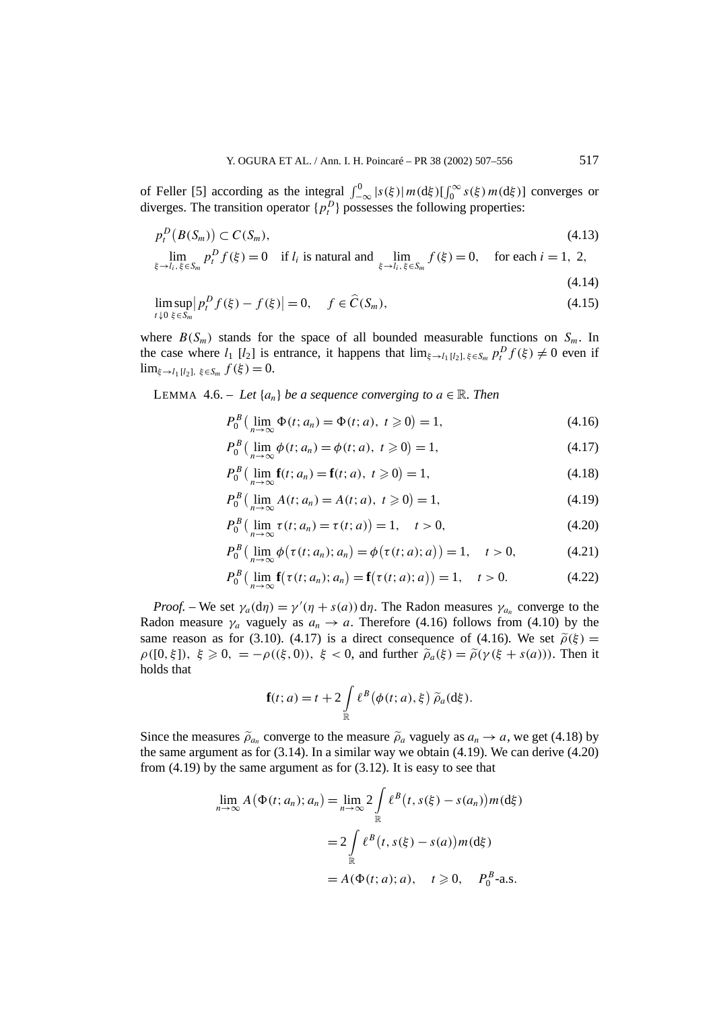of Feller [5] according as the integral  $\int_{-\infty}^{0} |s(\xi)| m(\mathrm{d}\xi) [\int_{0}^{\infty} s(\xi) m(\mathrm{d}\xi)]$  converges or diverges. The transition operator  $\{p_t^D\}$  possesses the following properties:

$$
p_t^D(B(S_m)) \subset C(S_m),\tag{4.13}
$$

$$
\lim_{\xi \to l_i, \xi \in S_m} p_i^D f(\xi) = 0 \quad \text{if } l_i \text{ is natural and } \lim_{\xi \to l_i, \xi \in S_m} f(\xi) = 0, \quad \text{for each } i = 1, 2,
$$

$$
(4.14)
$$

$$
\limsup_{t \downarrow 0} \left| p_t^D f(\xi) - f(\xi) \right| = 0, \quad f \in \widehat{C}(S_m),
$$
\n(4.15)

where  $B(S_m)$  stands for the space of all bounded measurable functions on  $S_m$ . In the case where  $l_1$  [ $l_2$ ] is entrance, it happens that  $\lim_{\xi \to l_1} [l_2]$ ,  $\xi \in S_m$   $p_t^D f(\xi) \neq 0$  even if lim*ξ*→*l*<sup>1</sup> [*l*2]*, ξ*∈*Sm f (ξ )* = 0.

LEMMA 4.6. – Let  $\{a_n\}$  be a sequence converging to  $a \in \mathbb{R}$ . Then

$$
P_0^B(\lim_{n\to\infty}\Phi(t; a_n) = \Phi(t; a), \ t \geq 0) = 1,
$$
\n(4.16)

$$
P_0^B(\lim_{n\to\infty}\phi(t; a_n) = \phi(t; a), \ t \geq 0) = 1,
$$
\n(4.17)

$$
P_0^B(\lim_{n \to \infty} \mathbf{f}(t; a_n) = \mathbf{f}(t; a), \ t \geq 0) = 1,
$$
 (4.18)

$$
P_0^B\left(\lim_{n\to\infty} A(t; a_n) = A(t; a), \ t \geq 0\right) = 1,\tag{4.19}
$$

$$
P_0^B(\lim_{n \to \infty} \tau(t; a_n) = \tau(t; a)) = 1, \quad t > 0,
$$
\n(4.20)

$$
P_0^B(\lim_{n \to \infty} \phi(\tau(t; a_n); a_n) = \phi(\tau(t; a); a)) = 1, \quad t > 0,
$$
 (4.21)

$$
P_0^B(\lim_{n \to \infty} \mathbf{f}(\tau(t; a_n); a_n) = \mathbf{f}(\tau(t; a); a)) = 1, \quad t > 0.
$$
 (4.22)

*Proof.* – We set  $\gamma_a(\text{d}\eta) = \gamma'(\eta + s(a)) \text{d}\eta$ . The Radon measures  $\gamma_{a_n}$  converge to the Radon measure  $\gamma_a$  vaguely as  $a_n \to a$ . Therefore (4.16) follows from (4.10) by the same reason as for (3.10). (4.17) is a direct consequence of (4.16). We set  $\tilde{\rho}(\xi)$  =  $\rho([0, \xi]), \xi \geq 0, = -\rho((\xi, 0)), \xi < 0$ , and further  $\tilde{\rho}_a(\xi) = \tilde{\rho}(\gamma(\xi + s(a))).$  Then it holds that

$$
\mathbf{f}(t; a) = t + 2 \int_{\mathbb{R}} \ell^{B} (\phi(t; a), \xi) \widetilde{\rho}_a(\mathrm{d}\xi).
$$

Since the measures  $\tilde{\rho}_a$  converge to the measure  $\tilde{\rho}_a$  vaguely as  $a_n \to a$ , we get (4.18) by the same argument as for  $(3.14)$ . In a similar way we obtain  $(4.19)$ . We can derive  $(4.20)$ from  $(4.19)$  by the same argument as for  $(3.12)$ . It is easy to see that

$$
\lim_{n \to \infty} A(\Phi(t; a_n); a_n) = \lim_{n \to \infty} 2 \int_{\mathbb{R}} \ell^{B}(t, s(\xi) - s(a_n)) m(\mathrm{d}\xi)
$$

$$
= 2 \int_{\mathbb{R}} \ell^{B}(t, s(\xi) - s(a)) m(\mathrm{d}\xi)
$$

$$
= A(\Phi(t; a); a), \quad t \ge 0, \quad P_0^B \text{-a.s.}
$$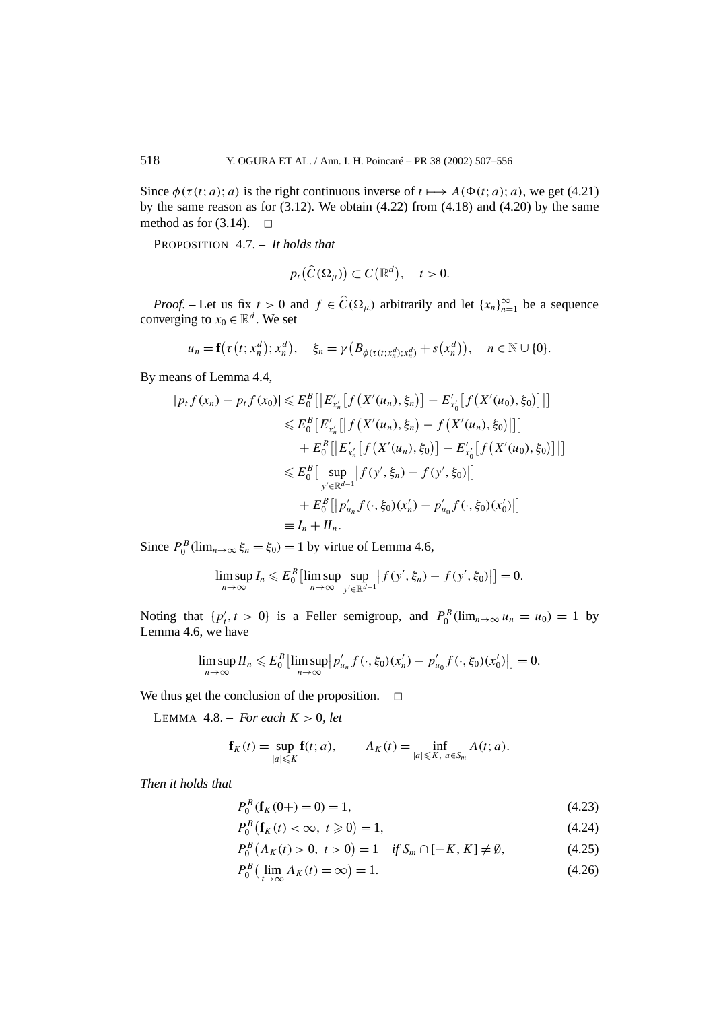Since  $\phi(\tau(t; a); a)$  is the right continuous inverse of  $t \mapsto A(\Phi(t; a); a)$ , we get (4.21) by the same reason as for  $(3.12)$ . We obtain  $(4.22)$  from  $(4.18)$  and  $(4.20)$  by the same method as for  $(3.14)$ .  $\Box$ 

PROPOSITION 4.7. – *It holds that*

$$
p_t(\widehat{C}(\Omega_\mu))\subset C(\mathbb{R}^d),\quad t>0.
$$

*Proof.* – Let us fix  $t > 0$  and  $f \in \widehat{C}(\Omega_\mu)$  arbitrarily and let  $\{x_n\}_{n=1}^\infty$  be a sequence converging to  $x_0 \in \mathbb{R}^d$ . We set

$$
u_n = \mathbf{f}(\tau(t; x_n^d); x_n^d), \quad \xi_n = \gamma(B_{\phi(\tau(t; x_n^d); x_n^d)} + s(x_n^d)), \quad n \in \mathbb{N} \cup \{0\}.
$$

By means of Lemma 4.4,

$$
|p_t f(x_n) - p_t f(x_0)| \leq E_0^B [|E'_{x'_n}[f(X'(u_n), \xi_n)] - E'_{x'_0}[f(X'(u_0), \xi_0)]|]
$$
  
\n
$$
\leq E_0^B [E'_{x'_n}[f(X'(u_n), \xi_n) - f(X'(u_n), \xi_0)]]
$$
  
\n
$$
+ E_0^B [|E'_{x'_n}[f(X'(u_n), \xi_0)] - E'_{x'_0}[f(X'(u_0), \xi_0)]|]
$$
  
\n
$$
\leq E_0^B [\sup_{y' \in \mathbb{R}^{d-1}} |f(y', \xi_n) - f(y', \xi_0)|]
$$
  
\n
$$
+ E_0^B [|p'_{u_n} f(\cdot, \xi_0)(x'_n) - p'_{u_0} f(\cdot, \xi_0)(x'_0)|]
$$
  
\n
$$
\equiv I_n + II_n.
$$

Since  $P_0^B$  ( $\lim_{n\to\infty} \xi_n = \xi_0$ ) = 1 by virtue of Lemma 4.6,

$$
\limsup_{n\to\infty} I_n \leqslant E_0^B \left[ \limsup_{n\to\infty} \sup_{y' \in \mathbb{R}^{d-1}} \left| f(y',\xi_n) - f(y',\xi_0) \right| \right] = 0.
$$

Noting that  $\{p'_t, t > 0\}$  is a Feller semigroup, and  $P_0^B(\lim_{n\to\infty}u_n = u_0) = 1$  by Lemma 4.6, we have

$$
\limsup_{n \to \infty} H_n \leqslant E_0^B \left[ \limsup_{n \to \infty} \left| p'_{u_n} f(\cdot, \xi_0)(x'_n) - p'_{u_0} f(\cdot, \xi_0)(x'_0) \right| \right] = 0.
$$

We thus get the conclusion of the proposition.  $\Box$ 

LEMMA  $4.8.$  – *For each*  $K > 0$ *, let* 

$$
\mathbf{f}_K(t) = \sup_{|a| \leqslant K} \mathbf{f}(t; a), \qquad A_K(t) = \inf_{|a| \leqslant K, \ a \in S_m} A(t; a).
$$

*Then it holds that*

$$
P_0^B(\mathbf{f}_K(0)) = 0 = 1,\tag{4.23}
$$

$$
P_0^B(\mathbf{f}_K(t) < \infty, \ t \geq 0) = 1,\tag{4.24}
$$

$$
P_0^B(A_K(t) > 0, t > 0) = 1 \quad \text{if } S_m \cap [-K, K] \neq \emptyset,
$$
\n(4.25)

$$
P_0^B\left(\lim_{t\to\infty} A_K(t) = \infty\right) = 1. \tag{4.26}
$$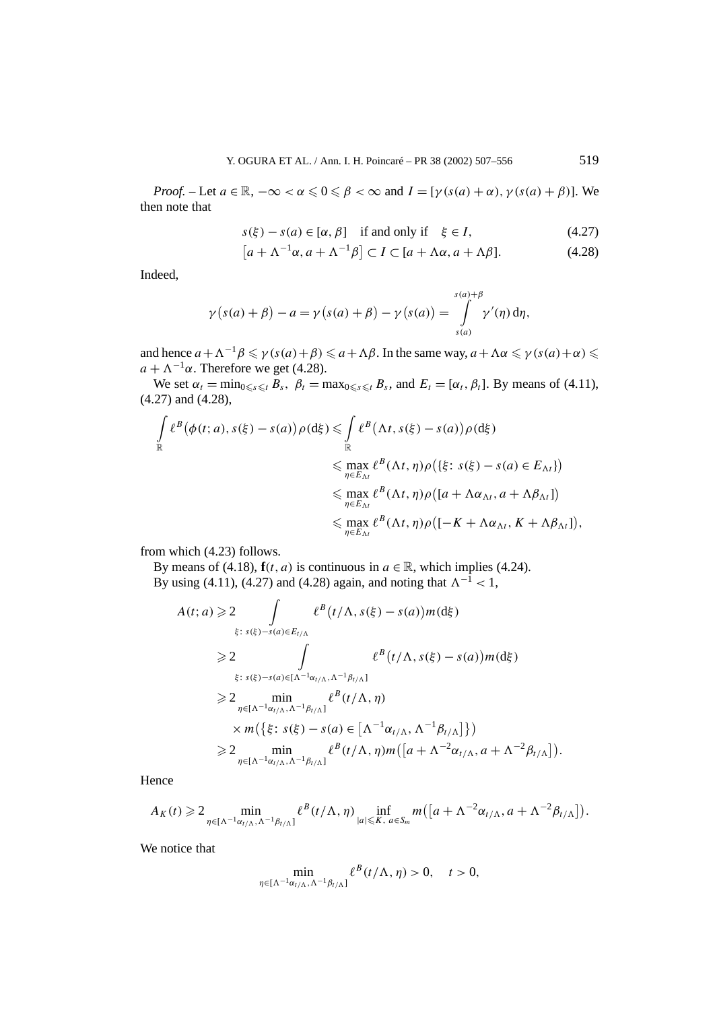*Proof.* – Let  $a \in \mathbb{R}$ ,  $-\infty < \alpha \leq 0 \leq \beta < \infty$  and  $I = [\gamma(s(a) + \alpha), \gamma(s(a) + \beta)]$ . We then note that

$$
s(\xi) - s(a) \in [\alpha, \beta] \quad \text{if and only if} \quad \xi \in I,
$$
\n
$$
(4.27)
$$

$$
[a + \Lambda^{-1} \alpha, a + \Lambda^{-1} \beta] \subset I \subset [a + \Lambda \alpha, a + \Lambda \beta]. \tag{4.28}
$$

Indeed,

$$
\gamma(s(a) + \beta) - a = \gamma(s(a) + \beta) - \gamma(s(a)) = \int_{s(a)}^{s(a) + \beta} \gamma'(\eta) d\eta,
$$

and hence  $a + A^{-1}\beta \leq \gamma(s(a) + \beta) \leq a + A\beta$ . In the same way,  $a + \Delta\alpha \leq \gamma(s(a) + \alpha) \leq$  $a + \Lambda^{-1} \alpha$ . Therefore we get (4.28).

We set  $\alpha_t = \min_{0 \le s \le t} B_s$ ,  $\beta_t = \max_{0 \le s \le t} B_s$ , and  $E_t = [\alpha_t, \beta_t]$ . By means of (4.11), (4.27) and (4.28),

$$
\int_{\mathbb{R}} \ell^{B}(\phi(t;a), s(\xi) - s(a)) \rho(\mathrm{d}\xi) \leq \int_{\mathbb{R}} \ell^{B}(\Lambda t, s(\xi) - s(a)) \rho(\mathrm{d}\xi)
$$
\n
$$
\leq \max_{\eta \in E_{\Lambda t}} \ell^{B}(\Lambda t, \eta) \rho(\{\xi \colon s(\xi) - s(a) \in E_{\Lambda t}\})
$$
\n
$$
\leq \max_{\eta \in E_{\Lambda t}} \ell^{B}(\Lambda t, \eta) \rho([a + \Lambda \alpha_{\Lambda t}, a + \Lambda \beta_{\Lambda t}])
$$
\n
$$
\leq \max_{\eta \in E_{\Lambda t}} \ell^{B}(\Lambda t, \eta) \rho([-K + \Lambda \alpha_{\Lambda t}, K + \Lambda \beta_{\Lambda t}]),
$$

from which (4.23) follows.

By means of (4.18),  $f(t, a)$  is continuous in  $a \in \mathbb{R}$ , which implies (4.24). By using (4.11), (4.27) and (4.28) again, and noting that  $\Lambda^{-1}$  < 1,

$$
A(t; a) \geq 2 \int_{\xi: s(\xi)-s(a)\in E_{t/\Lambda}} \ell^{B}(t/\Lambda, s(\xi)-s(a))m(\mathrm{d}\xi)
$$
  
\n
$$
\geq 2 \int_{\xi: s(\xi)-s(a)\in[\Lambda^{-1}\alpha_{t/\Lambda}, \Lambda^{-1}\beta_{t/\Lambda}]}\ell^{B}(t/\Lambda, s(\xi)-s(a))m(\mathrm{d}\xi)
$$
  
\n
$$
\geq 2 \min_{\eta\in[\Lambda^{-1}\alpha_{t/\Lambda}, \Lambda^{-1}\beta_{t/\Lambda}]} \ell^{B}(t/\Lambda, \eta)
$$
  
\n
$$
\times m(\{\xi: s(\xi)-s(a)\in[\Lambda^{-1}\alpha_{t/\Lambda}, \Lambda^{-1}\beta_{t/\Lambda}]\})
$$
  
\n
$$
\geq 2 \min_{\eta\in[\Lambda^{-1}\alpha_{t/\Lambda}, \Lambda^{-1}\beta_{t/\Lambda}]} \ell^{B}(t/\Lambda, \eta)m([a+\Lambda^{-2}\alpha_{t/\Lambda}, a+\Lambda^{-2}\beta_{t/\Lambda}]).
$$

Hence

$$
A_K(t) \geq 2 \min_{\eta \in [\Lambda^{-1}\alpha_{t/\Lambda}, \Lambda^{-1}\beta_{t/\Lambda}]} \ell^{B}(t/\Lambda, \eta) \inf_{|a| \leqslant K, a \in S_m} m\big([a+\Lambda^{-2}\alpha_{t/\Lambda}, a+\Lambda^{-2}\beta_{t/\Lambda}]\big).
$$

We notice that

$$
\min_{\eta \in [\Lambda^{-1} \alpha_{t/\Lambda}, \Lambda^{-1} \beta_{t/\Lambda}]} \ell^{B}(t/\Lambda, \eta) > 0, \quad t > 0,
$$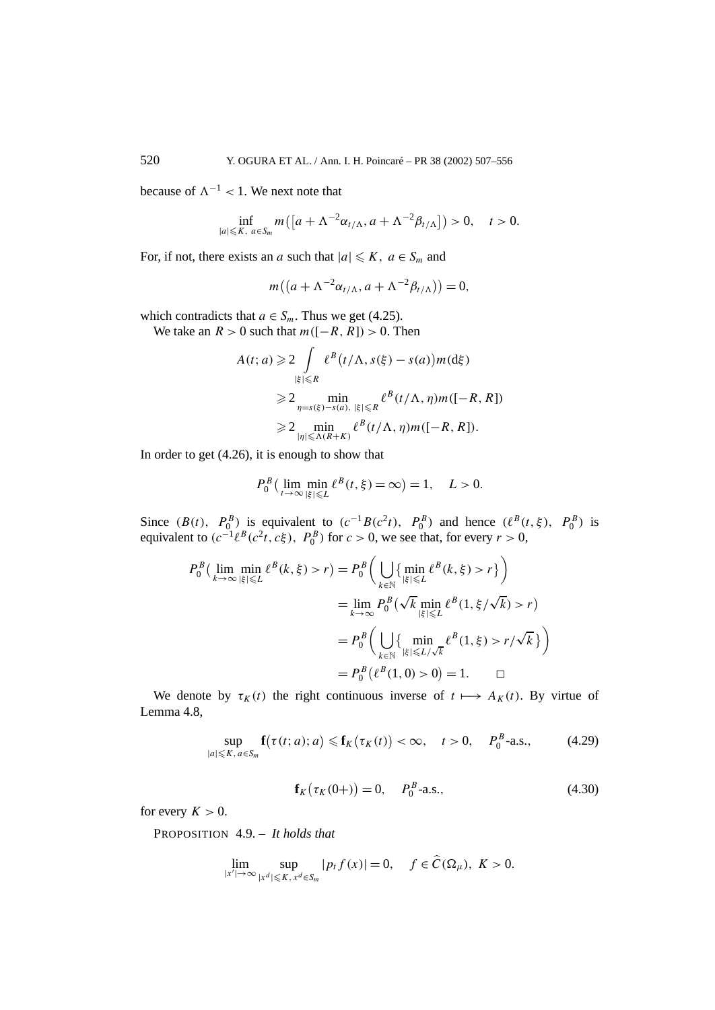because of  $\Lambda^{-1}$  < 1. We next note that

$$
\inf_{|a|\leqslant K,\ a\in S_m} m\big(\big[a+\Lambda^{-2}\alpha_{t/\Lambda},a+\Lambda^{-2}\beta_{t/\Lambda}\big]\big)>0,\quad t>0.
$$

For, if not, there exists an *a* such that  $|a| \leq K$ ,  $a \in S_m$  and

$$
m((a+\Lambda^{-2}\alpha_{t/\Lambda},a+\Lambda^{-2}\beta_{t/\Lambda}))=0,
$$

which contradicts that  $a \in S_m$ . Thus we get (4.25).

We take an  $R > 0$  such that  $m([-R, R]) > 0$ . Then

$$
A(t; a) \geq 2 \int_{|\xi| \leq R} \ell^{B}(t/\Lambda, s(\xi) - s(a)) m(\mathrm{d}\xi)
$$
  
\n
$$
\geq 2 \min_{\eta = s(\xi) - s(a), |\xi| \leq R} \ell^{B}(t/\Lambda, \eta) m([-R, R])
$$
  
\n
$$
\geq 2 \min_{|\eta| \leq \Lambda(R+K)} \ell^{B}(t/\Lambda, \eta) m([-R, R]).
$$

In order to get (4.26), it is enough to show that

$$
P_0^B\left(\lim_{t\to\infty}\min_{|\xi|\leq L} \ell^B(t,\xi)=\infty\right)=1,\quad L>0.
$$

Since  $(B(t), P_0^B)$  is equivalent to  $(c^{-1}B(c^2t), P_0^B)$  and hence  $(\ell^B(t, \xi), P_0^B)$  is equivalent to  $(c^{-1}\ell^{B}(c^{2}t, c\xi), P_{0}^{B})$  for  $c > 0$ , we see that, for every  $r > 0$ ,

$$
P_0^B(\lim_{k \to \infty} \min_{|\xi| \le L} \ell^B(k, \xi) > r) = P_0^B\left(\bigcup_{k \in \mathbb{N}} \{\min_{|\xi| \le L} \ell^B(k, \xi) > r\}\right)
$$
  
= 
$$
\lim_{k \to \infty} P_0^B(\sqrt{k} \min_{|\xi| \le L} \ell^B(1, \xi/\sqrt{k}) > r)
$$
  
= 
$$
P_0^B\left(\bigcup_{k \in \mathbb{N}} \{\min_{|\xi| \le L/\sqrt{k}} \ell^B(1, \xi) > r/\sqrt{k}\}\right)
$$
  
= 
$$
P_0^B(\ell^B(1, 0) > 0) = 1. \square
$$

We denote by  $\tau_K(t)$  the right continuous inverse of  $t \mapsto A_K(t)$ . By virtue of Lemma 4.8,

$$
\sup_{|a| \leqslant K, a \in S_m} \mathbf{f}(\tau(t; a); a) \leqslant \mathbf{f}_K(\tau_K(t)) < \infty, \quad t > 0, \quad P_0^B\text{-a.s.},\tag{4.29}
$$

$$
\mathbf{f}_{K}(\tau_{K}(0+)) = 0, \quad P_{0}^{B}\text{-a.s.,}
$$
\n(4.30)

for every  $K > 0$ .

PROPOSITION 4.9. – *It holds that*

$$
\lim_{|x'| \to \infty} \sup_{|x|^d| \le K, x^d \in S_m} |p_t f(x)| = 0, \quad f \in \widehat{C}(\Omega_\mu), \ K > 0.
$$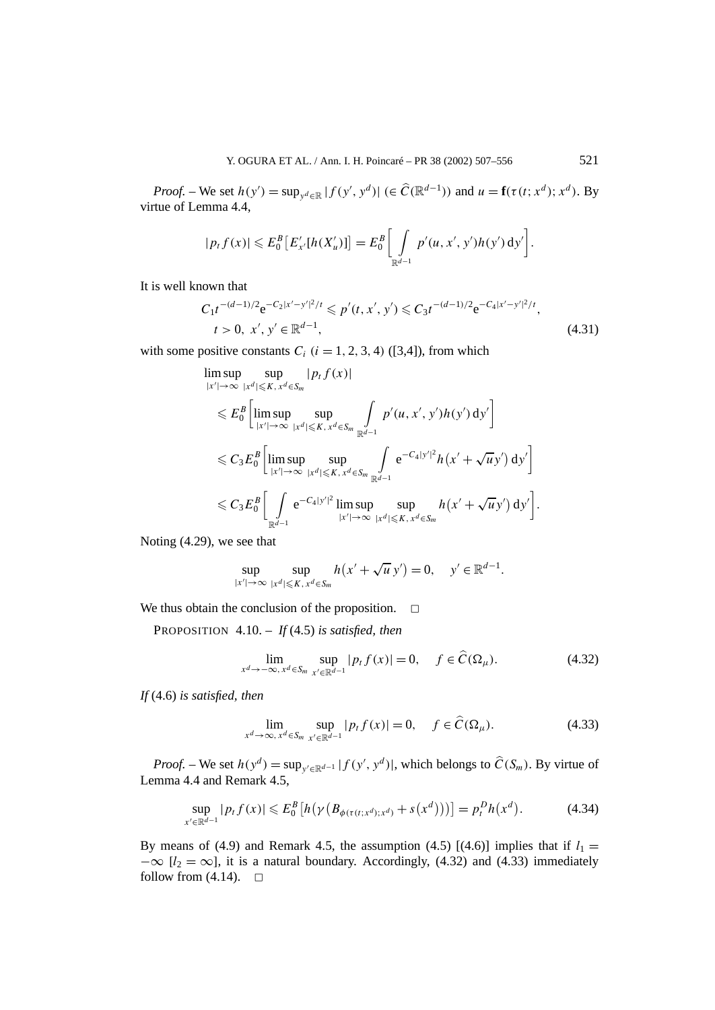*Proof.* – We set  $h(y') = \sup_{y' \in \mathbb{R}} |f(y', y^d)| \in \widehat{C}(\mathbb{R}^{d-1})$  and  $u = \mathbf{f}(\tau(t; x^d); x^d)$ . By virtue of Lemma 4.4,

$$
|p_t f(x)| \leqslant E_0^B \big[ E'_{x'}[h(X'_u)] \big] = E_0^B \bigg[ \int_{\mathbb{R}^{d-1}} p'(u, x', y') h(y') \, dy' \bigg].
$$

It is well known that

$$
C_1 t^{-(d-1)/2} e^{-C_2 |x'-y'|^2/t} \leqslant p'(t, x', y') \leqslant C_3 t^{-(d-1)/2} e^{-C_4 |x'-y'|^2/t},
$$
  
\n
$$
t > 0, x', y' \in \mathbb{R}^{d-1},
$$
\n(4.31)

with some positive constants  $C_i$  ( $i = 1, 2, 3, 4$ ) ([3,4]), from which

$$
\limsup_{|x'| \to \infty} \sup_{|x^d| \leq K, x^d \in S_m} |p_t f(x)|
$$
\n
$$
\leq E_0^B \left[ \limsup_{|x'| \to \infty} \sup_{|x^d| \leq K, x^d \in S_m} \int_{\mathbb{R}^{d-1}} p'(u, x', y') h(y') dy' \right]
$$
\n
$$
\leq C_3 E_0^B \left[ \limsup_{|x'| \to \infty} \sup_{|x^d| \leq K, x^d \in S_m} \int_{\mathbb{R}^{d-1}} e^{-C_4 |y'|^2} h(x' + \sqrt{u} y') dy' \right]
$$
\n
$$
\leq C_3 E_0^B \left[ \int_{\mathbb{R}^{d-1}} e^{-C_4 |y'|^2} \limsup_{|x'| \to \infty} \sup_{|x^d| \leq K, x^d \in S_m} h(x' + \sqrt{u} y') dy' \right].
$$

Noting (4.29), we see that

$$
\sup_{|x'| \to \infty} \sup_{|x^d| \leq K, x^d \in S_m} h(x' + \sqrt{u} y') = 0, \quad y' \in \mathbb{R}^{d-1}.
$$

We thus obtain the conclusion of the proposition.  $\Box$ 

PROPOSITION 4.10. – *If* (4.5) *is satisfied, then*

$$
\lim_{x^d \to -\infty, x^d \in S_m} \sup_{x' \in \mathbb{R}^{d-1}} |p_t f(x)| = 0, \quad f \in \widehat{C}(\Omega_\mu). \tag{4.32}
$$

*If* (4.6) *is satisfied, then*

$$
\lim_{x^d \to \infty, x^d \in S_m} \sup_{x' \in \mathbb{R}^{d-1}} |p_t f(x)| = 0, \quad f \in \widehat{C}(\Omega_\mu). \tag{4.33}
$$

*Proof.* – We set  $h(y^d) = \sup_{y' \in \mathbb{R}^{d-1}} |f(y', y^d)|$ , which belongs to  $\hat{C}(S_m)$ . By virtue of Lemma 4.4 and Remark 4.5,

$$
\sup_{x' \in \mathbb{R}^{d-1}} |p_t f(x)| \leqslant E_0^B \left[ h\left(\gamma \left(B_{\phi(\tau(t;x^d);x^d)} + s(x^d)\right)\right) \right] = p_t^D h(x^d). \tag{4.34}
$$

By means of (4.9) and Remark 4.5, the assumption (4.5)  $[(4.6)]$  implies that if  $l_1 =$  $-\infty$  [ $l_2 = \infty$ ], it is a natural boundary. Accordingly, (4.32) and (4.33) immediately follow from  $(4.14)$ .  $\Box$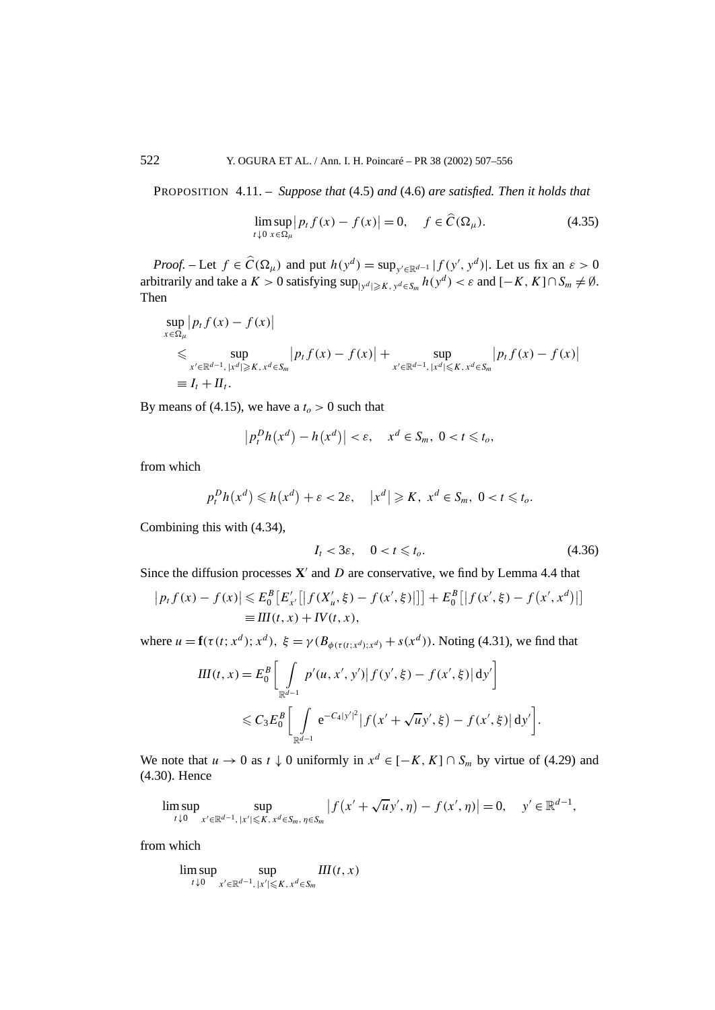PROPOSITION 4.11. – *Suppose that* (4.5) *and* (4.6) *are satisfied. Then it holds that*

$$
\limsup_{t \downarrow 0} |p_t f(x) - f(x)| = 0, \quad f \in \widehat{C}(\Omega_\mu). \tag{4.35}
$$

*Proof.* – Let  $f \in \widehat{C}(\Omega_\mu)$  and put  $h(y^d) = \sup_{y' \in \mathbb{R}^{d-1}} |f(y', y^d)|$ . Let us fix an  $\varepsilon > 0$ arbitrarily and take a  $K > 0$  satisfying  $\sup_{|y^d| \geq K, y^d \in S_m} h(y^d) < \varepsilon$  and  $[-K, K] \cap S_m \neq \emptyset$ . Then

$$
\sup_{x \in \Omega_{\mu}} |p_t f(x) - f(x)|
$$
\n
$$
\leq \sup_{x' \in \mathbb{R}^{d-1}, |x^d| \geq K, x^d \in S_m} |p_t f(x) - f(x)| + \sup_{x' \in \mathbb{R}^{d-1}, |x^d| \leq K, x^d \in S_m} |p_t f(x) - f(x)|
$$
\n
$$
\equiv I_t + II_t.
$$

By means of (4.15), we have a  $t<sub>o</sub> > 0$  such that

$$
\left|p_t^D h(x^d) - h(x^d)\right| < \varepsilon, \quad x^d \in S_m, \ 0 < t \leq t_o,
$$

from which

$$
p_t^D h(x^d) \leq h(x^d) + \varepsilon < 2\varepsilon, \quad |x^d| \geq K, \; x^d \in S_m, \; 0 < t \leq t_0.
$$

Combining this with (4.34),

$$
I_t < 3\varepsilon, \quad 0 < t \leq t_o. \tag{4.36}
$$

Since the diffusion processes  $X'$  and  $D$  are conservative, we find by Lemma 4.4 that

$$
|p_t f(x) - f(x)| \leq E_0^B \left[ E'_{x'}[ |f(X'_u, \xi) - f(x', \xi)|] \right] + E_0^B \left[ |f(x', \xi) - f(x', x^d)| \right]
$$
  
=  $III(t, x) + IV(t, x)$ ,

where  $u = \mathbf{f}(\tau(t; x^d); x^d)$ ,  $\xi = \gamma(B_{\phi(\tau(t; x^d); x^d)} + s(x^d))$ . Noting (4.31), we find that

$$
III(t, x) = E_0^B \left[ \int_{\mathbb{R}^{d-1}} p'(u, x', y') | f(y', \xi) - f(x', \xi) | dy' \right]
$$
  
\$\leq C\_3 E\_0^B \left[ \int\_{\mathbb{R}^{d-1}} e^{-C\_4 |y'|^2} | f(x' + \sqrt{u} y', \xi) - f(x', \xi) | dy' \right].

We note that  $u \to 0$  as  $t \downarrow 0$  uniformly in  $x^d \in [-K, K] \cap S_m$  by virtue of (4.29) and (4.30). Hence

$$
\limsup_{t \downarrow 0} \sup_{x' \in \mathbb{R}^{d-1}, |x'| \leqslant K, x^d \in S_m, \eta \in S_m} |f(x' + \sqrt{u}y', \eta) - f(x', \eta)| = 0, \quad y' \in \mathbb{R}^{d-1},
$$

from which

$$
\limsup_{t\downarrow 0}\sup_{x'\in\mathbb{R}^{d-1},\,|x'|\leq K,\,x^d\in S_m}III(t,x)
$$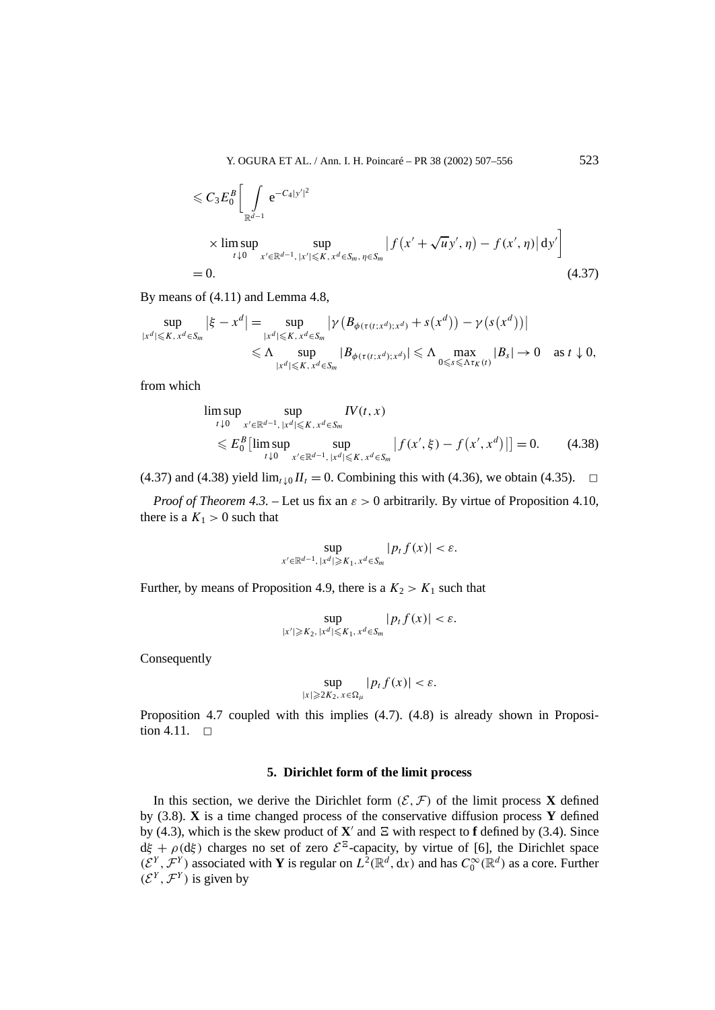$$
\leq C_3 E_0^B \left[ \int_{\mathbb{R}^{d-1}} e^{-C_4 |y'|^2} \times \limsup_{t \downarrow 0} \sup_{x' \in \mathbb{R}^{d-1}, |x'| \leq K, x^d \in S_m, \eta \in S_m} \left| f(x' + \sqrt{u} y', \eta) - f(x', \eta) \right| dy' \right]
$$
  
= 0. (4.37)

By means of (4.11) and Lemma 4.8,

$$
\sup_{|x^d| \leq K, x^d \in S_m} |\xi - x^d| = \sup_{|x^d| \leq K, x^d \in S_m} |\gamma (B_{\phi(\tau(t; x^d); x^d)} + s(x^d)) - \gamma (s(x^d))|
$$
  

$$
\leq \Lambda \sup_{|x^d| \leq K, x^d \in S_m} |B_{\phi(\tau(t; x^d); x^d)}| \leq \Lambda \max_{0 \leq s \leq \Lambda \tau_K(t)} |B_s| \to 0 \text{ as } t \downarrow 0,
$$

from which

$$
\limsup_{t \downarrow 0} \sup_{x' \in \mathbb{R}^{d-1}, |x^d| \leq K, x^d \in S_m} IV(t, x)
$$
\n
$$
\leq E_0^B \left[ \limsup_{t \downarrow 0} \sup_{x' \in \mathbb{R}^{d-1}, |x^d| \leq K, x^d \in S_m} |f(x', \xi) - f(x', x^d)| \right] = 0. \tag{4.38}
$$

(4.37) and (4.38) yield  $\lim_{t \downarrow 0} II_t = 0$ . Combining this with (4.36), we obtain (4.35).  $\Box$ 

*Proof of Theorem 4.3. –* Let us fix an *ε >* 0 arbitrarily. By virtue of Proposition 4.10, there is a  $K_1 > 0$  such that

$$
\sup_{x' \in \mathbb{R}^{d-1}, |x^d| \geq K_1, x^d \in S_m} |p_t f(x)| < \varepsilon.
$$

Further, by means of Proposition 4.9, there is a  $K_2 > K_1$  such that

$$
\sup_{|x'| \geqslant K_2, |x^d| \leqslant K_1, x^d \in S_m} |p_t f(x)| < \varepsilon.
$$

Consequently

$$
\sup_{|x|\geqslant 2K_2,\,x\in\Omega_\mu}|p_tf(x)|<\varepsilon.
$$

Proposition 4.7 coupled with this implies (4.7). (4.8) is already shown in Proposition 4.11.  $\Box$ 

# **5. Dirichlet form of the limit process**

In this section, we derive the Dirichlet form  $(\mathcal{E}, \mathcal{F})$  of the limit process **X** defined by (3.8). **X** is a time changed process of the conservative diffusion process **Y** defined by (4.3), which is the skew product of  $X'$  and  $E$  with respect to **f** defined by (3.4). Since  $d\xi + \rho(d\xi)$  charges no set of zero  $\mathcal{E}^{\Xi}$ -capacity, by virtue of [6], the Dirichlet space *(* $\mathcal{E}^Y$ ,  $\mathcal{F}^Y$ ) associated with **Y** is regular on  $L^2(\mathbb{R}^d, dx)$  and has  $C_0^\infty(\mathbb{R}^d)$  as a core. Further  $(\mathcal{E}^{Y}, \mathcal{F}^{Y})$  is given by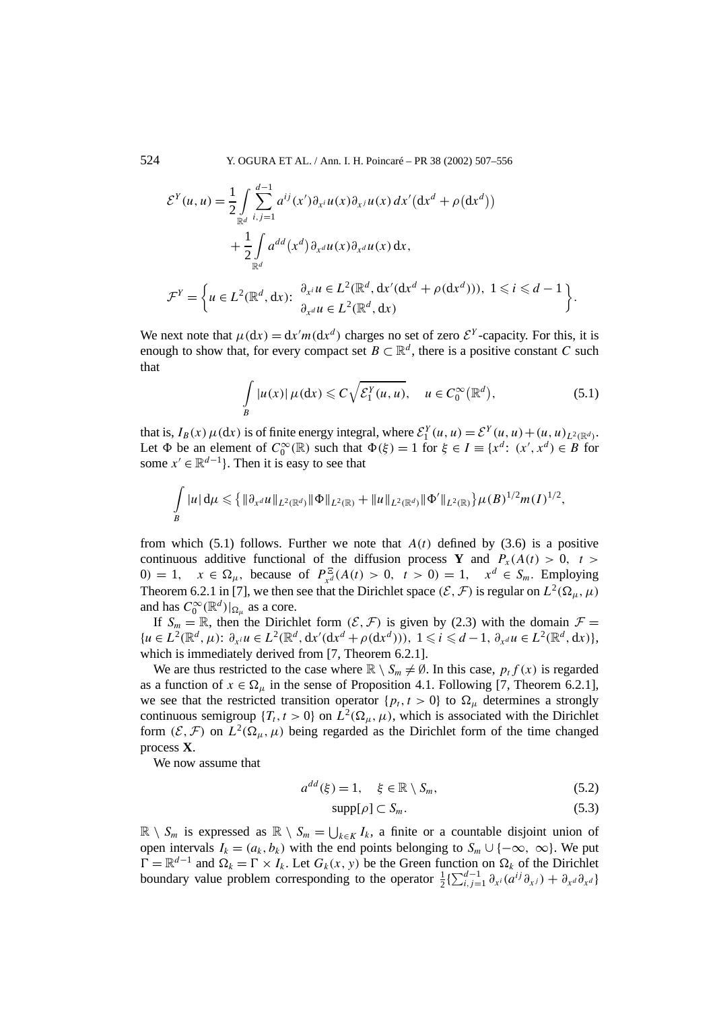524 Y. OGURA ET AL. / Ann. I. H. Poincaré – PR 38 (2002) 507–556

$$
\mathcal{E}^{Y}(u, u) = \frac{1}{2} \int_{\mathbb{R}^{d}} \sum_{i,j=1}^{d-1} a^{ij}(x') \partial_{x^{i}} u(x) \partial_{x^{j}} u(x) dx' (\mathrm{d}x^{d} + \rho(\mathrm{d}x^{d}))
$$
  
+ 
$$
\frac{1}{2} \int_{\mathbb{R}^{d}} a^{dd}(x^{d}) \partial_{x^{d}} u(x) \partial_{x^{d}} u(x) \mathrm{d}x,
$$
  

$$
y \qquad \left( \qquad 2, \qquad d, \qquad \frac{\partial_{x^{i}} u}{\partial x^{d}} \in L^{2}(\mathbb{R}^{d}, \mathrm{d}x'(\mathrm{d}x^{d} + \rho(\mathrm{d}x^{d}))). \qquad 1 \leq i \leq d - 1
$$

 $\mathcal{F}^Y = \left\{ u \in L^2(\mathbb{R}^d, dx) : \begin{array}{l} \partial_{x_i} u \in L^2(\mathbb{R}^d, dx' (dx^d + \rho(dx^d))), 1 \leq i \leq d - 1 \\ \partial_{x_i} u \in L^2(\mathbb{R}^d, dx). \end{array} \right.$  $∂<sub>x</sub><sup>d</sup> u ∈ L<sup>2</sup>(ℝ<sup>d</sup>, dx)$  $\mathcal{L}$ *.*

We next note that  $\mu(dx) = dx'm(dx^d)$  charges no set of zero  $\mathcal{E}^Y$ -capacity. For this, it is enough to show that, for every compact set  $B \subset \mathbb{R}^d$ , there is a positive constant *C* such that

$$
\int_{B} |u(x)| \,\mu(\mathrm{d}x) \leqslant C\sqrt{\mathcal{E}_1^Y(u,u)}, \quad u \in C_0^{\infty}(\mathbb{R}^d),\tag{5.1}
$$

that is,  $I_B(x) \mu(dx)$  is of finite energy integral, where  $\mathcal{E}_1^Y(u, u) = \mathcal{E}^Y(u, u) + (u, u)_{L^2(\mathbb{R}^d)}$ . Let  $\Phi$  be an element of  $C_0^{\infty}(\mathbb{R})$  such that  $\Phi(\xi) = 1$  for  $\xi \in I \equiv \{x^d: (x', x^d) \in B\}$  for some  $x' \in \mathbb{R}^{d-1}$ . Then it is easy to see that

$$
\int\limits_{B} |u| d\mu \leqslant \big\{ \|\partial_{x^d} u\|_{L^2(\mathbb{R}^d)} \|\Phi\|_{L^2(\mathbb{R})} + \|u\|_{L^2(\mathbb{R}^d)} \|\Phi'\|_{L^2(\mathbb{R})} \big\} \mu(B)^{1/2} m(I)^{1/2},
$$

from which  $(5.1)$  follows. Further we note that  $A(t)$  defined by  $(3.6)$  is a positive continuous additive functional of the diffusion process **Y** and  $P_x(A(t) > 0, t > 0)$ 0*)* = 1*,*  $x \in \Omega_{\mu}$ , because of  $P_{x^d}^{\Xi}(A(t) > 0, t > 0) = 1, x^d \in S_m$ . Employing Theorem 6.2.1 in [7], we then see that the Dirichlet space  $(\mathcal{E}, \mathcal{F})$  is regular on  $L^2(\Omega_\mu, \mu)$ and has  $C_0^{\infty}(\mathbb{R}^d)|_{\Omega_\mu}$  as a core.

If  $S_m = \mathbb{R}$ , then the Dirichlet form  $(\mathcal{E}, \mathcal{F})$  is given by (2.3) with the domain  $\mathcal{F} =$  ${u \in L^2(\mathbb{R}^d, \mu): \partial_{x_i} u \in L^2(\mathbb{R}^d, dx'(dx^d + \rho(dx^d))), 1 \leq i \leq d-1, \partial_{x_i} u \in L^2(\mathbb{R}^d, dx)},$ which is immediately derived from [7, Theorem 6.2.1].

We are thus restricted to the case where  $\mathbb{R} \setminus S_m \neq \emptyset$ . In this case,  $p_t f(x)$  is regarded as a function of  $x \in \Omega$ <sub>μ</sub> in the sense of Proposition 4.1. Following [7, Theorem 6.2.1], we see that the restricted transition operator  $\{p_t, t > 0\}$  to  $\Omega_u$  determines a strongly continuous semigroup  $\{T_t, t > 0\}$  on  $L^2(\Omega_\mu, \mu)$ , which is associated with the Dirichlet form  $(\mathcal{E}, \mathcal{F})$  on  $L^2(\Omega_\mu, \mu)$  being regarded as the Dirichlet form of the time changed process **X**.

We now assume that

$$
a^{dd}(\xi) = 1, \quad \xi \in \mathbb{R} \setminus S_m,
$$
\n
$$
(5.2)
$$

$$
\text{supp}[\rho] \subset S_m. \tag{5.3}
$$

 $\mathbb{R}$  \ *S<sub>m</sub>* is expressed as  $\mathbb{R}$  \ *S<sub>m</sub>* =  $\bigcup_{k \in K} I_k$ , a finite or a countable disjoint union of open intervals  $I_k = (a_k, b_k)$  with the end points belonging to  $S_m \cup \{-\infty, \infty\}$ . We put  $\Gamma = \mathbb{R}^{d-1}$  and  $\Omega_k = \Gamma \times I_k$ . Let *G<sub>k</sub>*(*x, y*) be the Green function on  $\Omega_k$  of the Dirichlet boundary value problem corresponding to the operator  $\frac{1}{2} \left\{ \sum_{i,j=1}^{d-1} \partial_{x^i} (a^{ij} \partial_{x^j}) + \partial_{x^d} \partial_{x^d} \right\}$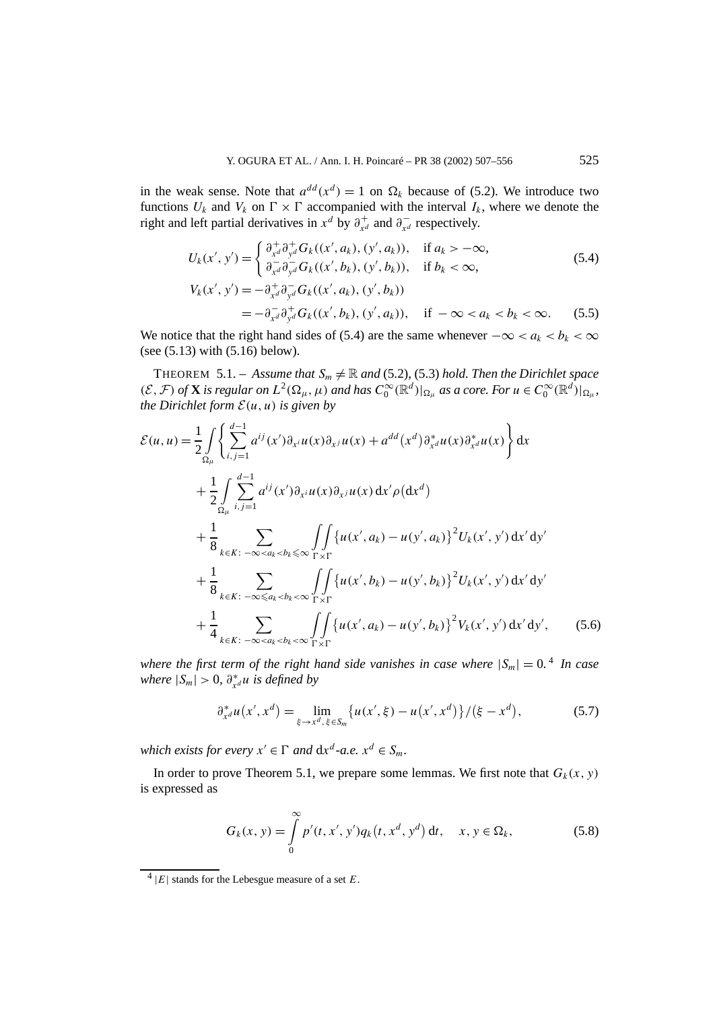in the weak sense. Note that  $a^{dd}(x^d) = 1$  on  $\Omega_k$  because of (5.2). We introduce two functions  $U_k$  and  $V_k$  on  $\Gamma \times \Gamma$  accompanied with the interval  $I_k$ , where we denote the right and left partial derivatives in  $x^d$  by  $\partial^+_{x^d}$  and  $\partial^-_{x^d}$  respectively.

$$
U_{k}(x', y') = \begin{cases} \frac{\partial_{x'}^{+}}{\partial_{y'}^{+}} G_{k}((x', a_{k}), (y', a_{k})), & \text{if } a_{k} > -\infty, \\ \frac{\partial_{x'}^{+}}{\partial_{y'}^{+}} G_{k}((x', b_{k}), (y', b_{k})), & \text{if } b_{k} < \infty, \end{cases}
$$
(5.4)  

$$
V_{k}(x', y') = -\frac{\partial_{x'}^{+}}{\partial_{y'}^{+}} \frac{\partial_{y'}^{+}}{\partial_{y'}^{+}} G_{k}((x', a_{k}), (y', b_{k}))
$$

$$
= -\frac{\partial_{x'}^{+}}{\partial_{y'}^{+}} \frac{\partial_{y'}^{+}}{\partial_{y'}^{+}} G_{k}((x', b_{k}), (y', a_{k})), \quad \text{if } -\infty < a_{k} < b_{k} < \infty.
$$
(5.5)

We notice that the right hand sides of (5.4) are the same whenever  $-\infty < a_k < b_k < \infty$ (see (5.13) with (5.16) below).

THEOREM 5.1. – *Assume that*  $S_m \neq \mathbb{R}$  and (5.2), (5.3) *hold. Then the Dirichlet space*  $(\mathcal{E}, \mathcal{F})$  of **X** is regular on  $L^2(\Omega_\mu, \mu)$  and has  $C_0^{\infty}(\mathbb{R}^d)|_{\Omega_\mu}$  as a core. For  $u \in C_0^{\infty}(\mathbb{R}^d)|_{\Omega_\mu}$ , *the Dirichlet form*  $\mathcal{E}(u, u)$  *is given by* 

$$
\mathcal{E}(u, u) = \frac{1}{2} \int_{\Omega_{\mu}} \left\{ \sum_{i,j=1}^{d-1} a^{ij}(x') \partial_{x^i} u(x) \partial_{x^j} u(x) + a^{dd}(x^d) \partial_{x^d}^* u(x) \partial_{x^d}^* u(x) \right\} dx \n+ \frac{1}{2} \int_{\Omega_{\mu}} \sum_{i,j=1}^{d-1} a^{ij}(x') \partial_{x^i} u(x) \partial_{x^j} u(x) dx' \rho(dx^d) \n+ \frac{1}{8} \sum_{k \in K: -\infty < a_k < b_k \leq \infty} \int_{\Gamma \times \Gamma} \left\{ u(x', a_k) - u(y', a_k) \right\}^2 U_k(x', y') dx' dy' \n+ \frac{1}{8} \sum_{k \in K: -\infty \leq a_k < b_k < \infty} \int_{\Gamma \times \Gamma} \left\{ u(x', b_k) - u(y', b_k) \right\}^2 U_k(x', y') dx' dy' \n+ \frac{1}{4} \sum_{k \in K: -\infty < a_k < b_k < \infty} \int_{\Gamma \times \Gamma} \left\{ u(x', a_k) - u(y', b_k) \right\}^2 V_k(x', y') dx' dy', \tag{5.6}
$$

*where the first term of the right hand side vanishes in case where*  $|S_m| = 0$ .<sup>4</sup> *In case where*  $|S_m| > 0$ ,  $\partial_{x^d}^* u$  *is defined by* 

$$
\partial_{x^d}^* u(x', x^d) = \lim_{\xi \to x^d, \xi \in S_m} \{ u(x', \xi) - u(x', x^d) \} / (\xi - x^d),
$$
 (5.7)

*which exists for every*  $x' \in \Gamma$  *and*  $dx^d$ -*a.e.*  $x^d \in S_m$ *.* 

In order to prove Theorem 5.1, we prepare some lemmas. We first note that  $G_k(x, y)$ is expressed as

$$
G_k(x, y) = \int_{0}^{\infty} p'(t, x', y') q_k(t, x^d, y^d) dt, \quad x, y \in \Omega_k,
$$
 (5.8)

 $^{4}$  |*E*| stands for the Lebesgue measure of a set *E*.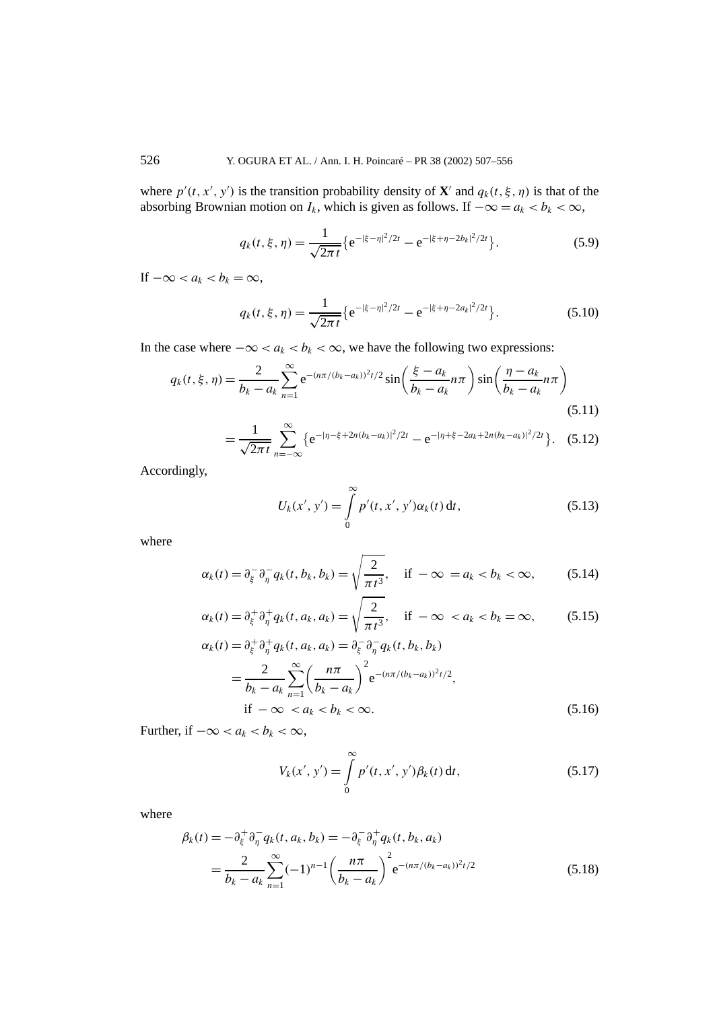where  $p'(t, x', y')$  is the transition probability density of **X**' and  $q_k(t, \xi, \eta)$  is that of the absorbing Brownian motion on  $I_k$ , which is given as follows. If  $-\infty = a_k < b_k < \infty$ ,

$$
q_k(t,\xi,\eta) = \frac{1}{\sqrt{2\pi t}} \{ e^{-|\xi-\eta|^2/2t} - e^{-|\xi+\eta-2b_k|^2/2t} \}.
$$
 (5.9)

If  $-\infty < a_k < b_k = \infty$ ,

$$
q_k(t,\xi,\eta) = \frac{1}{\sqrt{2\pi t}} \{ e^{-|\xi-\eta|^2/2t} - e^{-|\xi+\eta-2a_k|^2/2t} \}.
$$
 (5.10)

In the case where  $-\infty < a_k < b_k < \infty$ , we have the following two expressions:

$$
q_k(t, \xi, \eta) = \frac{2}{b_k - a_k} \sum_{n=1}^{\infty} e^{-(n\pi/(b_k - a_k))^2 t/2} \sin\left(\frac{\xi - a_k}{b_k - a_k} n\pi\right) \sin\left(\frac{\eta - a_k}{b_k - a_k} n\pi\right)
$$
(5.11)

$$
=\frac{1}{\sqrt{2\pi t}}\sum_{n=-\infty}^{\infty}\left\{e^{-|\eta-\xi+2n(b_k-a_k)|^2/2t}-e^{-|\eta+\xi-2a_k+2n(b_k-a_k)|^2/2t}\right\}.\quad(5.12)
$$

Accordingly,

$$
U_k(x', y') = \int_{0}^{\infty} p'(t, x', y') \alpha_k(t) dt,
$$
 (5.13)

where

$$
\alpha_k(t) = \partial_{\xi}^{-} \partial_{\eta}^{-} q_k(t, b_k, b_k) = \sqrt{\frac{2}{\pi t^3}}, \quad \text{if } -\infty = a_k < b_k < \infty,
$$
 (5.14)

$$
\alpha_k(t) = \partial_{\xi}^+ \partial_{\eta}^+ q_k(t, a_k, a_k) = \sqrt{\frac{2}{\pi t^3}}, \quad \text{if } -\infty < a_k < b_k = \infty,\tag{5.15}
$$

$$
\alpha_{k}(t) = \partial_{\xi}^{+} \partial_{\eta}^{+} q_{k}(t, a_{k}, a_{k}) = \partial_{\xi}^{-} \partial_{\eta}^{-} q_{k}(t, b_{k}, b_{k})
$$
  
= 
$$
\frac{2}{b_{k} - a_{k}} \sum_{n=1}^{\infty} \left( \frac{n\pi}{b_{k} - a_{k}} \right)^{2} e^{-(n\pi/(b_{k} - a_{k}))^{2} t/2},
$$
  
if  $-\infty < a_{k} < b_{k} < \infty$ . (5.16)

Further, if  $-\infty < a_k < b_k < \infty$ ,

$$
V_k(x', y') = \int_{0}^{\infty} p'(t, x', y') \beta_k(t) dt,
$$
 (5.17)

where

$$
\beta_k(t) = -\partial_{\xi}^+ \partial_{\eta}^- q_k(t, a_k, b_k) = -\partial_{\xi}^- \partial_{\eta}^+ q_k(t, b_k, a_k)
$$
  
= 
$$
\frac{2}{b_k - a_k} \sum_{n=1}^{\infty} (-1)^{n-1} \left( \frac{n\pi}{b_k - a_k} \right)^2 e^{-(n\pi/(b_k - a_k))^2 t/2}
$$
(5.18)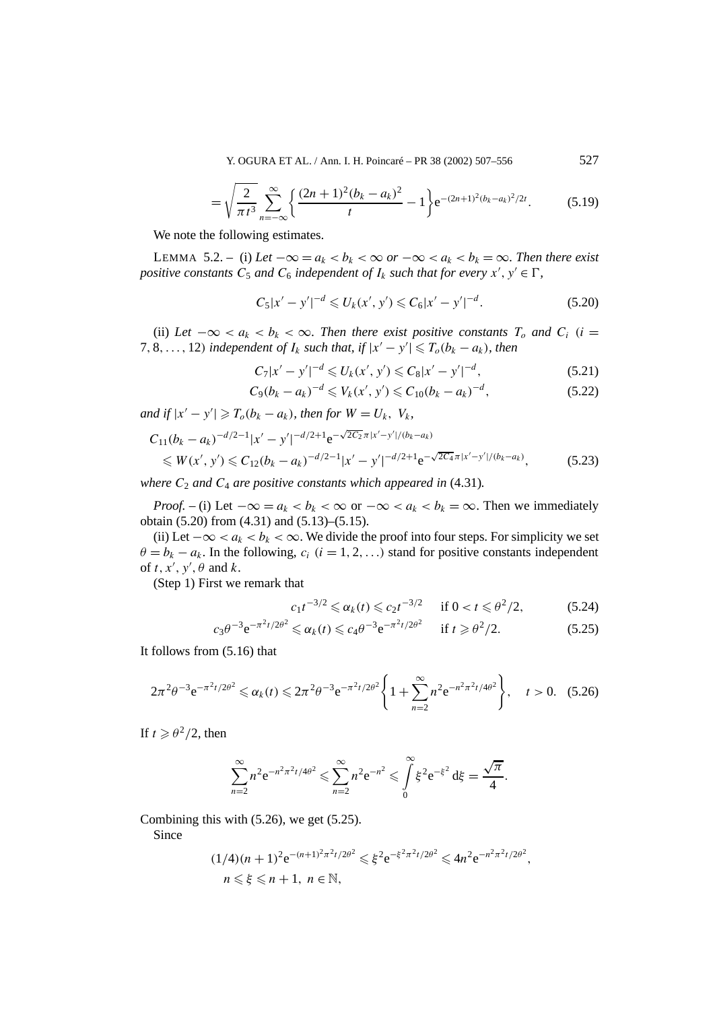Y. OGURA ET AL. / Ann. I. H. Poincaré – PR 38 (2002) 507–556 527

$$
= \sqrt{\frac{2}{\pi t^3}} \sum_{n=-\infty}^{\infty} \left\{ \frac{(2n+1)^2 (b_k - a_k)^2}{t} - 1 \right\} e^{-(2n+1)^2 (b_k - a_k)^2 / 2t}.
$$
 (5.19)

We note the following estimates.

LEMMA 5.2. – (i) Let  $-\infty = a_k < b_k < \infty$  or  $-\infty < a_k < b_k = \infty$ . Then there exist *positive constants*  $C_5$  *and*  $C_6$  *independent of*  $I_k$  *such that for every*  $x'$ ,  $y' \in \Gamma$ ,

$$
C_5|x'-y'|^{-d} \leq U_k(x',y') \leq C_6|x'-y'|^{-d}.
$$
\n(5.20)

(ii) Let  $-\infty < a_k < b_k < \infty$ . Then there exist positive constants  $T_o$  and  $C_i$  (i =  $7, 8, \ldots, 12$ *)* independent of  $I_k$  such that, if  $|x'-y'| \leq T_o(b_k - a_k)$ , then

$$
C_7|x'-y'|^{-d} \leq U_k(x',y') \leq C_8|x'-y'|^{-d}, \qquad (5.21)
$$

$$
C_9(b_k - a_k)^{-d} \leq V_k(x', y') \leq C_{10}(b_k - a_k)^{-d},\tag{5.22}
$$

*and if*  $|x' - y'| \ge T_o(b_k - a_k)$ *, then for*  $W = U_k$ ,  $V_k$ *,* 

$$
C_{11}(b_k - a_k)^{-d/2 - 1} |x' - y'|^{-d/2 + 1} e^{-\sqrt{2C_2} \pi |x' - y'| / (b_k - a_k)}
$$
  
\$\le W(x', y') \le C\_{12}(b\_k - a\_k)^{-d/2 - 1} |x' - y'|^{-d/2 + 1} e^{-\sqrt{2C\_4} \pi |x' - y'| / (b\_k - a\_k)}, (5.23)

*where*  $C_2$  *and*  $C_4$  *are positive constants which appeared in* (4.31)*.* 

*Proof.* – (i) Let  $-\infty = a_k < b_k < \infty$  or  $-\infty < a_k < b_k = \infty$ . Then we immediately obtain (5.20) from (4.31) and (5.13)–(5.15).

(ii) Let  $-\infty < a_k < b_k < \infty$ . We divide the proof into four steps. For simplicity we set  $\theta = b_k - a_k$ . In the following,  $c_i$  ( $i = 1, 2, \ldots$ ) stand for positive constants independent of  $t, x', y', \theta$  and  $k$ .

(Step 1) First we remark that

$$
c_1 t^{-3/2} \leq \alpha_k(t) \leq c_2 t^{-3/2} \quad \text{if } 0 < t \leq \theta^2 / 2,\tag{5.24}
$$

$$
c_3 \theta^{-3} e^{-\pi^2 t/2\theta^2} \leq \alpha_k(t) \leq c_4 \theta^{-3} e^{-\pi^2 t/2\theta^2} \quad \text{if } t \geq \theta^2/2. \tag{5.25}
$$

It follows from (5.16) that

$$
2\pi^2\theta^{-3}e^{-\pi^2t/2\theta^2}\leq \alpha_k(t)\leq 2\pi^2\theta^{-3}e^{-\pi^2t/2\theta^2}\bigg\{1+\sum_{n=2}^\infty n^2e^{-n^2\pi^2t/4\theta^2}\bigg\},\quad t>0.\quad (5.26)
$$

If  $t \ge \theta^2/2$ , then

$$
\sum_{n=2}^{\infty} n^2 e^{-n^2 \pi^2 t/4\theta^2} \leq \sum_{n=2}^{\infty} n^2 e^{-n^2} \leq \int_{0}^{\infty} \xi^2 e^{-\xi^2} d\xi = \frac{\sqrt{\pi}}{4}.
$$

Combining this with (5.26), we get (5.25).

Since

$$
(1/4)(n+1)^2 e^{-(n+1)^2 \pi^2 t/2\theta^2} \leq \xi^2 e^{-\xi^2 \pi^2 t/2\theta^2} \leq 4n^2 e^{-n^2 \pi^2 t/2\theta^2},
$$
  
\n $n \leq \xi \leq n+1, n \in \mathbb{N},$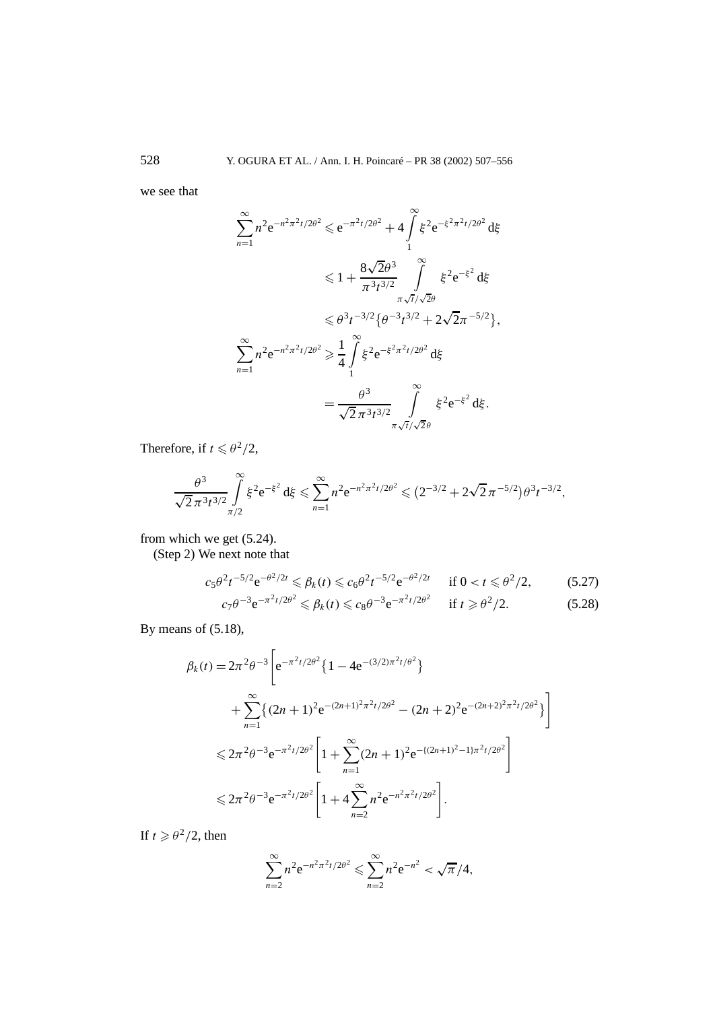we see that

$$
\sum_{n=1}^{\infty} n^2 e^{-n^2 \pi^2 t / 2\theta^2} \leq e^{-\pi^2 t / 2\theta^2} + 4 \int_{1}^{\infty} \xi^2 e^{-\xi^2 \pi^2 t / 2\theta^2} d\xi
$$
  
\n
$$
\leq 1 + \frac{8\sqrt{2}\theta^3}{\pi^3 t^{3/2}} \int_{\pi \sqrt{t} / \sqrt{2}\theta}^{\infty} \xi^2 e^{-\xi^2} d\xi
$$
  
\n
$$
\leq \theta^3 t^{-3/2} \{ \theta^{-3} t^{3/2} + 2\sqrt{2}\pi^{-5/2} \},
$$
  
\n
$$
\sum_{n=1}^{\infty} n^2 e^{-n^2 \pi^2 t / 2\theta^2} \geq \frac{1}{4} \int_{1}^{\infty} \xi^2 e^{-\xi^2 \pi^2 t / 2\theta^2} d\xi
$$
  
\n
$$
= \frac{\theta^3}{\sqrt{2} \pi^3 t^{3/2}} \int_{\pi \sqrt{t} / \sqrt{2}\theta}^{\infty} \xi^2 e^{-\xi^2} d\xi.
$$

Therefore, if  $t \le \theta^2/2$ ,

$$
\frac{\theta^3}{\sqrt{2}\pi^3t^{3/2}}\int_{\pi/2}^{\infty}\xi^2e^{-\xi^2}d\xi \leq \sum_{n=1}^{\infty}n^2e^{-n^2\pi^2t/2\theta^2} \leq (2^{-3/2}+2\sqrt{2}\pi^{-5/2})\theta^3t^{-3/2},
$$

from which we get (5.24).

(Step 2) We next note that

$$
c_5\theta^2 t^{-5/2} e^{-\theta^2/2t} \le \beta_k(t) \le c_6\theta^2 t^{-5/2} e^{-\theta^2/2t} \quad \text{if } 0 < t \le \theta^2/2,
$$
 (5.27)

$$
c_7 \theta^{-3} e^{-\pi^2 t/2\theta^2} \leq \beta_k(t) \leq c_8 \theta^{-3} e^{-\pi^2 t/2\theta^2} \quad \text{if } t \geq \theta^2/2. \tag{5.28}
$$

By means of (5.18),

$$
\beta_k(t) = 2\pi^2 \theta^{-3} \left[ e^{-\pi^2 t/2\theta^2} \{ 1 - 4e^{-(3/2)\pi^2 t/\theta^2} \} \right.
$$
  
+ 
$$
\sum_{n=1}^{\infty} \{ (2n+1)^2 e^{-(2n+1)^2 \pi^2 t/2\theta^2} - (2n+2)^2 e^{-(2n+2)^2 \pi^2 t/2\theta^2} \} \right]
$$
  

$$
\leq 2\pi^2 \theta^{-3} e^{-\pi^2 t/2\theta^2} \left[ 1 + \sum_{n=1}^{\infty} (2n+1)^2 e^{-(2n+1)^2 - 1\pi^2 t/2\theta^2} \right]
$$
  

$$
\leq 2\pi^2 \theta^{-3} e^{-\pi^2 t/2\theta^2} \left[ 1 + 4 \sum_{n=2}^{\infty} n^2 e^{-n^2 \pi^2 t/2\theta^2} \right].
$$

If  $t \ge \theta^2/2$ , then

$$
\sum_{n=2}^{\infty} n^2 e^{-n^2 \pi^2 t/2\theta^2} \leq \sum_{n=2}^{\infty} n^2 e^{-n^2} < \sqrt{\pi}/4,
$$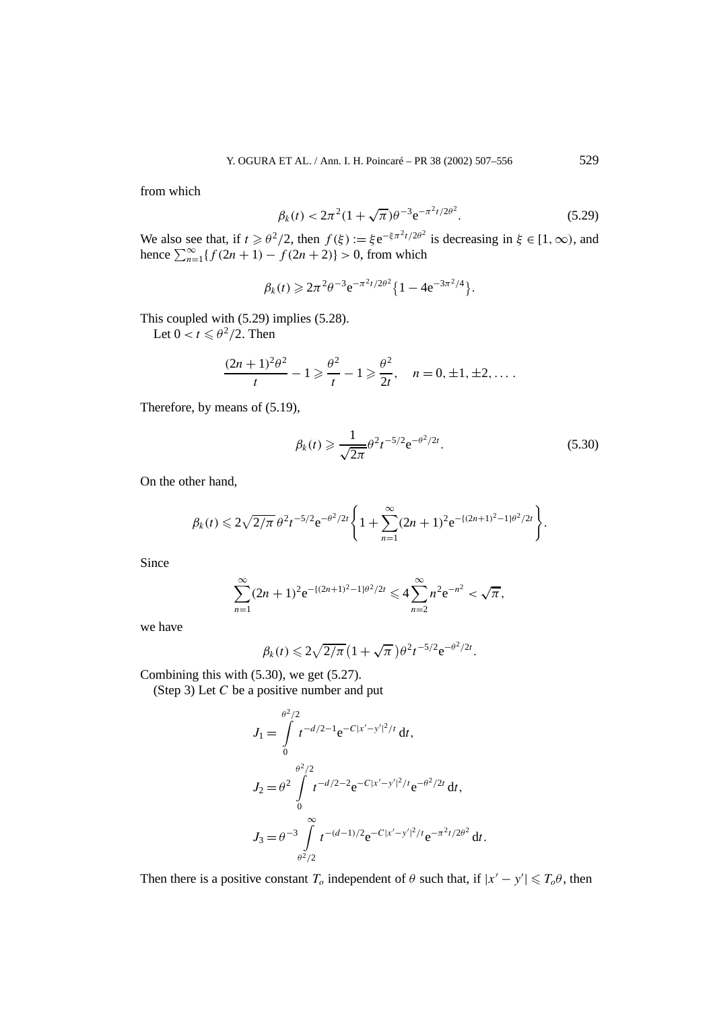from which

$$
\beta_k(t) < 2\pi^2 (1 + \sqrt{\pi}) \theta^{-3} e^{-\pi^2 t/2\theta^2}.\tag{5.29}
$$

We also see that, if  $t \ge \theta^2/2$ , then  $f(\xi) := \xi e^{-\xi \pi^2 t/2\theta^2}$  is decreasing in  $\xi \in [1, \infty)$ , and hence  $\sum_{n=1}^{\infty} {f(2n+1) - f(2n+2)} > 0$ , from which

$$
\beta_k(t) \geq 2\pi^2 \theta^{-3} e^{-\pi^2 t/2\theta^2} \{1 - 4e^{-3\pi^2/4}\}.
$$

This coupled with (5.29) implies (5.28).

Let  $0 < t \leq \theta^2/2$ . Then

$$
\frac{(2n+1)^2\theta^2}{t} - 1 \geq \frac{\theta^2}{t} - 1 \geq \frac{\theta^2}{2t}, \quad n = 0, \pm 1, \pm 2, \dots
$$

Therefore, by means of (5.19),

$$
\beta_k(t) \geq \frac{1}{\sqrt{2\pi}} \theta^2 t^{-5/2} e^{-\theta^2/2t}.
$$
\n(5.30)

On the other hand,

$$
\beta_k(t) \leq 2\sqrt{2/\pi} \,\theta^2 t^{-5/2} e^{-\theta^2/2t} \Bigg\{ 1 + \sum_{n=1}^{\infty} (2n+1)^2 e^{-[(2n+1)^2-1]\theta^2/2t} \Bigg\}.
$$

Since

$$
\sum_{n=1}^{\infty} (2n+1)^2 e^{-(2n+1)^2 - 1)\theta^2/2t} \leq 4 \sum_{n=2}^{\infty} n^2 e^{-n^2} < \sqrt{\pi},
$$

we have

$$
\beta_k(t) \leqslant 2\sqrt{2/\pi} \left(1+\sqrt{\pi}\right) \theta^2 t^{-5/2} e^{-\theta^2/2t}.
$$

Combining this with (5.30), we get (5.27).

(Step 3) Let *C* be a positive number and put

$$
J_1 = \int_0^{\theta^2/2} t^{-d/2-1} e^{-C|x'-y'|^2/t} dt,
$$
  
\n
$$
J_2 = \theta^2 \int_0^{\theta^2/2} t^{-d/2-2} e^{-C|x'-y'|^2/t} e^{-\theta^2/2t} dt,
$$
  
\n
$$
J_3 = \theta^{-3} \int_0^\infty t^{-(d-1)/2} e^{-C|x'-y'|^2/t} e^{-\pi^2 t/2\theta^2} dt.
$$

Then there is a positive constant  $T_o$  independent of  $\theta$  such that, if  $|x'-y'| \le T_o\theta$ , then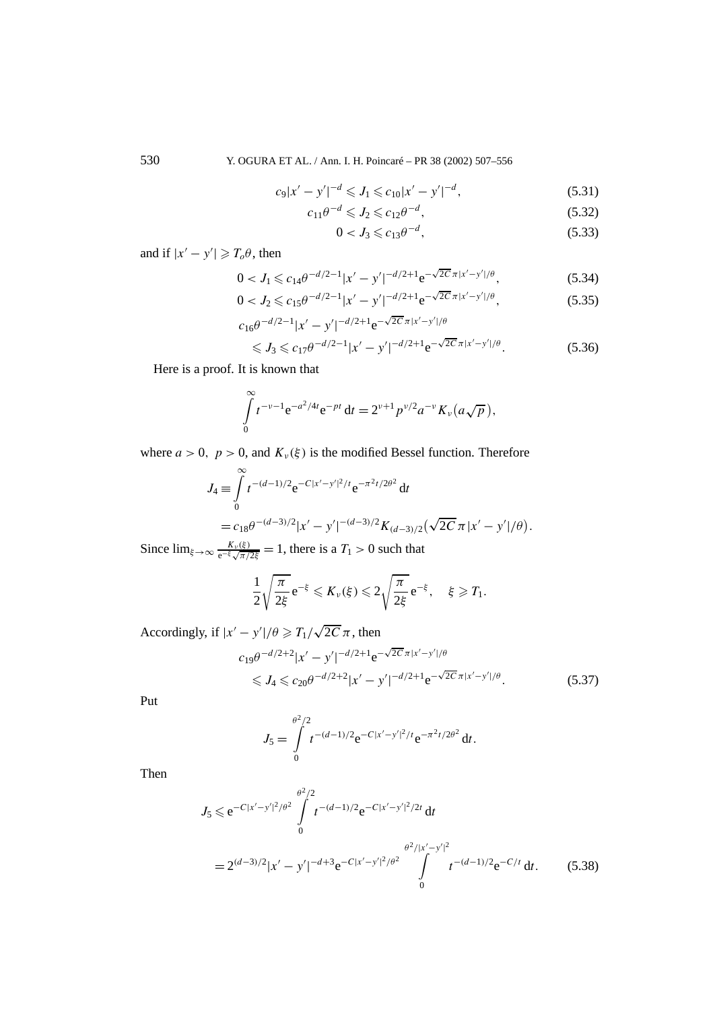530 Y. OGURA ET AL. / Ann. I. H. Poincaré – PR 38 (2002) 507–556

$$
c_9|x'-y'|^{-d} \leqslant J_1 \leqslant c_{10}|x'-y'|^{-d},\tag{5.31}
$$

$$
c_{11}\theta^{-d} \leqslant J_2 \leqslant c_{12}\theta^{-d},\tag{5.32}
$$

$$
0 < J_3 \leqslant c_{13} \theta^{-d},\tag{5.33}
$$

and if  $|x'-y'| \ge T_o \theta$ , then

$$
0 < J_1 \leqslant c_{14} \theta^{-d/2 - 1} |x' - y'|^{-d/2 + 1} e^{-\sqrt{2C} \pi |x' - y'|/\theta}, \tag{5.34}
$$

$$
0 < J_2 \leqslant c_{15} \theta^{-d/2 - 1} |x' - y'|^{-d/2 + 1} e^{-\sqrt{2C} \pi |x' - y'| / \theta},\tag{5.35}
$$

$$
c_{16}\theta^{-d/2-1}|x'-y'|^{-d/2+1}e^{-\sqrt{2C}\pi|x'-y'|/\theta}
$$
  
\$\leqslant J\_3 \leqslant c\_{17}\theta^{-d/2-1}|x'-y'|^{-d/2+1}e^{-\sqrt{2C}\pi|x'-y'|/\theta}\$. (5.36)

Here is a proof. It is known that

$$
\int_{0}^{\infty} t^{-\nu-1} e^{-a^2/4t} e^{-pt} dt = 2^{\nu+1} p^{\nu/2} a^{-\nu} K_{\nu} (a \sqrt{p}),
$$

where  $a > 0$ ,  $p > 0$ , and  $K_v(\xi)$  is the modified Bessel function. Therefore

$$
J_4 \equiv \int_0^\infty t^{-(d-1)/2} e^{-C|x'-y'|^2/t} e^{-\pi^2 t/2\theta^2} dt
$$
  
=  $c_{18}\theta^{-(d-3)/2} |x'-y'|^{-(d-3)/2} K_{(d-3)/2} (\sqrt{2C} \pi |x'-y'|/\theta).$ 

Since  $\lim_{\xi \to \infty} \frac{K_v(\xi)}{e^{-\xi} \sqrt{\pi/2\xi}} = 1$ , there is a  $T_1 > 0$  such that

$$
\frac{1}{2}\sqrt{\frac{\pi}{2\xi}}e^{-\xi}\leqslant K_{\nu}(\xi)\leqslant 2\sqrt{\frac{\pi}{2\xi}}e^{-\xi},\quad \xi\geqslant T_{1}.
$$

Accordingly, if  $|x'-y'|/\theta \ge T_1/\sqrt{2C} \pi$ , then  $c_{19}\theta^{-d/2+2}|x'-y'|^{-d/2+1}e^{-\sqrt{2C}\pi|x'-y'|/\theta}$  $\leq J_4 \leq c_{20}\theta^{-d/2+2}|x'-y'|^{-d/2+1}e^{-\sqrt{2C}\pi|x'-y'|}$ 

<sup>|</sup>*/θ .* (5.37)

Put

$$
J_5 = \int\limits_0^{\theta^2/2} t^{-(d-1)/2} e^{-C|x'-y'|^2/t} e^{-\pi^2 t/2\theta^2} dt.
$$

Then

$$
J_5 \le e^{-C|x'-y'|^2/\theta^2} \int_0^{\theta^2/2} t^{-(d-1)/2} e^{-C|x'-y'|^2/2t} dt
$$
  
=  $2^{(d-3)/2} |x'-y'|^{-d+3} e^{-C|x'-y'|^2/\theta^2} \int_0^{\theta^2/|x'-y'|^2} t^{-(d-1)/2} e^{-C/t} dt.$  (5.38)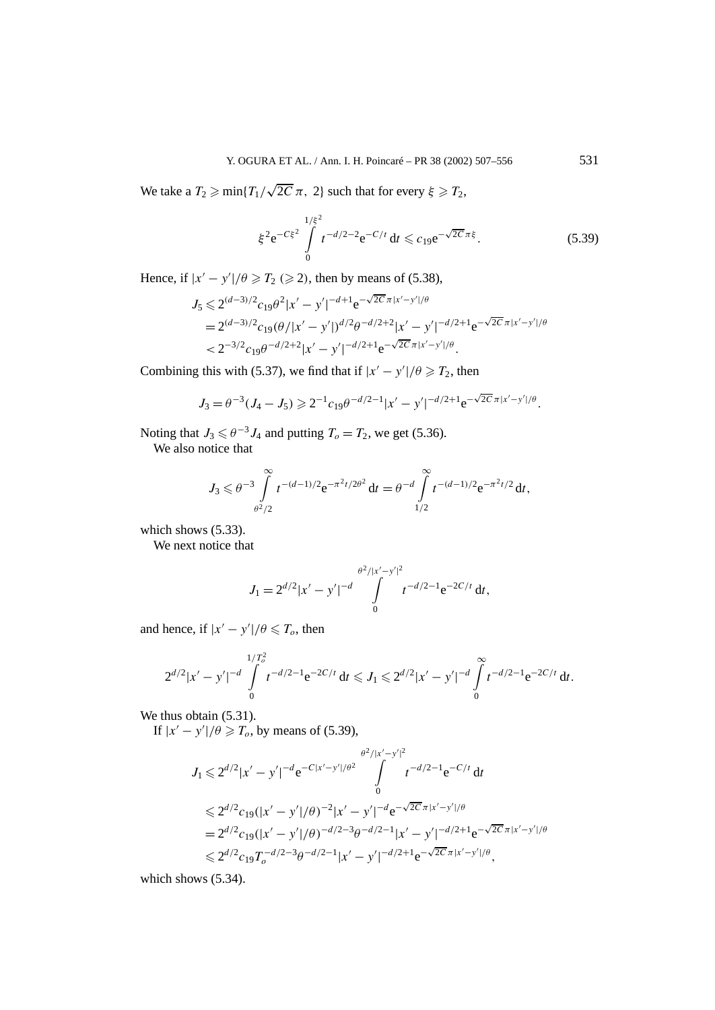We take a  $T_2 \ge \min\{T_1/\sqrt{2C}\pi, 2\}$  such that for every  $\xi \ge T_2$ ,

$$
\xi^2 e^{-C\xi^2} \int\limits_0^{1/\xi^2} t^{-d/2 - 2} e^{-C/t} dt \leqslant c_{19} e^{-\sqrt{2C}\pi\xi}.
$$
 (5.39)

Hence, if  $|x'-y'|/\theta \ge T_2 \ge 2$ , then by means of (5.38),

$$
J_5 \leq 2^{(d-3)/2} c_{19} \theta^2 |x'-y'|^{-d+1} e^{-\sqrt{2C} \pi |x'-y'|/\theta}
$$
  
=  $2^{(d-3)/2} c_{19} (\theta / |x'-y'|)^{d/2} \theta^{-d/2+2} |x'-y'|^{-d/2+1} e^{-\sqrt{2C} \pi |x'-y'|/\theta}$   
<  $2^{-3/2} c_{19} \theta^{-d/2+2} |x'-y'|^{-d/2+1} e^{-\sqrt{2C} \pi |x'-y'|/\theta}.$ 

Combining this with (5.37), we find that if  $|x'-y'|/\theta \ge T_2$ , then

$$
J_3 = \theta^{-3} (J_4 - J_5) \geqslant 2^{-1} c_{19} \theta^{-d/2 - 1} |x' - y'|^{-d/2 + 1} e^{-\sqrt{2C} \pi |x' - y'|/\theta}.
$$

Noting that  $J_3 \le \theta^{-3} J_4$  and putting  $T_0 = T_2$ , we get (5.36).

We also notice that

$$
J_3 \leq \theta^{-3} \int_{\theta^2/2}^{\infty} t^{-(d-1)/2} e^{-\pi^2 t/2\theta^2} dt = \theta^{-d} \int_{1/2}^{\infty} t^{-(d-1)/2} e^{-\pi^2 t/2} dt,
$$

which shows  $(5.33)$ .

We next notice that

$$
J_1 = 2^{d/2} |x'-y'|^{-d} \int\limits_{0}^{\theta^2/|x'-y'|^2} t^{-d/2-1} e^{-2C/t} dt,
$$

and hence, if  $|x'-y'|/\theta \le T_o$ , then

$$
2^{d/2}|x'-y'|^{-d}\int\limits_{0}^{1/T_0^2}t^{-d/2-1}e^{-2C/t}\,dt\leqslant J_1\leqslant 2^{d/2}|x'-y'|^{-d}\int\limits_{0}^{\infty}t^{-d/2-1}e^{-2C/t}\,dt.
$$

We thus obtain  $(5.31)$ .

If  $|x'-y'|/\theta \ge T_o$ , by means of (5.39),

$$
J_1 \leq 2^{d/2} |x'-y'|^{-d} e^{-C|x'-y'|/\theta^2} \int_0^{\theta^2/|x'-y'|^2} t^{-d/2-1} e^{-C/t} dt
$$
  
\n
$$
\leq 2^{d/2} c_{19} (|x'-y'|/\theta)^{-2} |x'-y'|^{-d} e^{-\sqrt{2C} \pi |x'-y'|/\theta}
$$
  
\n
$$
= 2^{d/2} c_{19} (|x'-y'|/\theta)^{-d/2-3} \theta^{-d/2-1} |x'-y'|^{-d/2+1} e^{-\sqrt{2C} \pi |x'-y'|/\theta}
$$
  
\n
$$
\leq 2^{d/2} c_{19} T_o^{-d/2-3} \theta^{-d/2-1} |x'-y'|^{-d/2+1} e^{-\sqrt{2C} \pi |x'-y'|/\theta},
$$

which shows (5.34).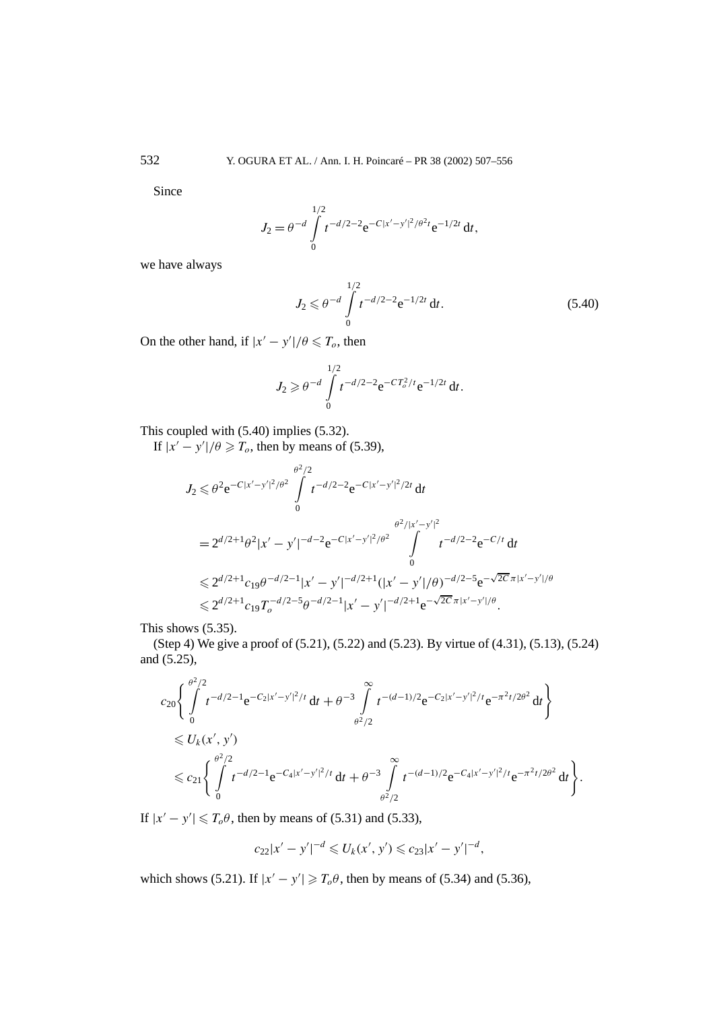Since

$$
J_2 = \theta^{-d} \int\limits_{0}^{1/2} t^{-d/2 - 2} e^{-C|x'-y'|^2/\theta^2 t} e^{-1/2t} dt,
$$

we have always

$$
J_2 \leqslant \theta^{-d} \int\limits_{0}^{1/2} t^{-d/2 - 2} e^{-1/2t} dt.
$$
 (5.40)

On the other hand, if  $|x'-y'|/\theta \le T_o$ , then

$$
J_2 \geqslant \theta^{-d} \int\limits_{0}^{1/2} t^{-d/2 - 2} e^{-CT_o^2/t} e^{-1/2t} dt.
$$

This coupled with 
$$
(5.40)
$$
 implies  $(5.32)$ .

If  $|x'-y'|/\theta \ge T_o$ , then by means of (5.39),

$$
J_2 \leq \theta^2 e^{-C|x'-y'|^2/\theta^2} \int_0^{\theta^2/2} t^{-d/2-2} e^{-C|x'-y'|^2/2t} dt
$$
  
\n
$$
= 2^{d/2+1} \theta^2 |x'-y'|^{-d-2} e^{-C|x'-y'|^2/\theta^2} \int_0^{\theta^2/|x'-y'|^2} t^{-d/2-2} e^{-C/t} dt
$$
  
\n
$$
\leq 2^{d/2+1} c_{19} \theta^{-d/2-1} |x'-y'|^{-d/2+1} (|x'-y'|/\theta)^{-d/2-5} e^{-\sqrt{2C} \pi |x'-y'|/\theta}
$$
  
\n
$$
\leq 2^{d/2+1} c_{19} T_0^{-d/2-5} \theta^{-d/2-1} |x'-y'|^{-d/2+1} e^{-\sqrt{2C} \pi |x'-y'|/\theta}.
$$

This shows (5.35).

(Step 4) We give a proof of (5.21), (5.22) and (5.23). By virtue of (4.31), (5.13), (5.24) and (5.25),

$$
c_{20}\left\{\int_{0}^{\theta^{2}/2} t^{-d/2-1} e^{-C_{2}|x'-y'|^{2}/t} dt + \theta^{-3} \int_{\theta^{2}/2}^{\infty} t^{-(d-1)/2} e^{-C_{2}|x'-y'|^{2}/t} e^{-\pi^{2}t/2\theta^{2}} dt \right\}
$$
  
\$\leq U\_{k}(x', y')\$  
\$\leq C\_{21}\left\{\int\_{0}^{\theta^{2}/2} t^{-d/2-1} e^{-C\_{4}|x'-y'|^{2}/t} dt + \theta^{-3} \int\_{\theta^{2}/2}^{\infty} t^{-(d-1)/2} e^{-C\_{4}|x'-y'|^{2}/t} e^{-\pi^{2}t/2\theta^{2}} dt \right\}\$.

If  $|x'-y'| \le T_o \theta$ , then by means of (5.31) and (5.33),

$$
c_{22}|x'-y'|^{-d} \leq U_k(x',y') \leq c_{23}|x'-y'|^{-d},
$$

which shows (5.21). If  $|x'-y'| \ge T_o \theta$ , then by means of (5.34) and (5.36),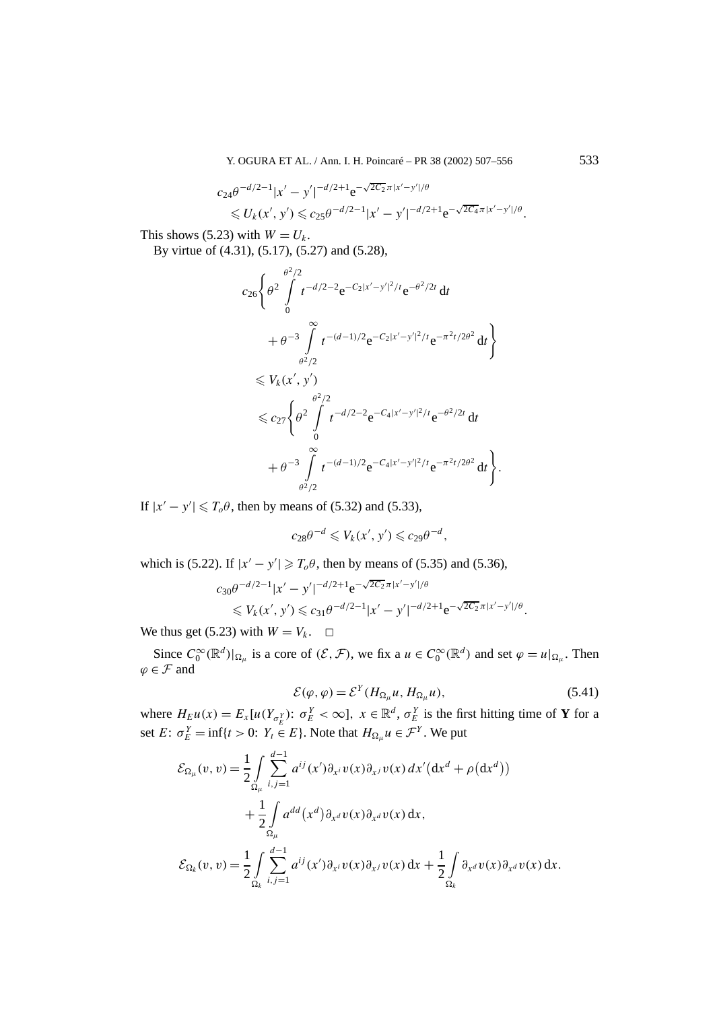$$
c_{24}\theta^{-d/2-1}|x'-y'|^{-d/2+1}e^{-\sqrt{2C_2}\pi|x'-y'|/\theta}
$$
  
\$\leq U\_k(x',y') \leq c\_{25}\theta^{-d/2-1}|x'-y'|^{-d/2+1}e^{-\sqrt{2C\_4}\pi|x'-y'|/\theta}.\$

This shows (5.23) with  $W = U_k$ .

By virtue of (4.31), (5.17), (5.27) and (5.28),

$$
c_{26} \left\{ \theta^2 \int_0^{\theta^2/2} t^{-d/2-2} e^{-C_2 |x'-y'|^2/t} e^{-\theta^2/2t} dt + \theta^{-3} \int_0^\infty t^{-(d-1)/2} e^{-C_2 |x'-y'|^2/t} e^{-\pi^2 t/2\theta^2} dt \right\} \n\leq V_k(x', y') \n\leq c_{27} \left\{ \theta^2 \int_0^{\theta^2/2} t^{-d/2-2} e^{-C_4 |x'-y'|^2/t} e^{-\theta^2/2t} dt + \theta^{-3} \int_0^\infty t^{-(d-1)/2} e^{-C_4 |x'-y'|^2/t} e^{-\pi^2 t/2\theta^2} dt \right\}.
$$

If  $|x'-y'| \le T_o\theta$ , then by means of (5.32) and (5.33),

$$
c_{28}\theta^{-d} \leqslant V_k(x',y') \leqslant c_{29}\theta^{-d},
$$

which is (5.22). If  $|x'-y'| \ge T_o \theta$ , then by means of (5.35) and (5.36),

$$
c_{30}\theta^{-d/2-1}|x'-y'|^{-d/2+1}e^{-\sqrt{2C_2}\pi|x'-y'|/\theta}
$$
  
\$\leq V\_k(x',y') \leq c\_{31}\theta^{-d/2-1}|x'-y'|^{-d/2+1}e^{-\sqrt{2C\_2}\pi|x'-y'|/\theta}\$.

We thus get (5.23) with  $W = V_k$ .  $\Box$ 

Since  $C_0^{\infty}(\mathbb{R}^d)|_{\Omega_\mu}$  is a core of  $(\mathcal{E}, \mathcal{F})$ , we fix a  $u \in C_0^{\infty}(\mathbb{R}^d)$  and set  $\varphi = u|_{\Omega_\mu}$ . Then  $\varphi \in \mathcal{F}$  and

$$
\mathcal{E}(\varphi,\varphi) = \mathcal{E}^{Y}(H_{\Omega_{\mu}}u, H_{\Omega_{\mu}}u), \qquad (5.41)
$$

where  $H_E u(x) = E_x[u(Y_{\sigma_E^Y}) : \sigma_E^Y < \infty]$ ,  $x \in \mathbb{R}^d$ ,  $\sigma_E^Y$  is the first hitting time of **Y** for a set  $E: \sigma_E^Y = \inf\{t > 0: Y_t \in E\}$ . Note that  $H_{\Omega_\mu} u \in \mathcal{F}^Y$ . We put

$$
\mathcal{E}_{\Omega_{\mu}}(v, v) = \frac{1}{2} \int_{\Omega_{\mu}} \sum_{i,j=1}^{d-1} a^{ij}(x') \partial_{x^i} v(x) \partial_{x^j} v(x) dx' (dx^d + \rho(dx^d))
$$
  
+ 
$$
\frac{1}{2} \int_{\Omega_{\mu}} a^{dd}(x^d) \partial_{x^d} v(x) \partial_{x^d} v(x) dx,
$$
  

$$
\mathcal{E}_{\Omega_k}(v, v) = \frac{1}{2} \int_{\Omega_k} \sum_{i,j=1}^{d-1} a^{ij}(x') \partial_{x^i} v(x) \partial_{x^j} v(x) dx + \frac{1}{2} \int_{\Omega_k} \partial_{x^d} v(x) \partial_{x^d} v(x) dx.
$$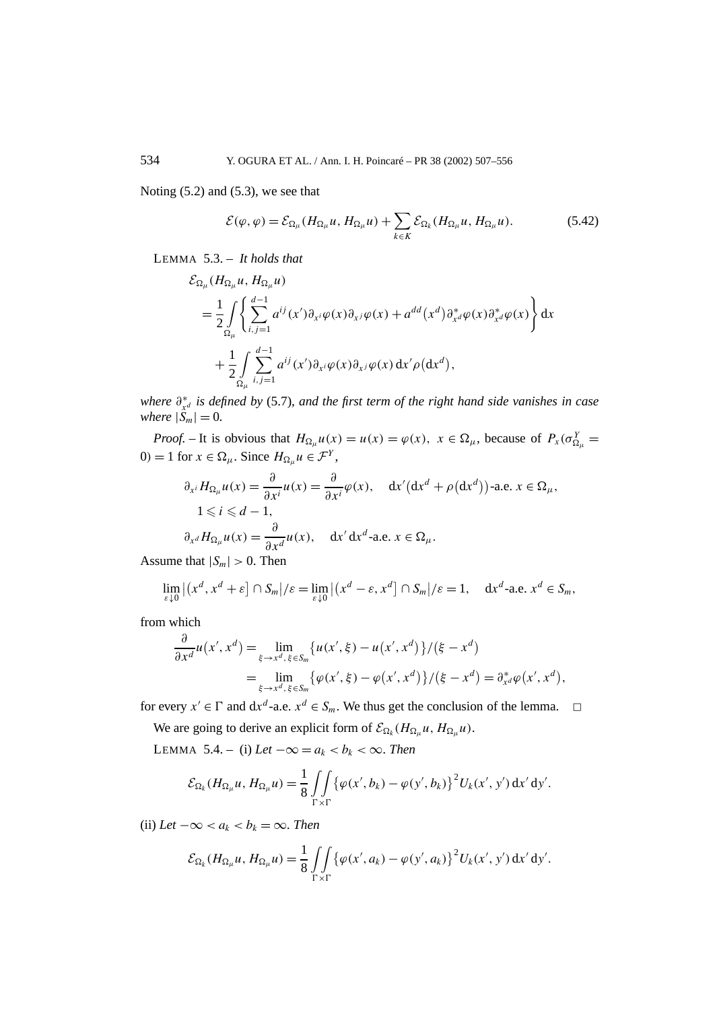Noting  $(5.2)$  and  $(5.3)$ , we see that

$$
\mathcal{E}(\varphi,\varphi) = \mathcal{E}_{\Omega_{\mu}}(H_{\Omega_{\mu}}u, H_{\Omega_{\mu}}u) + \sum_{k \in K} \mathcal{E}_{\Omega_{k}}(H_{\Omega_{\mu}}u, H_{\Omega_{\mu}}u). \tag{5.42}
$$

LEMMA 5.3. – *It holds that*

$$
\mathcal{E}_{\Omega_{\mu}}(H_{\Omega_{\mu}}u, H_{\Omega_{\mu}}u)
$$
\n
$$
= \frac{1}{2} \int\limits_{\Omega_{\mu}} \left\{ \sum_{i,j=1}^{d-1} a^{ij}(x') \partial_{x^i} \varphi(x) \partial_{x^j} \varphi(x) + a^{dd}(x^d) \partial_{x^d}^* \varphi(x) \partial_{x^d}^* \varphi(x) \right\} dx
$$
\n
$$
+ \frac{1}{2} \int\limits_{\Omega_{\mu}} \sum_{i,j=1}^{d-1} a^{ij}(x') \partial_{x^i} \varphi(x) \partial_{x^j} \varphi(x) dx' \rho(dx^d),
$$

*where ∂*<sup>∗</sup> *<sup>x</sup><sup>d</sup> is defined by* (5.7)*, and the first term of the right hand side vanishes in case where*  $|S_m| = 0$ *.* 

*Proof.* – It is obvious that  $H_{\Omega_\mu} u(x) = u(x) = \varphi(x)$ ,  $x \in \Omega_\mu$ , because of  $P_x(\sigma_{\Omega_\mu}^Y) =$ 0*)* = 1 for  $x \in \Omega_{\mu}$ . Since  $H_{\Omega_{\mu}} u \in \mathcal{F}^{Y}$ ,

$$
\partial_{x^i} H_{\Omega_\mu} u(x) = \frac{\partial}{\partial x^i} u(x) = \frac{\partial}{\partial x^i} \varphi(x), \quad dx' (dx^d + \rho(dx^d)) \text{-a.e. } x \in \Omega_\mu,
$$
  

$$
1 \le i \le d - 1,
$$
  

$$
\partial_{x^d} H_{\Omega_\mu} u(x) = \frac{\partial}{\partial x^d} u(x), \quad dx' dx^d \text{-a.e. } x \in \Omega_\mu.
$$

Assume that  $|S_m| > 0$ . Then

$$
\lim_{\varepsilon \downarrow 0} |(x^d, x^d + \varepsilon] \cap S_m|/\varepsilon = \lim_{\varepsilon \downarrow 0} |(x^d - \varepsilon, x^d] \cap S_m|/\varepsilon = 1, \quad dx^d \text{-a.e. } x^d \in S_m,
$$

from which

$$
\frac{\partial}{\partial x^d} u(x', x^d) = \lim_{\xi \to x^d, \xi \in S_m} \{ u(x', \xi) - u(x', x^d) \} / (\xi - x^d) \n= \lim_{\xi \to x^d, \xi \in S_m} \{ \varphi(x', \xi) - \varphi(x', x^d) \} / (\xi - x^d) = \partial_{x^d}^* \varphi(x', x^d),
$$

for every  $x' \in \Gamma$  and  $dx^d$ -a.e.  $x^d \in S_m$ . We thus get the conclusion of the lemma.  $\Box$ 

We are going to derive an explicit form of  $\mathcal{E}_{\Omega_k}(H_{\Omega_u}u, H_{\Omega_u}u)$ .

LEMMA 5.4. – (i)  $Let -∞ = a_k < b_k < ∞$ . Then

$$
\mathcal{E}_{\Omega_k}(H_{\Omega_\mu}u, H_{\Omega_\mu}u) = \frac{1}{8} \iint\limits_{\Gamma \times \Gamma} \{ \varphi(x', b_k) - \varphi(y', b_k) \}^2 U_k(x', y') \, \mathrm{d}x' \, \mathrm{d}y'.
$$

(ii)  $Let -\infty < a_k < b_k = \infty$ . Then

$$
\mathcal{E}_{\Omega_k}(H_{\Omega_\mu}u, H_{\Omega_\mu}u) = \frac{1}{8} \iint\limits_{\Gamma \times \Gamma} \{ \varphi(x', a_k) - \varphi(y', a_k) \}^2 U_k(x', y') \, dx' \, dy'.
$$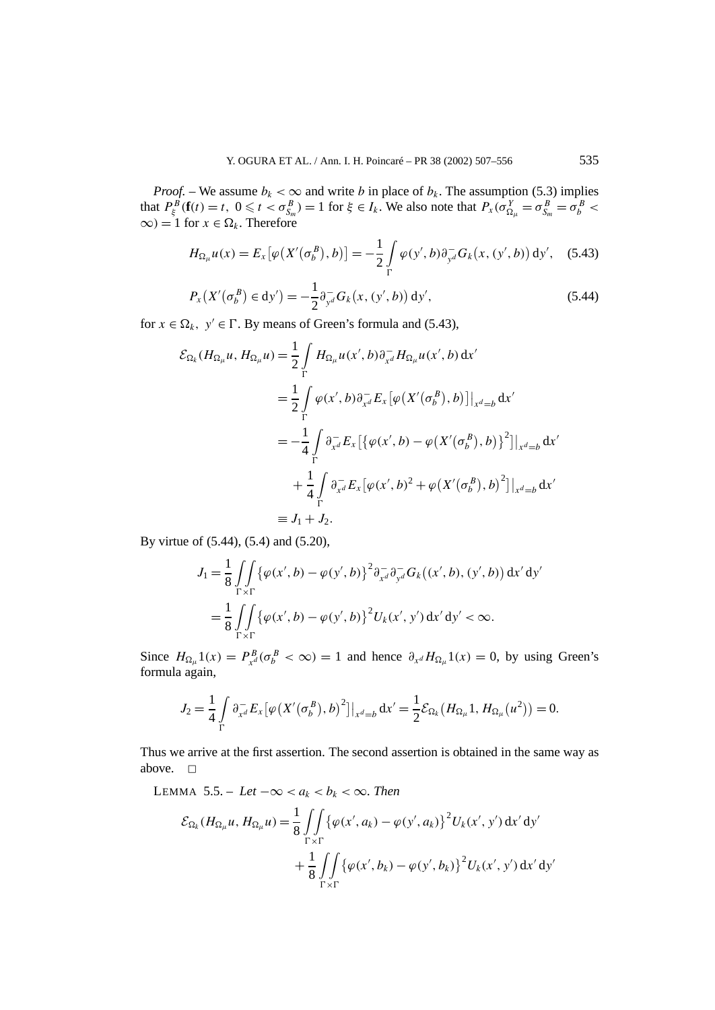*Proof.* – We assume  $b_k < \infty$  and write *b* in place of  $b_k$ . The assumption (5.3) implies that  $P_{\xi}^{B}(\mathbf{f}(t) = t, 0 \leq t < \sigma_{S_m}^{B}) = 1$  for  $\xi \in I_k$ . We also note that  $P_x(\sigma_{\Omega_{\mu}}^Y = \sigma_{S_m}^B = \sigma_b^B <$  $\infty$ *)* = 1 for  $x \in \Omega_k$ . Therefore

$$
H_{\Omega_{\mu}}u(x) = E_x[\varphi(X'(\sigma_b^B), b)] = -\frac{1}{2} \int_{\Gamma} \varphi(y', b) \partial_{y^d}^- G_k(x, (y', b)) dy', \quad (5.43)
$$

$$
P_{x}\left(X'(\sigma_{b}^{B}) \in dy'\right) = -\frac{1}{2} \partial_{y^{d}}^{-} G_{k}\left(x, (y', b)\right) dy', \tag{5.44}
$$

for  $x \in \Omega_k$ ,  $y' \in \Gamma$ . By means of Green's formula and (5.43),

$$
\mathcal{E}_{\Omega_{k}}(H_{\Omega_{\mu}}u, H_{\Omega_{\mu}}u) = \frac{1}{2} \int_{\Gamma} H_{\Omega_{\mu}}u(x', b)\partial_{x^{d}}^{-1}H_{\Omega_{\mu}}u(x', b) dx'\n= \frac{1}{2} \int_{\Gamma} \varphi(x', b)\partial_{x^{d}}^{-1} E_{x} [\varphi(X'(\sigma_{b}^{B}), b)]|_{x^{d}=b} dx'\n= -\frac{1}{4} \int_{\Gamma} \partial_{x^{d}}^{-1} E_{x} [\{\varphi(x', b) - \varphi(X'(\sigma_{b}^{B}), b)\}^{2}]|_{x^{d}=b} dx'\n+ \frac{1}{4} \int_{\Gamma} \partial_{x^{d}}^{-1} E_{x} [\varphi(x', b)^{2} + \varphi(X'(\sigma_{b}^{B}), b)^{2}]|_{x^{d}=b} dx'\n= J_{1} + J_{2}.
$$

By virtue of (5.44), (5.4) and (5.20),

$$
J_{1} = \frac{1}{8} \iint_{\Gamma \times \Gamma} \{ \varphi(x', b) - \varphi(y', b) \}^{2} \partial_{x^{d}}^{-} \partial_{y^{d}}^{-} G_{k}((x', b), (y', b)) dx' dy'= \frac{1}{8} \iint_{\Gamma \times \Gamma} \{ \varphi(x', b) - \varphi(y', b) \}^{2} U_{k}(x', y') dx' dy' < \infty.
$$

Since  $H_{\Omega_{\mu}} 1(x) = P_{x^d}^B (\sigma_b^B < \infty) = 1$  and hence  $\partial_{x^d} H_{\Omega_{\mu}} 1(x) = 0$ , by using Green's formula again,

$$
J_2 = \frac{1}{4} \int_{\Gamma} \partial_{x^d}^{-} E_x \left[ \varphi(X'(\sigma_b^B), b)^2 \right] \big|_{x^d = b} dx' = \frac{1}{2} \mathcal{E}_{\Omega_k} (H_{\Omega_{\mu}} 1, H_{\Omega_{\mu}} (u^2)) = 0.
$$

Thus we arrive at the first assertion. The second assertion is obtained in the same way as above.  $\square$ 

LEMMA 5.5. – Let 
$$
-\infty < a_k < b_k < \infty
$$
. Then  
\n
$$
\mathcal{E}_{\Omega_k}(H_{\Omega_\mu}u, H_{\Omega_\mu}u) = \frac{1}{8} \iint_{\Gamma \times \Gamma} \{\varphi(x', a_k) - \varphi(y', a_k)\}^2 U_k(x', y') dx' dy' + \frac{1}{8} \iint_{\Gamma \times \Gamma} \{\varphi(x', b_k) - \varphi(y', b_k)\}^2 U_k(x', y') dx' dy'
$$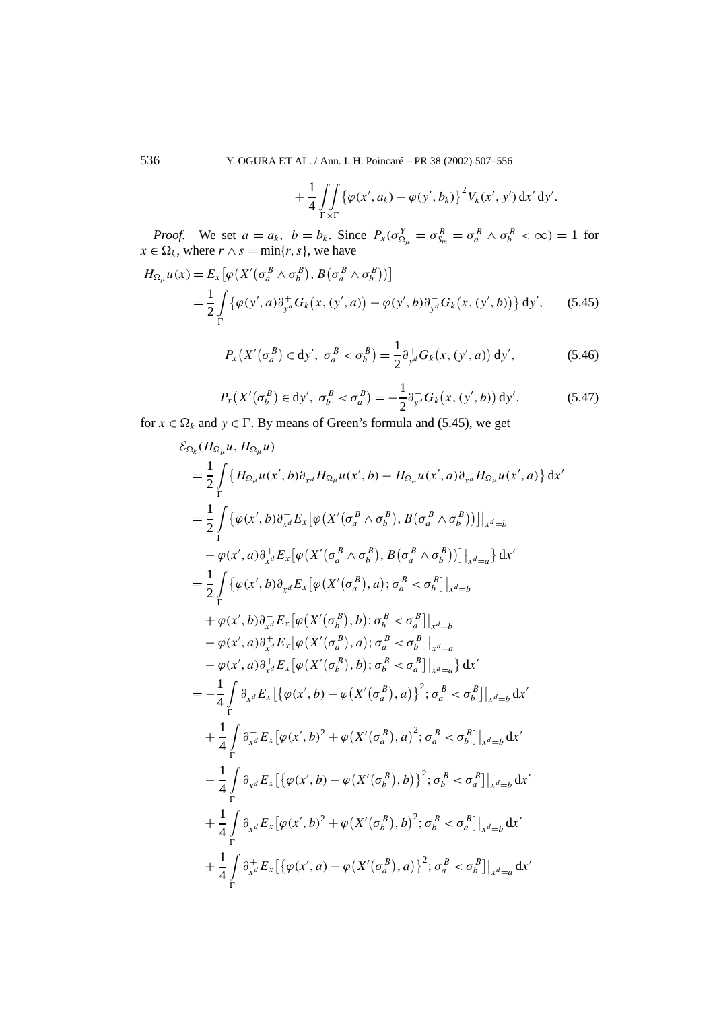536 Y. OGURA ET AL. / Ann. I. H. Poincaré – PR 38 (2002) 507–556

$$
+\frac{1}{4}\iint\limits_{\Gamma\times\Gamma}\{\varphi(x',a_k)-\varphi(y',b_k)\}^2V_k(x',y')\,dx'\,dy'.
$$

*Proof.* – We set  $a = a_k$ ,  $b = b_k$ . Since  $P_x(\sigma_{\Omega_\mu}^Y = \sigma_{\delta_m}^B = \sigma_a^B \wedge \sigma_b^B < \infty) = 1$  for  $x \in \Omega_k$ , where  $r \wedge s = \min\{r, s\}$ , we have

$$
H_{\Omega_{\mu}}u(x) = E_x[\varphi(X'(\sigma_a^B \wedge \sigma_b^B), B(\sigma_a^B \wedge \sigma_b^B))]
$$
  
=  $\frac{1}{2} \int_{\Gamma} {\varphi(y', a) \partial_{y^d}^+ G_k(x, (y', a)) - \varphi(y', b) \partial_{y^d}^- G_k(x, (y', b))} dy',$  (5.45)

$$
P_{x}\left(X'\left(\sigma_{a}^{B}\right)\in \mathrm{d}y',\ \sigma_{a}^{B}<\sigma_{b}^{B}\right)=\frac{1}{2}\partial_{y^{d}}^{+}G_{k}\left(x,\left(y',a\right)\right)\mathrm{d}y',\tag{5.46}
$$

$$
P_{x}\left(X'(\sigma_{b}^{B}) \in dy', \; \sigma_{b}^{B} < \sigma_{a}^{B}\right) = -\frac{1}{2}\partial_{y^{d}}^{-}G_{k}\left(x, \left(y', b\right)\right) dy',\tag{5.47}
$$

for  $x \in \Omega_k$  and  $y \in \Gamma$ . By means of Green's formula and (5.45), we get

$$
\mathcal{E}_{\Omega_{k}}(H_{\Omega_{\mu}}u, H_{\Omega_{\mu}}u)
$$
\n
$$
= \frac{1}{2} \int_{\Gamma} \{H_{\Omega_{\mu}}u(x',b)\partial_{x^{d}}^{-1}H_{\Omega_{\mu}}u(x',b) - H_{\Omega_{\mu}}u(x',a)\partial_{x^{d}}^{+}H_{\Omega_{\mu}}u(x',a)\} dx'
$$
\n
$$
= \frac{1}{2} \int_{\Gamma} \{\varphi(x',b)\partial_{x^{d}}^{-1}E_{x}[\varphi(X'(\sigma_{a}^{B} \wedge \sigma_{b}^{B}), B(\sigma_{a}^{B} \wedge \sigma_{b}^{B}))]\big|_{x^{d}=b}
$$
\n
$$
- \varphi(x',a)\partial_{x^{d}}^{+}E_{x}[\varphi(X'(\sigma_{a}^{B} \wedge \sigma_{b}^{B}), B(\sigma_{a}^{B} \wedge \sigma_{b}^{B}))]\big|_{x^{d}=a}\} dx'
$$
\n
$$
= \frac{1}{2} \int_{\Gamma} \{\varphi(x',b)\partial_{x^{d}}^{-1}E_{x}[\varphi(X'(\sigma_{a}^{B}),a); \sigma_{a}^{B} < \sigma_{b}^{B}]\big|_{x^{d}=b}
$$
\n
$$
+ \varphi(x',b)\partial_{x^{d}}^{-1}E_{x}[\varphi(X'(\sigma_{a}^{B}),b); \sigma_{b}^{B} < \sigma_{a}^{B}]\big|_{x^{d}=b}
$$
\n
$$
- \varphi(x',a)\partial_{x^{d}}^{+}E_{x}[\varphi(X'(\sigma_{a}^{B}),a); \sigma_{a}^{B} < \sigma_{b}^{B}]\big|_{x^{d}=a}
$$
\n
$$
- \varphi(x',a)\partial_{x^{d}}^{+}E_{x}[\varphi(X'(\sigma_{b}^{B}),b); \sigma_{b}^{B} < \sigma_{a}^{B}]\big|_{x^{d}=a}\} dx'
$$
\n
$$
= -\frac{1}{4} \int_{\Gamma} \partial_{x^{d}}^{-1}E_{x}[\varphi(x',b) - \varphi(X'(\sigma_{a}^{B}),a)^{2}; \sigma_{a}^{B} < \sigma_{b}^{B}]\big|_{x^{d}=b}\,dx'
$$
\n
$$
+ \frac{1}{4} \int_{\Gamma} \partial_{x^{d}}^{-1}E_{x}[\varphi(x',b) -
$$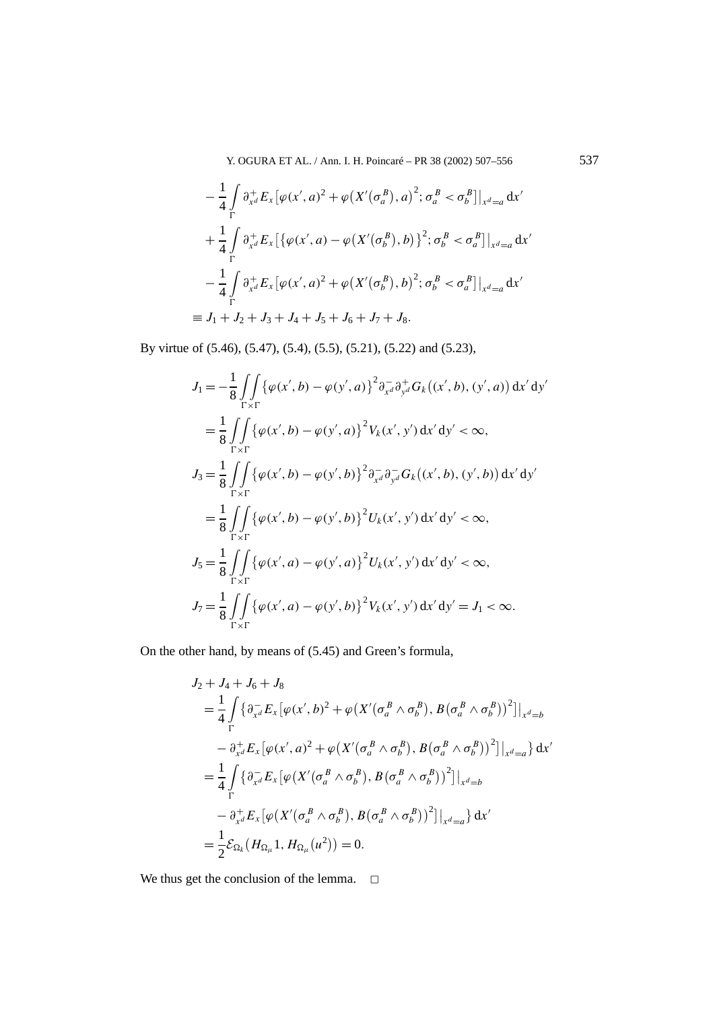Y. OGURA ET AL. / Ann. I. H. Poincaré – PR 38 (2002) 507–556 537

$$
-\frac{1}{4}\int_{\Gamma} \partial_{x^d}^+ E_x \left[\varphi(x', a)^2 + \varphi(X'(\sigma_a^B), a)^2; \sigma_a^B < \sigma_b^B\right]\Big|_{x^d=a} dx'
$$
\n
$$
+\frac{1}{4}\int_{\Gamma} \partial_{x^d}^+ E_x \left[\left\{\varphi(x', a) - \varphi(X'(\sigma_b^B), b)\right\}^2; \sigma_b^B < \sigma_a^B\right]\Big|_{x^d=a} dx'
$$
\n
$$
-\frac{1}{4}\int_{\Gamma} \partial_{x^d}^+ E_x \left[\varphi(x', a)^2 + \varphi(X'(\sigma_b^B), b)^2; \sigma_b^B < \sigma_a^B\right]\Big|_{x^d=a} dx'
$$
\n
$$
\equiv J_1 + J_2 + J_3 + J_4 + J_5 + J_6 + J_7 + J_8.
$$

By virtue of (5.46), (5.47), (5.4), (5.5), (5.21), (5.22) and (5.23),

$$
J_{1} = -\frac{1}{8} \iint_{\Gamma \times \Gamma} \{\varphi(x',b) - \varphi(y',a)\}^{2} \partial_{x^{d}}^{-} \partial_{y^{d}}^{+} G_{k}((x',b), (y',a)) dx'dy'
$$
  
\n
$$
= \frac{1}{8} \iint_{\Gamma \times \Gamma} \{\varphi(x',b) - \varphi(y',a)\}^{2} V_{k}(x',y') dx'dy' < \infty,
$$
  
\n
$$
J_{3} = \frac{1}{8} \iint_{\Gamma \times \Gamma} \{\varphi(x',b) - \varphi(y',b)\}^{2} \partial_{x^{d}}^{-} \partial_{y^{d}}^{-} G_{k}((x',b), (y',b)) dx'dy'
$$
  
\n
$$
= \frac{1}{8} \iint_{\Gamma \times \Gamma} \{\varphi(x',b) - \varphi(y',b)\}^{2} U_{k}(x',y') dx'dy' < \infty,
$$
  
\n
$$
J_{5} = \frac{1}{8} \iint_{\Gamma \times \Gamma} \{\varphi(x',a) - \varphi(y',a)\}^{2} U_{k}(x',y') dx'dy' < \infty,
$$
  
\n
$$
J_{7} = \frac{1}{8} \iint_{\Gamma \times \Gamma} \{\varphi(x',a) - \varphi(y',b)\}^{2} V_{k}(x',y') dx'dy' = J_{1} < \infty.
$$

On the other hand, by means of (5.45) and Green's formula,

$$
J_2 + J_4 + J_6 + J_8
$$
  
\n
$$
= \frac{1}{4} \int_{\Gamma} \{ \partial_{x^d}^{-1} E_x \left[ \varphi(x', b)^2 + \varphi(X'(\sigma_a^B \wedge \sigma_b^B), B(\sigma_a^B \wedge \sigma_b^B)) \right] |_{x^d=b}
$$
  
\n
$$
- \partial_{x^d}^{+} E_x \left[ \varphi(x', a)^2 + \varphi(X'(\sigma_a^B \wedge \sigma_b^B), B(\sigma_a^B \wedge \sigma_b^B)) \right] |_{x^d=a} dx'
$$
  
\n
$$
= \frac{1}{4} \int_{\Gamma} \{ \partial_{x^d}^{-1} E_x \left[ \varphi(X'(\sigma_a^B \wedge \sigma_b^B), B(\sigma_a^B \wedge \sigma_b^B)) \right] |_{x^d=b}
$$
  
\n
$$
- \partial_{x^d}^{+} E_x \left[ \varphi(X'(\sigma_a^B \wedge \sigma_b^B), B(\sigma_a^B \wedge \sigma_b^B)) \right] |_{x^d=a} dx'
$$
  
\n
$$
= \frac{1}{2} \mathcal{E}_{\Omega_k} (H_{\Omega_{\mu}} 1, H_{\Omega_{\mu}} (u^2)) = 0.
$$

We thus get the conclusion of the lemma.  $\Box$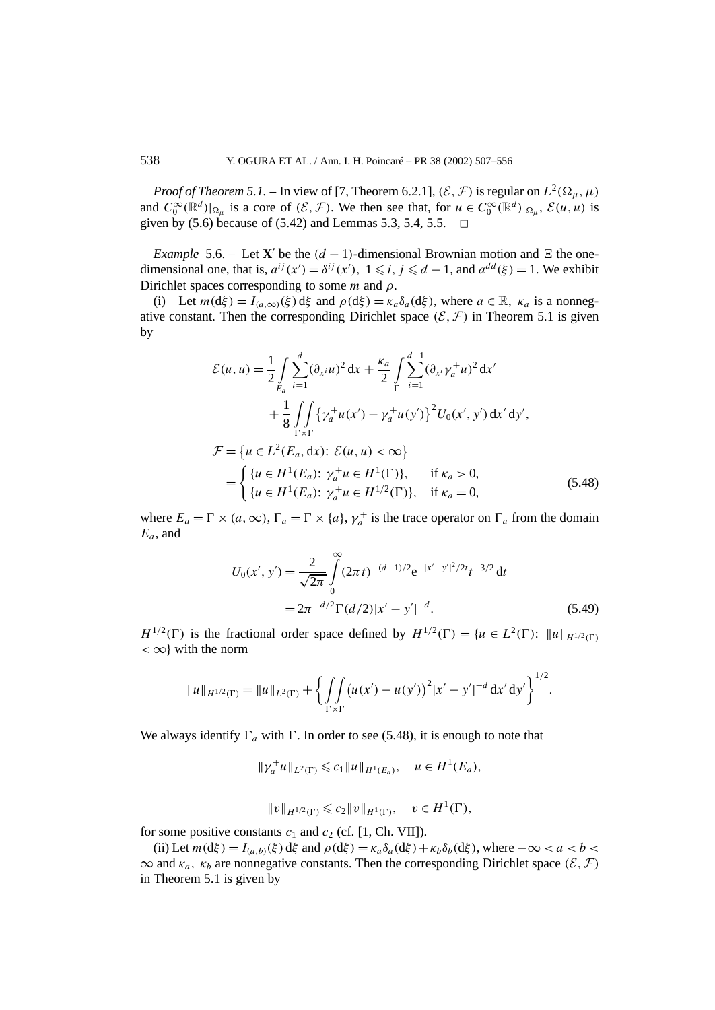*Proof of Theorem 5.1.* – In view of [7, Theorem 6.2.1],  $(\mathcal{E}, \mathcal{F})$  is regular on  $L^2(\Omega_\mu, \mu)$ and  $C_0^{\infty}(\mathbb{R}^d)|_{\Omega_\mu}$  is a core of  $(\mathcal{E}, \mathcal{F})$ . We then see that, for  $u \in C_0^{\infty}(\mathbb{R}^d)|_{\Omega_\mu}$ ,  $\mathcal{E}(u, u)$  is given by (5.6) because of (5.42) and Lemmas 5.3, 5.4, 5.5.  $\Box$ 

*Example* 5.6. – Let **X**' be the  $(d-1)$ -dimensional Brownian motion and  $\Xi$  the onedimensional one, that is,  $a^{ij}(x') = \delta^{ij}(x')$ ,  $1 \le i, j \le d - 1$ , and  $a^{dd}(\xi) = 1$ . We exhibit Dirichlet spaces corresponding to some  $m$  and  $\rho$ .

(i) Let  $m(d\xi) = I_{(a,\infty)}(\xi) d\xi$  and  $\rho(d\xi) = \kappa_a \delta_a(d\xi)$ , where  $a \in \mathbb{R}$ ,  $\kappa_a$  is a nonnegative constant. Then the corresponding Dirichlet space  $(\mathcal{E}, \mathcal{F})$  in Theorem 5.1 is given by

$$
\mathcal{E}(u, u) = \frac{1}{2} \int_{E_a} \sum_{i=1}^d (\partial_{x^i} u)^2 dx + \frac{\kappa_a}{2} \int_{\Gamma} \sum_{i=1}^{d-1} (\partial_{x^i} \gamma_a^+ u)^2 dx'
$$
  
+ 
$$
\frac{1}{8} \int_{\Gamma \times \Gamma} \{ \gamma_a^+ u(x') - \gamma_a^+ u(y') \}^2 U_0(x', y') dx' dy',
$$
  

$$
\mathcal{F} = \{ u \in L^2(E_a, dx) : \mathcal{E}(u, u) < \infty \}
$$
  
= 
$$
\begin{cases} \{ u \in H^1(E_a) : \gamma_a^+ u \in H^1(\Gamma) \}, & \text{if } \kappa_a > 0, \\ \{ u \in H^1(E_a) : \gamma_a^+ u \in H^{1/2}(\Gamma) \}, & \text{if } \kappa_a = 0, \end{cases}
$$
(5.48)

where  $E_a = \Gamma \times (a, \infty)$ ,  $\Gamma_a = \Gamma \times \{a\}$ ,  $\gamma_a^+$  is the trace operator on  $\Gamma_a$  from the domain *Ea*, and

$$
U_0(x', y') = \frac{2}{\sqrt{2\pi}} \int_0^{\infty} (2\pi t)^{-(d-1)/2} e^{-|x'-y'|^2/2t} t^{-3/2} dt
$$
  
=  $2\pi^{-d/2} \Gamma(d/2) |x'-y'|^{-d}$ . (5.49)

*H*<sup>1/2</sup>( $\Gamma$ ) is the fractional order space defined by  $H^{1/2}(\Gamma) = \{u \in L^2(\Gamma): ||u||_{H^{1/2}(\Gamma)}\}$  $<\infty$ } with the norm

$$
||u||_{H^{1/2}(\Gamma)} = ||u||_{L^2(\Gamma)} + \left\{ \iint_{\Gamma \times \Gamma} (u(x') - u(y'))^2 |x' - y'|^{-d} \, dx' \, dy' \right\}^{1/2}.
$$

We always identify  $\Gamma_a$  with  $\Gamma$ . In order to see (5.48), it is enough to note that

$$
\|\gamma_a^+u\|_{L^2(\Gamma)} \leq c_1\|u\|_{H^1(E_a)}, \quad u \in H^1(E_a),
$$

$$
||v||_{H^{1/2}(\Gamma)} \leqslant c_2 ||v||_{H^1(\Gamma)}, \quad v \in H^1(\Gamma),
$$

for some positive constants  $c_1$  and  $c_2$  (cf. [1, Ch. VII]).

(ii) Let  $m(d\xi) = I_{(a,b)}(\xi) d\xi$  and  $\rho(d\xi) = \kappa_a \delta_a(d\xi) + \kappa_b \delta_b(d\xi)$ , where  $-\infty < a < b <$  $\infty$  and  $\kappa_a$ ,  $\kappa_b$  are nonnegative constants. Then the corresponding Dirichlet space  $(\mathcal{E}, \mathcal{F})$ in Theorem 5.1 is given by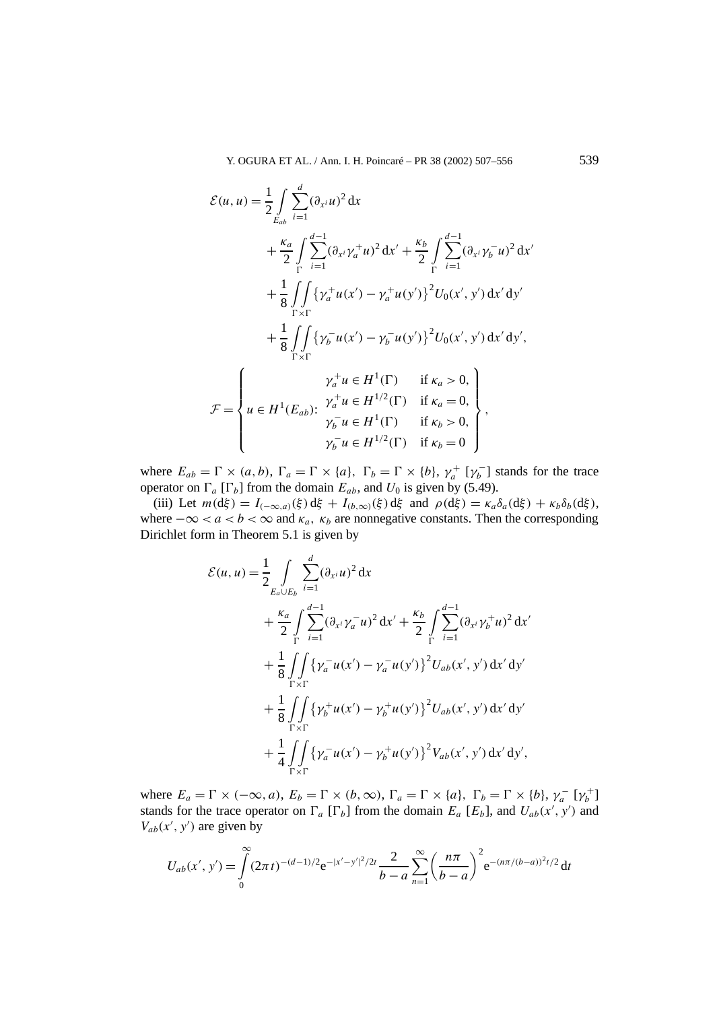$$
\mathcal{E}(u, u) = \frac{1}{2} \int_{E_{ab}} \sum_{i=1}^{d} (\partial_{x^{i}} u)^{2} dx
$$
  
+  $\frac{\kappa_{a}}{2} \int_{\Gamma} \sum_{i=1}^{d-1} (\partial_{x^{i}} \gamma_{a}^{+} u)^{2} dx' + \frac{\kappa_{b}}{2} \int_{\Gamma} \sum_{i=1}^{d-1} (\partial_{x^{i}} \gamma_{b}^{-} u)^{2} dx'$   
+  $\frac{1}{8} \int_{\Gamma \times \Gamma} \{ \gamma_{a}^{+} u(x') - \gamma_{a}^{+} u(y') \}^{2} U_{0}(x', y') dx' dy'$   
+  $\frac{1}{8} \int_{\Gamma \times \Gamma} \{ \gamma_{b}^{-} u(x') - \gamma_{b}^{-} u(y') \}^{2} U_{0}(x', y') dx' dy',$   

$$
\mathcal{F} = \begin{cases} \gamma_{a}^{+} u \in H^{1}(\Gamma) & \text{if } \kappa_{a} > 0, \\ u \in H^{1}(E_{ab}) : \begin{array}{l} \gamma_{a}^{+} u \in H^{1/2}(\Gamma) & \text{if } \kappa_{a} = 0, \\ \gamma_{b}^{-} u \in H^{1}(\Gamma) & \text{if } \kappa_{b} > 0, \\ \gamma_{b}^{-} u \in H^{1/2}(\Gamma) & \text{if } \kappa_{b} = 0 \end{array} \end{cases},
$$

where  $E_{ab} = \Gamma \times (a, b)$ ,  $\Gamma_a = \Gamma \times \{a\}$ ,  $\Gamma_b = \Gamma \times \{b\}$ ,  $\gamma_a^+ \left[\gamma_b^-\right]$  stands for the trace operator on  $\Gamma_a$  [ $\Gamma_b$ ] from the domain  $E_{ab}$ , and  $U_0$  is given by (5.49).

(iii) Let  $m(d\xi) = I_{(-\infty,a)}(\xi) d\xi + I_{(b,\infty)}(\xi) d\xi$  and  $\rho(d\xi) = \kappa_a \delta_a(d\xi) + \kappa_b \delta_b(d\xi)$ , where  $-\infty < a < b < \infty$  and  $\kappa_a$ ,  $\kappa_b$  are nonnegative constants. Then the corresponding Dirichlet form in Theorem 5.1 is given by

$$
\mathcal{E}(u, u) = \frac{1}{2} \int_{E_a \cup E_b} \sum_{i=1}^d (\partial_{x^i} u)^2 dx \n+ \frac{\kappa_a}{2} \int_{\Gamma} \sum_{i=1}^{d-1} (\partial_{x^i} \gamma_a^- u)^2 dx' + \frac{\kappa_b}{2} \int_{\Gamma} \sum_{i=1}^{d-1} (\partial_{x^i} \gamma_b^+ u)^2 dx' \n+ \frac{1}{8} \int_{\Gamma \times \Gamma} \{ \gamma_a^- u(x') - \gamma_a^- u(y') \}^2 U_{ab}(x', y') dx' dy' \n+ \frac{1}{8} \int_{\Gamma \times \Gamma} \{ \gamma_b^+ u(x') - \gamma_b^+ u(y') \}^2 U_{ab}(x', y') dx' dy' \n+ \frac{1}{4} \int_{\Gamma \times \Gamma} \{ \gamma_a^- u(x') - \gamma_b^+ u(y') \}^2 V_{ab}(x', y') dx' dy',
$$

where  $E_a = \Gamma \times (-\infty, a)$ ,  $E_b = \Gamma \times (b, \infty)$ ,  $\Gamma_a = \Gamma \times \{a\}$ ,  $\Gamma_b = \Gamma \times \{b\}$ ,  $\gamma_a^-\ [\gamma_b^+]$ stands for the trace operator on  $\Gamma_a$  [ $\Gamma_b$ ] from the domain  $E_a$  [ $E_b$ ], and  $U_{ab}(x', y')$  and  $V_{ab}(x', y')$  are given by

$$
U_{ab}(x',y') = \int_{0}^{\infty} (2\pi t)^{-(d-1)/2} e^{-|x'-y'|^2/2t} \frac{2}{b-a} \sum_{n=1}^{\infty} \left(\frac{n\pi}{b-a}\right)^2 e^{-(n\pi/(b-a))^2t/2} dt
$$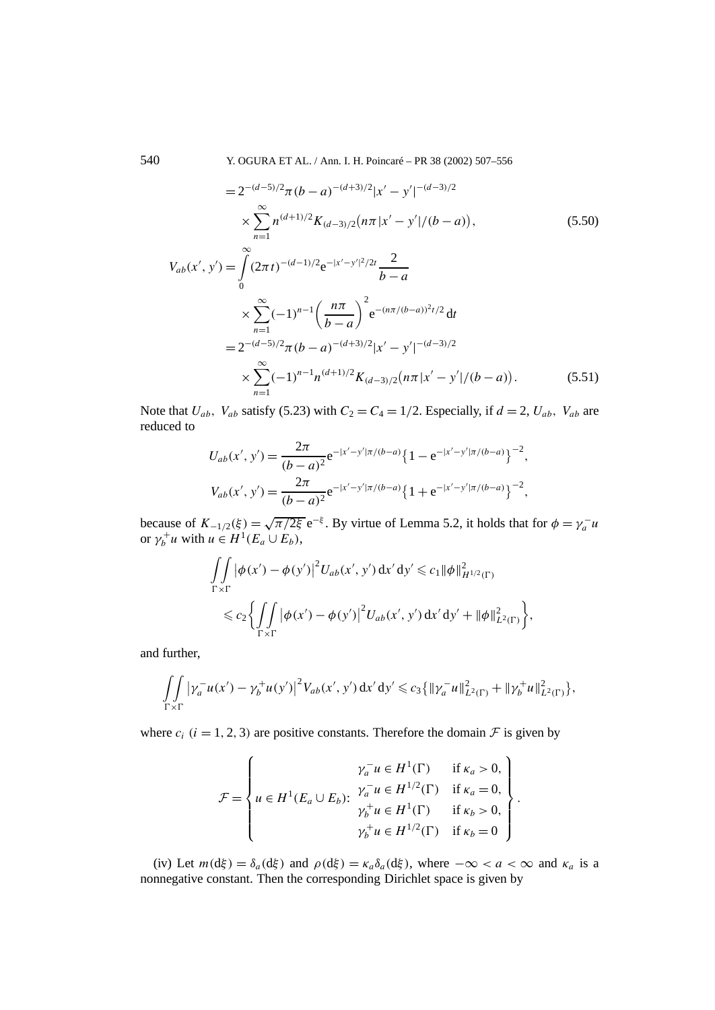540 Y. OGURA ET AL. / Ann. I. H. Poincaré – PR 38 (2002) 507–556

$$
=2^{-(d-5)/2}\pi (b-a)^{-(d+3)/2}|x'-y'|^{-(d-3)/2}
$$

$$
\times \sum_{n=1}^{\infty} n^{(d+1)/2} K_{(d-3)/2}(n\pi |x'-y'|/(b-a)), \qquad (5.50)
$$

$$
V_{ab}(x', y') = \int_{0}^{\infty} (2\pi t)^{-(d-1)/2} e^{-|x'-y'|^2/2t} \frac{2}{b-a}
$$
  
 
$$
\times \sum_{n=1}^{\infty} (-1)^{n-1} \left(\frac{n\pi}{b-a}\right)^2 e^{-(n\pi/(b-a))^2 t/2} dt
$$
  
=  $2^{-(d-5)/2} \pi (b-a)^{-(d+3)/2} |x'-y'|^{-(d-3)/2}$   

$$
\times \sum_{n=1}^{\infty} (-1)^{n-1} n^{(d+1)/2} K_{(d-3)/2} (n\pi |x'-y'|/(b-a)).
$$
 (5.51)

Note that  $U_{ab}$ ,  $V_{ab}$  satisfy (5.23) with  $C_2 = C_4 = 1/2$ . Especially, if  $d = 2$ ,  $U_{ab}$ ,  $V_{ab}$  are reduced to

$$
U_{ab}(x', y') = \frac{2\pi}{(b-a)^2} e^{-|x'-y'| \pi/(b-a)} \{1 - e^{-|x'-y'| \pi/(b-a)}\}^{-2},
$$
  

$$
V_{ab}(x', y') = \frac{2\pi}{(b-a)^2} e^{-|x'-y'| \pi/(b-a)} \{1 + e^{-|x'-y'| \pi/(b-a)}\}^{-2},
$$

because of  $K_{-1/2}(\xi) = \sqrt{\pi/2\xi} e^{-\xi}$ . By virtue of Lemma 5.2, it holds that for  $\phi = \gamma_a^- u$ or  $\gamma_b^+ u$  with  $u \in H^1(E_a \cup E_b)$ ,

$$
\iint_{\Gamma \times \Gamma} |\phi(x') - \phi(y')|^2 U_{ab}(x', y') dx' dy' \leq c_1 ||\phi||_{H^{1/2}(\Gamma)}^2
$$
  

$$
\leq c_2 \Biggl\{ \iint_{\Gamma \times \Gamma} |\phi(x') - \phi(y')|^2 U_{ab}(x', y') dx' dy' + ||\phi||_{L^2(\Gamma)}^2 \Biggr\},
$$

and further,

$$
\iint\limits_{\Gamma\times\Gamma} \left|\gamma_a^- u(x') - \gamma_b^+ u(y')\right|^2 V_{ab}(x',y')\,dx'\,dy' \leq c_3 \left\{\|\gamma_a^- u\|_{L^2(\Gamma)}^2 + \|\gamma_b^+ u\|_{L^2(\Gamma)}^2\right\},\,
$$

where  $c_i$  ( $i = 1, 2, 3$ ) are positive constants. Therefore the domain  $\mathcal F$  is given by

$$
\mathcal{F} = \begin{cases}\n\gamma_a^- u \in H^1(\Gamma) & \text{if } \kappa_a > 0, \\
u \in H^1(E_a \cup E_b): \begin{cases}\n\gamma_a^- u \in H^{1/2}(\Gamma) & \text{if } \kappa_a = 0, \\
\gamma_b^+ u \in H^1(\Gamma) & \text{if } \kappa_b > 0, \\
\gamma_b^+ u \in H^{1/2}(\Gamma) & \text{if } \kappa_b = 0\n\end{cases}.\n\end{cases}
$$

(iv) Let  $m(d\xi) = \delta_a(d\xi)$  and  $\rho(d\xi) = \kappa_a \delta_a(d\xi)$ , where  $-\infty < a < \infty$  and  $\kappa_a$  is a nonnegative constant. Then the corresponding Dirichlet space is given by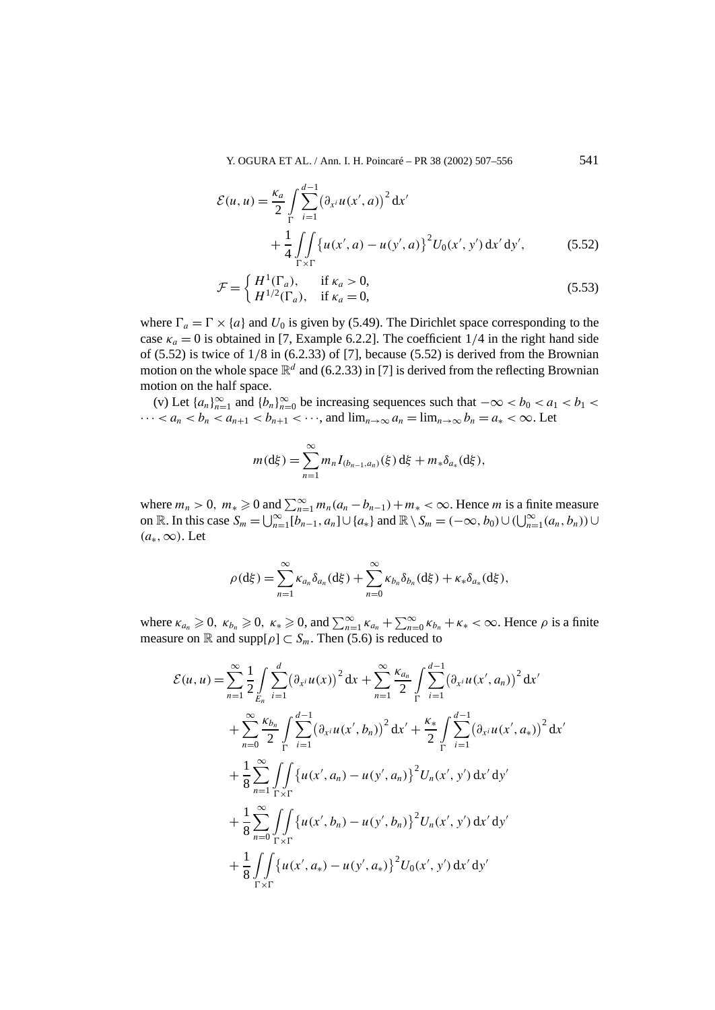Y. OGURA ET AL. / Ann. I. H. Poincaré – PR 38 (2002) 507–556 541

$$
\mathcal{E}(u, u) = \frac{\kappa_a}{2} \int_{\Gamma} \sum_{i=1}^{d-1} (\partial_{x^i} u(x', a))^2 dx' + \frac{1}{4} \int_{\Gamma \times \Gamma} \{u(x', a) - u(y', a)\}^2 U_0(x', y') dx' dy',
$$
 (5.52)

$$
\mathcal{F} = \begin{cases} H^1(\Gamma_a), & \text{if } \kappa_a > 0, \\ H^{1/2}(\Gamma_a), & \text{if } \kappa_a = 0, \end{cases}
$$
\n(5.53)

where  $\Gamma_a = \Gamma \times \{a\}$  and  $U_0$  is given by (5.49). The Dirichlet space corresponding to the case  $\kappa_a = 0$  is obtained in [7, Example 6.2.2]. The coefficient 1/4 in the right hand side of (5.52) is twice of 1*/*8 in (6.2.33) of [7], because (5.52) is derived from the Brownian motion on the whole space  $\mathbb{R}^d$  and (6.2.33) in [7] is derived from the reflecting Brownian motion on the half space.

(v) Let  $\{a_n\}_{n=1}^{\infty}$  and  $\{b_n\}_{n=0}^{\infty}$  be increasing sequences such that  $-\infty < b_0 < a_1 < b_1 <$  $\cdots < a_n < b_n < a_{n+1} < b_{n+1} < \cdots$ , and  $\lim_{n\to\infty} a_n = \lim_{n\to\infty} b_n = a_* < \infty$ . Let

$$
m(\mathrm{d}\xi) = \sum_{n=1}^{\infty} m_n I_{(b_{n-1},a_n)}(\xi) \, \mathrm{d}\xi + m_* \delta_{a_*}(\mathrm{d}\xi),
$$

where  $m_n > 0$ ,  $m_* \ge 0$  and  $\sum_{n=1}^{\infty} m_n(a_n - b_{n-1}) + m_* < \infty$ . Hence *m* is a finite measure on R. In this case  $S_m = \bigcup_{n=1}^{\infty} [b_{n-1}, a_n] \cup \{a_*\}$  and  $\mathbb{R} \setminus S_m = (-\infty, b_0) \cup (\bigcup_{n=1}^{\infty} (a_n, b_n)) \cup$  $(a<sub>∗</sub>, ∞)$ . Let

$$
\rho(d\xi) = \sum_{n=1}^{\infty} \kappa_{a_n} \delta_{a_n}(d\xi) + \sum_{n=0}^{\infty} \kappa_{b_n} \delta_{b_n}(d\xi) + \kappa_* \delta_{a_*}(d\xi),
$$

where  $\kappa_{a_n} \geq 0$ ,  $\kappa_{b_n} \geq 0$ ,  $\kappa_* \geq 0$ , and  $\sum_{n=1}^{\infty} \kappa_{a_n} + \sum_{n=0}^{\infty} \kappa_{b_n} + \kappa_* < \infty$ . Hence  $\rho$  is a finite measure on  $\mathbb R$  and supp $[\rho] \subset S_m$ . Then (5.6) is reduced to

$$
\mathcal{E}(u, u) = \sum_{n=1}^{\infty} \frac{1}{2} \int_{E_n}^{d} \sum_{i=1}^{2} (\partial_{x^i} u(x))^2 dx + \sum_{n=1}^{\infty} \frac{\kappa_{a_n}}{2} \int_{\Gamma} \sum_{i=1}^{d-1} (\partial_{x^i} u(x', a_n))^2 dx' \n+ \sum_{n=0}^{\infty} \frac{\kappa_{b_n}}{2} \int_{\Gamma} \sum_{i=1}^{d-1} (\partial_{x^i} u(x', b_n))^2 dx' + \frac{\kappa_*}{2} \int_{\Gamma} \sum_{i=1}^{d-1} (\partial_{x^i} u(x', a_*))^2 dx' \n+ \frac{1}{8} \sum_{n=1}^{\infty} \int_{\Gamma \times \Gamma} \{u(x', a_n) - u(y', a_n)\}^2 U_n(x', y') dx' dy' \n+ \frac{1}{8} \sum_{n=0}^{\infty} \int_{\Gamma \times \Gamma} \{u(x', b_n) - u(y', b_n)\}^2 U_n(x', y') dx' dy' \n+ \frac{1}{8} \int_{\Gamma \times \Gamma} \{u(x', a_*) - u(y', a_*)\}^2 U_0(x', y') dx' dy'
$$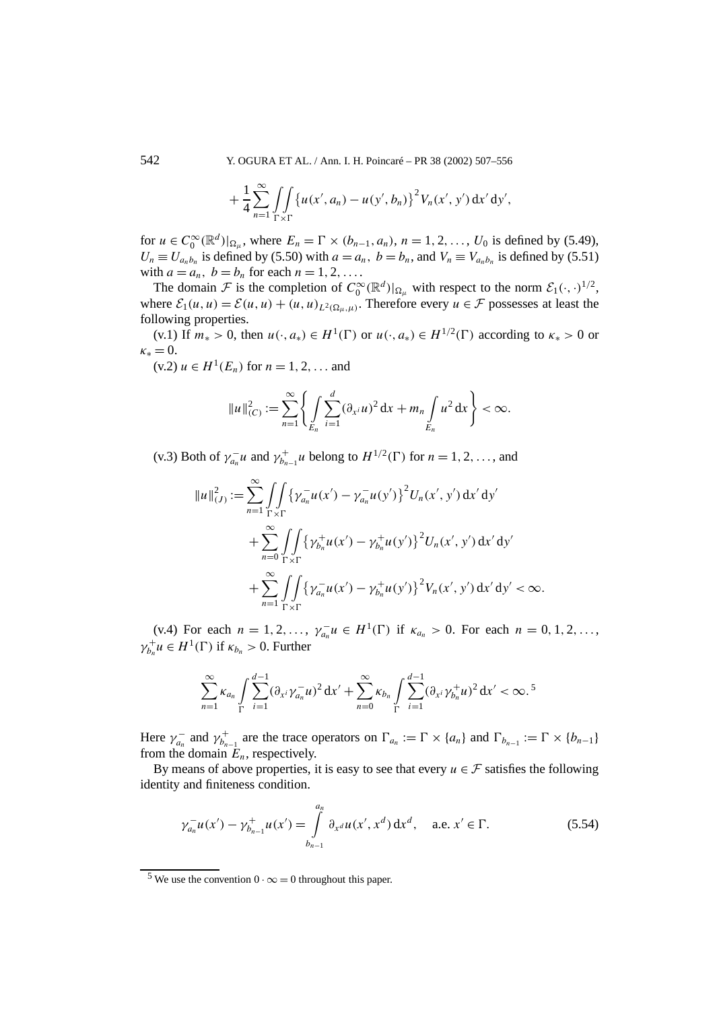542 Y. OGURA ET AL. / Ann. I. H. Poincaré – PR 38 (2002) 507–556

$$
+\frac{1}{4}\sum_{n=1}^{\infty}\iint\limits_{\Gamma\times\Gamma}\left\{u(x', a_n)-u(y', b_n)\right\}^2V_n(x', y') dx' dy',
$$

for  $u \in C_0^{\infty}(\mathbb{R}^d)|_{\Omega_\mu}$ , where  $E_n = \Gamma \times (b_{n-1}, a_n)$ ,  $n = 1, 2, ..., U_0$  is defined by (5.49),  $U_n \equiv U_{a_n b_n}$  is defined by (5.50) with  $a = a_n$ ,  $b = b_n$ , and  $V_n \equiv V_{a_n b_n}$  is defined by (5.51) with  $a = a_n$ ,  $b = b_n$  for each  $n = 1, 2, \ldots$ .

The domain  $\mathcal F$  is the completion of  $C_0^{\infty}(\mathbb{R}^d)|_{\Omega_\mu}$  with respect to the norm  $\mathcal E_1(\cdot, \cdot)^{1/2}$ , where  $\mathcal{E}_1(u, u) = \mathcal{E}(u, u) + (u, u)_{L^2(\Omega_u, u)}$ . Therefore every  $u \in \mathcal{F}$  possesses at least the following properties.

(v.1) If  $m_* > 0$ , then  $u(\cdot, a_*) \in H^1(\Gamma)$  or  $u(\cdot, a_*) \in H^{1/2}(\Gamma)$  according to  $\kappa_* > 0$  or  $\kappa_* = 0$ .

(v.2) *u* ∈ *H*<sup>1</sup>(*E<sub>n</sub>*) for *n* = 1, 2, ... and

$$
||u||_{(C)}^{2} := \sum_{n=1}^{\infty} \left\{ \int_{E_{n}} \sum_{i=1}^{d} (\partial_{x^{i}} u)^{2} dx + m_{n} \int_{E_{n}} u^{2} dx \right\} < \infty.
$$

(v.3) Both of  $\gamma_{a_n}^- u$  and  $\gamma_{b_{n-1}}^+ u$  belong to  $H^{1/2}(\Gamma)$  for  $n = 1, 2, \ldots$ , and

$$
||u||_{(J)}^{2} := \sum_{n=1}^{\infty} \int \int \{ \gamma_{a_n}^{-} u(x') - \gamma_{a_n}^{-} u(y') \}^{2} U_n(x', y') dx' dy' + \sum_{n=0}^{\infty} \int \int \int \{ \gamma_{b_n}^{+} u(x') - \gamma_{b_n}^{+} u(y') \}^{2} U_n(x', y') dx' dy' + \sum_{n=1}^{\infty} \int \int \int \{ \gamma_{a_n}^{-} u(x') - \gamma_{b_n}^{+} u(y') \}^{2} V_n(x', y') dx' dy' < \infty.
$$

(v.4) For each  $n = 1, 2, ..., \gamma_{a_n}^{-1}u \in H^1(\Gamma)$  if  $\kappa_{a_n} > 0$ . For each  $n = 0, 1, 2, ...,$  $\gamma_{b_n}^+ u \in H^1(\Gamma)$  if  $\kappa_{b_n} > 0$ . Further

$$
\sum_{n=1}^{\infty} \kappa_{a_n} \int_{\Gamma} \sum_{i=1}^{d-1} (\partial_{x^i} \gamma_{a_n}^- u)^2 dx' + \sum_{n=0}^{\infty} \kappa_{b_n} \int_{\Gamma} \sum_{i=1}^{d-1} (\partial_{x^i} \gamma_{b_n}^+ u)^2 dx' < \infty.
$$
<sup>5</sup>

Here  $\gamma_{a_n}^-$  and  $\gamma_{b_{n-1}}^+$  are the trace operators on  $\Gamma_{a_n} := \Gamma \times \{a_n\}$  and  $\Gamma_{b_{n-1}} := \Gamma \times \{b_{n-1}\}\$ from the domain  $E_n$ , respectively.

By means of above properties, it is easy to see that every  $u \in \mathcal{F}$  satisfies the following identity and finiteness condition.

$$
\gamma_{a_n}^{-1}u(x') - \gamma_{b_{n-1}}^{+1}u(x') = \int\limits_{b_{n-1}}^{a_n} \partial_{x^d}u(x', x^d) dx^d, \quad \text{a.e. } x' \in \Gamma.
$$
 (5.54)

<sup>5</sup> We use the convention  $0 \cdot \infty = 0$  throughout this paper.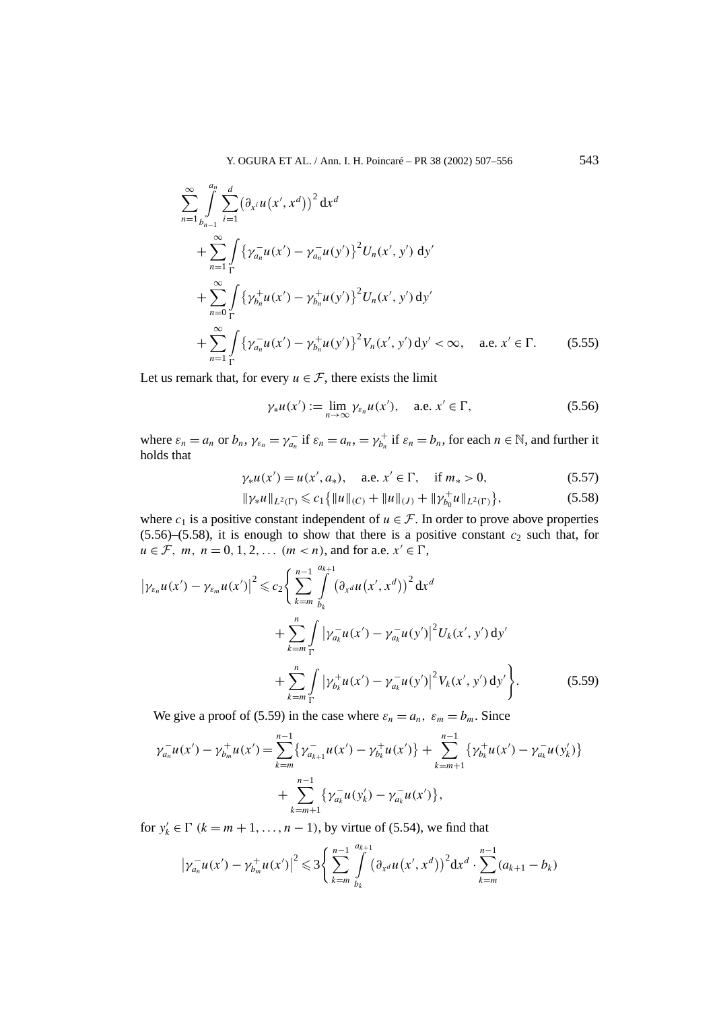$$
\sum_{n=1}^{\infty} \int_{b_{n-1}}^{a_n} \sum_{i=1}^d (\partial_{x^i} u(x', x^d))^2 dx^d
$$
  
+ 
$$
\sum_{n=1}^{\infty} \int_{\Gamma} {\{\gamma_{a_n}^- u(x') - \gamma_{a_n}^- u(y')\}}^2 U_n(x', y') dy'
$$
  
+ 
$$
\sum_{n=0}^{\infty} \int_{\Gamma} {\{\gamma_{b_n}^+ u(x') - \gamma_{b_n}^+ u(y')\}}^2 U_n(x', y') dy'
$$
  
+ 
$$
\sum_{n=1}^{\infty} \int_{\Gamma} {\{\gamma_{a_n}^- u(x') - \gamma_{b_n}^+ u(y')\}}^2 V_n(x', y') dy' < \infty, \quad \text{a.e. } x' \in \Gamma.
$$
 (5.55)

Let us remark that, for every  $u \in \mathcal{F}$ , there exists the limit

$$
\gamma_* u(x') := \lim_{n \to \infty} \gamma_{\varepsilon_n} u(x'), \quad \text{a.e. } x' \in \Gamma,
$$
 (5.56)

where  $\varepsilon_n = a_n$  or  $b_n$ ,  $\gamma_{\varepsilon_n} = \gamma_{a_n}^-$  if  $\varepsilon_n = a_n$ ,  $= \gamma_{b_n}^+$  if  $\varepsilon_n = b_n$ , for each  $n \in \mathbb{N}$ , and further it holds that

$$
\gamma_* u(x') = u(x', a_*), \quad \text{a.e. } x' \in \Gamma, \quad \text{if } m_* > 0,
$$
\n(5.57)

$$
\|\gamma_* u\|_{L^2(\Gamma)} \leqslant c_1 \{ \|u\|_{(C)} + \|u\|_{(J)} + \|\gamma_{b_0}^+ u\|_{L^2(\Gamma)} \},\tag{5.58}
$$

where  $c_1$  is a positive constant independent of  $u \in \mathcal{F}$ . In order to prove above properties  $(5.56)$ – $(5.58)$ , it is enough to show that there is a positive constant  $c_2$  such that, for *u* ∈ *F*, *m*, *n* = 0, 1, 2, ... (*m* < *n*), and for a.e.  $x'$  ∈  $\Gamma$ ,

$$
\left|\gamma_{\varepsilon_n}u(x') - \gamma_{\varepsilon_m}u(x')\right|^2 \leqslant c_2 \Bigg\{\sum_{k=m}^{n-1} \int_{b_k}^{a_{k+1}} \left(\partial_{x^d}u(x',x^d)\right)^2 dx^d + \sum_{k=m}^{n} \int_{\Gamma} \left|\gamma_{a_k}^{-}u(x') - \gamma_{a_k}^{-}u(y')\right|^2 U_k(x',y') dy' + \sum_{k=m}^{n} \int_{\Gamma} \left|\gamma_{b_k}^{+}u(x') - \gamma_{a_k}^{-}u(y')\right|^2 V_k(x',y') dy' \Bigg\}.
$$
 (5.59)

We give a proof of (5.59) in the case where  $\varepsilon_n = a_n$ ,  $\varepsilon_m = b_m$ . Since

$$
\gamma_{a_n}^{-}u(x') - \gamma_{b_m}^{+}u(x') = \sum_{k=m}^{n-1} \{ \gamma_{a_{k+1}}^{-}u(x') - \gamma_{b_k}^{+}u(x') \} + \sum_{k=m+1}^{n-1} \{ \gamma_{b_k}^{+}u(x') - \gamma_{a_k}^{-}u(y'_k) \} + \sum_{k=m+1}^{n-1} \{ \gamma_{a_k}^{-}u(y'_k) - \gamma_{a_k}^{-}u(x') \},
$$

for  $y'_k \in \Gamma$  ( $k = m + 1, \ldots, n - 1$ ), by virtue of (5.54), we find that

$$
\left|\gamma_{a_n}^{-}u(x')-\gamma_{b_m}^{+}u(x')\right|^2\leq 3\bigg\{\sum_{k=m}^{n-1}\int\limits_{b_k}^{a_{k+1}}\left(\partial_{x^d}u(x',x^d)\right)^2\mathrm{d}x^d\cdot\sum_{k=m}^{n-1}(a_{k+1}-b_k)
$$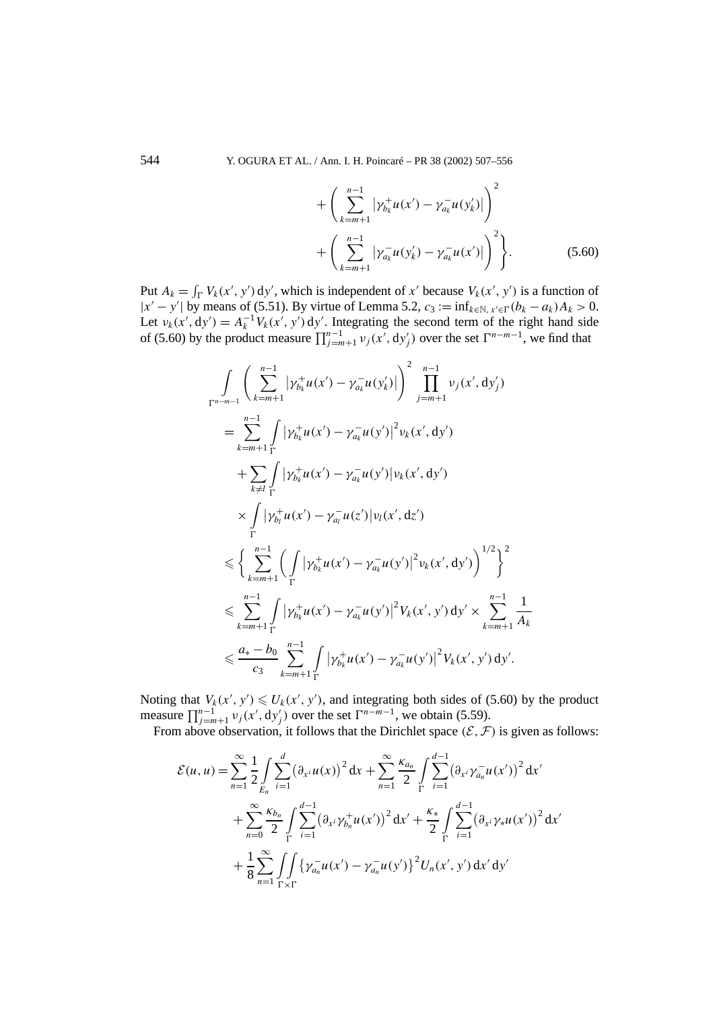$$
+\left(\sum_{k=m+1}^{n-1} |\gamma_{b_k}^+ u(x') - \gamma_{a_k}^- u(y'_k)|\right)^2
$$
  
+ 
$$
\left(\sum_{k=m+1}^{n-1} |\gamma_{a_k}^- u(y'_k) - \gamma_{a_k}^- u(x')|\right)^2\right\}.
$$
 (5.60)

Put  $A_k = \int_{\Gamma} V_k(x', y') dy'$ , which is independent of *x'* because  $V_k(x', y')$  is a function of  $|x' - y'|$  by means of (5.51). By virtue of Lemma 5.2,  $c_3 := \inf_{k \in \mathbb{N}, x' \in \Gamma}(b_k - a_k)A_k > 0$ . Let  $v_k(x', dy') = A_k^{-1} V_k(x', y') dy'$ . Integrating the second term of the right hand side of (5.60) by the product measure  $\prod_{j=m+1}^{n-1} v_j(x', dy'_j)$  over the set  $\Gamma^{n-m-1}$ , we find that

$$
\int_{\Gamma^{n-m-1}} \left( \sum_{k=m+1}^{n-1} |\gamma_{b_k}^+ u(x') - \gamma_{a_k}^- u(y'_k)| \right)^2 \prod_{j=m+1}^{n-1} v_j(x', dy'_j)
$$
\n
$$
= \sum_{k=m+1}^{n-1} \int_{\Gamma} |\gamma_{b_k}^+ u(x') - \gamma_{a_k}^- u(y')|^2 v_k(x', dy')
$$
\n
$$
+ \sum_{k \neq l} \int_{\Gamma} |\gamma_{b_k}^+ u(x') - \gamma_{a_k}^- u(y')| v_k(x', dy')
$$
\n
$$
\times \int_{\Gamma} |\gamma_{b_l}^+ u(x') - \gamma_{a_l}^- u(z')| v_l(x', dz')
$$
\n
$$
\leq \left\{ \sum_{k=m+1}^{n-1} \left( \int_{\Gamma} |\gamma_{b_k}^+ u(x') - \gamma_{a_k}^- u(y')|^2 v_k(x', dy') \right)^{1/2} \right\}^2
$$
\n
$$
\leq \sum_{k=m+1}^{n-1} \int_{\Gamma} |\gamma_{b_k}^+ u(x') - \gamma_{a_k}^- u(y')|^2 V_k(x', y') dy' \times \sum_{k=m+1}^{n-1} \frac{1}{A_k}
$$
\n
$$
\leq \frac{a_* - b_0}{c_3} \sum_{k=m+1}^{n-1} \int_{\Gamma} |\gamma_{b_k}^+ u(x') - \gamma_{a_k}^- u(y')|^2 V_k(x', y') dy'.
$$

Noting that  $V_k(x', y') \le U_k(x', y')$ , and integrating both sides of (5.60) by the product measure  $\prod_{j=m+1}^{n-1} v_j(x', dy'_j)$  over the set  $\Gamma^{n-m-1}$ , we obtain (5.59).

From above observation, it follows that the Dirichlet space  $(\mathcal{E}, \mathcal{F})$  is given as follows:

$$
\mathcal{E}(u, u) = \sum_{n=1}^{\infty} \frac{1}{2} \int_{E_n} \sum_{i=1}^d (\partial_{x^i} u(x))^2 dx + \sum_{n=1}^{\infty} \frac{\kappa_{a_n}}{2} \int_{\Gamma} \sum_{i=1}^{d-1} (\partial_{x^i} \gamma_{a_n}^- u(x'))^2 dx'\n+ \sum_{n=0}^{\infty} \frac{\kappa_{b_n}}{2} \int_{\Gamma} \sum_{i=1}^{d-1} (\partial_{x^i} \gamma_{b_n}^+ u(x'))^2 dx' + \frac{\kappa_*}{2} \int_{\Gamma} \sum_{i=1}^{d-1} (\partial_{x^i} \gamma_* u(x'))^2 dx'\n+ \frac{1}{8} \sum_{n=1}^{\infty} \int_{\Gamma \times \Gamma} {\{\gamma_{a_n}^- u(x') - \gamma_{a_n}^- u(y')\}}^2 U_n(x', y') dx' dy'
$$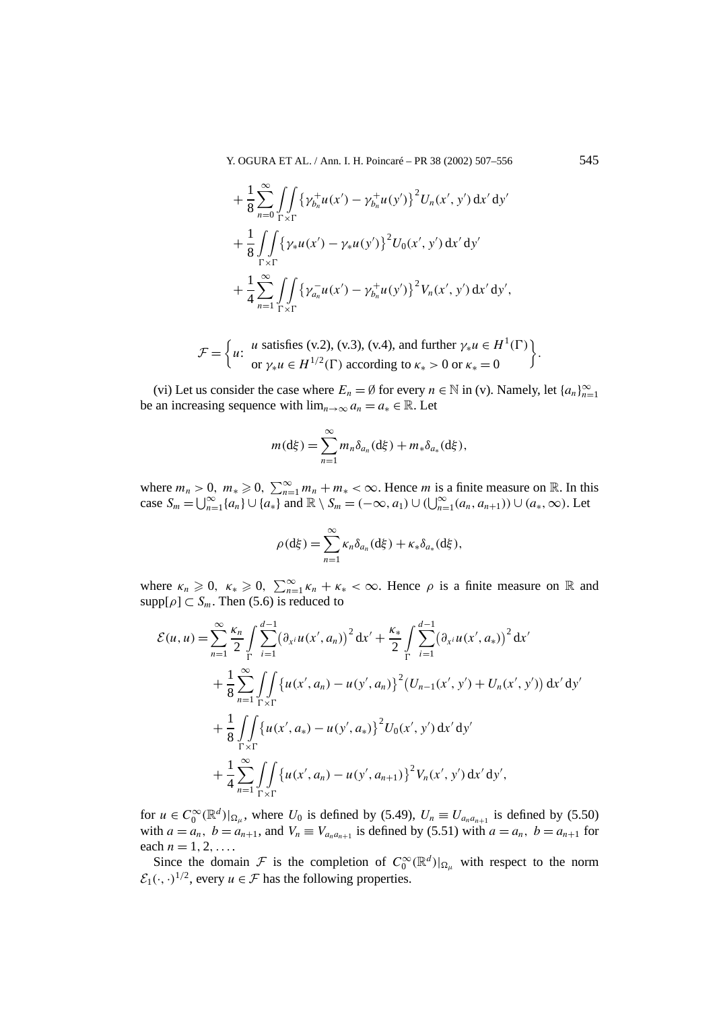Y. OGURA ET AL. / Ann. I. H. Poincaré – PR 38 (2002) 507–556 545

$$
+\frac{1}{8} \sum_{n=0}^{\infty} \iint_{\Gamma \times \Gamma} {\{\gamma_{b_n}^+ u(x') - \gamma_{b_n}^+ u(y')\}}^2 U_n(x', y') dx' dy'+ \frac{1}{8} \iint_{\Gamma \times \Gamma} {\{\gamma_* u(x') - \gamma_* u(y')\}}^2 U_0(x', y') dx' dy'+ \frac{1}{4} \sum_{n=1}^{\infty} \iint_{\Gamma \times \Gamma} {\{\gamma_{a_n}^- u(x') - \gamma_{b_n}^+ u(y')\}}^2 V_n(x', y') dx' dy',
$$

$$
\mathcal{F} = \left\{ u \colon \begin{array}{l} u \text{ satisfies (v.2), (v.3), (v.4), and further } \gamma_* u \in H^1(\Gamma) \\ \text{or } \gamma_* u \in H^{1/2}(\Gamma) \text{ according to } \kappa_* > 0 \text{ or } \kappa_* = 0 \end{array} \right\}.
$$

(vi) Let us consider the case where  $E_n = \emptyset$  for every  $n \in \mathbb{N}$  in (v). Namely, let  $\{a_n\}_{n=1}^{\infty}$ be an increasing sequence with  $\lim_{n\to\infty} a_n = a_* \in \mathbb{R}$ . Let

$$
m(\mathrm{d}\xi)=\sum_{n=1}^{\infty}m_n\delta_{a_n}(\mathrm{d}\xi)+m_*\delta_{a_*}(\mathrm{d}\xi),
$$

where  $m_n > 0$ ,  $m_* \ge 0$ ,  $\sum_{n=1}^{\infty} m_n + m_* < \infty$ . Hence *m* is a finite measure on R. In this  $\cos S_m = \bigcup_{n=1}^{\infty} \{a_n\} \cup \{a_*\}$  and  $\mathbb{R} \setminus S_m = (-\infty, a_1) \cup (\bigcup_{n=1}^{\infty} (a_n, a_{n+1})) \cup (a_*, \infty)$ . Let

$$
\rho(\mathrm{d}\xi) = \sum_{n=1}^{\infty} \kappa_n \delta_{a_n}(\mathrm{d}\xi) + \kappa_* \delta_{a_*}(\mathrm{d}\xi),
$$

where  $\kappa_n \geq 0$ ,  $\kappa_* \geq 0$ ,  $\sum_{n=1}^{\infty} \kappa_n + \kappa_* < \infty$ . Hence  $\rho$  is a finite measure on R and  $supp[\rho] \subset S_m$ . Then (5.6) is reduced to

$$
\mathcal{E}(u, u) = \sum_{n=1}^{\infty} \frac{\kappa_n}{2} \int_{\Gamma} \sum_{i=1}^{d-1} (\partial_{x^i} u(x', a_n))^2 dx' + \frac{\kappa_*}{2} \int_{\Gamma} \sum_{i=1}^{d-1} (\partial_{x^i} u(x', a_*))^2 dx' \n+ \frac{1}{8} \sum_{n=1}^{\infty} \int_{\Gamma \times \Gamma} \{u(x', a_n) - u(y', a_n)\}^2 (U_{n-1}(x', y') + U_n(x', y')) dx' dy' \n+ \frac{1}{8} \int_{\Gamma \times \Gamma} \{u(x', a_*) - u(y', a_*)\}^2 U_0(x', y') dx' dy' \n+ \frac{1}{4} \sum_{n=1}^{\infty} \int_{\Gamma \times \Gamma} \{u(x', a_n) - u(y', a_{n+1})\}^2 V_n(x', y') dx' dy',
$$

for  $u \in C_0^{\infty}(\mathbb{R}^d)|_{\Omega_\mu}$ , where  $U_0$  is defined by (5.49),  $U_n \equiv U_{a_na_{n+1}}$  is defined by (5.50) with  $a = a_n$ ,  $b = a_{n+1}$ , and  $V_n \equiv V_{a_n a_{n+1}}$  is defined by (5.51) with  $a = a_n$ ,  $b = a_{n+1}$  for each  $n = 1, 2, \ldots$ 

Since the domain  $\mathcal F$  is the completion of  $C_0^{\infty}(\mathbb{R}^d)|_{\Omega_\mu}$  with respect to the norm  $\mathcal{E}_1(\cdot, \cdot)^{1/2}$ , every  $u \in \mathcal{F}$  has the following properties.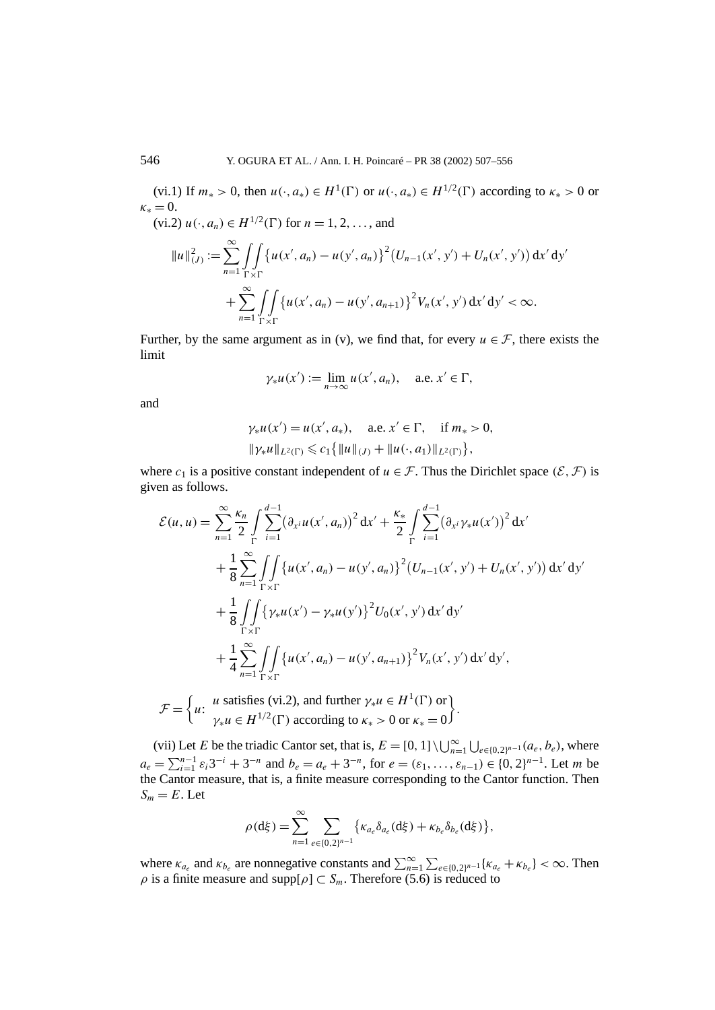(vi.1) If  $m_* > 0$ , then  $u(\cdot, a_*) \in H^1(\Gamma)$  or  $u(\cdot, a_*) \in H^{1/2}(\Gamma)$  according to  $\kappa_* > 0$  or  $\kappa_* = 0$ .

 $(vi.2) u(\cdot, a_n) \in H^{1/2}(\Gamma)$  for  $n = 1, 2, ...,$  and

$$
||u||_{(J)}^{2} := \sum_{n=1}^{\infty} \int \int \int \{u(x', a_{n}) - u(y', a_{n})\}^{2} (U_{n-1}(x', y') + U_{n}(x', y')) dx' dy'+ \sum_{n=1}^{\infty} \int \int \int \int \{u(x', a_{n}) - u(y', a_{n+1})\}^{2} V_{n}(x', y') dx' dy' < \infty.
$$

Further, by the same argument as in (v), we find that, for every  $u \in \mathcal{F}$ , there exists the limit

$$
\gamma_* u(x') := \lim_{n \to \infty} u(x', a_n), \quad \text{a.e. } x' \in \Gamma,
$$

and

$$
\gamma_* u(x') = u(x', a_*)
$$
, a.e.  $x' \in \Gamma$ , if  $m_* > 0$ ,  
 $\|\gamma_* u\|_{L^2(\Gamma)} \leq c_1 \{ \|u\|_{(J)} + \|u(\cdot, a_1)\|_{L^2(\Gamma)} \}$ ,

where  $c_1$  is a positive constant independent of  $u \in \mathcal{F}$ . Thus the Dirichlet space  $(\mathcal{E}, \mathcal{F})$  is given as follows.

$$
\mathcal{E}(u, u) = \sum_{n=1}^{\infty} \frac{\kappa_n}{2} \int_{\Gamma} \sum_{i=1}^{d-1} (\partial_{x^i} u(x', a_n))^2 dx' + \frac{\kappa_*}{2} \int_{\Gamma} \sum_{i=1}^{d-1} (\partial_{x^i} \gamma_* u(x'))^2 dx'
$$
  
+ 
$$
\frac{1}{8} \sum_{n=1}^{\infty} \int_{\Gamma \times \Gamma} \{u(x', a_n) - u(y', a_n)\}^2 (U_{n-1}(x', y') + U_n(x', y')) dx' dy'
$$
  
+ 
$$
\frac{1}{8} \int_{\Gamma \times \Gamma} \{ \gamma_* u(x') - \gamma_* u(y') \}^2 U_0(x', y') dx' dy'
$$
  
+ 
$$
\frac{1}{4} \sum_{n=1}^{\infty} \int_{\Gamma \times \Gamma} \{u(x', a_n) - u(y', a_{n+1})\}^2 V_n(x', y') dx' dy',
$$

$$
\mathcal{F} = \left\{ u: \begin{array}{l} u \text{ satisfies (vi.2), and further } \gamma_* u \in H^1(\Gamma) \text{ or} \\ \gamma_* u \in H^{1/2}(\Gamma) \text{ according to } \kappa_* > 0 \text{ or } \kappa_* = 0 \end{array} \right\}.
$$

(vii) Let *E* be the triadic Cantor set, that is,  $E = [0, 1] \setminus \bigcup_{n=1}^{\infty} \bigcup_{e \in \{0, 2\}^{n-1}} (a_e, b_e)$ , where  $a_e = \sum_{i=1}^{n-1} \varepsilon_i 3^{-i} + 3^{-n}$  and  $b_e = a_e + 3^{-n}$ , for  $e = (\varepsilon_1, \ldots, \varepsilon_{n-1}) \in \{0, 2\}^{n-1}$ . Let *m* be the Cantor measure, that is, a finite measure corresponding to the Cantor function. Then  $S_m = E$ . Let

$$
\rho(\mathrm{d}\xi) = \sum_{n=1}^{\infty} \sum_{e \in \{0,2\}^{n-1}} \left\{ \kappa_{a_e} \delta_{a_e}(\mathrm{d}\xi) + \kappa_{b_e} \delta_{b_e}(\mathrm{d}\xi) \right\},\,
$$

where  $\kappa_{a_e}$  and  $\kappa_{b_e}$  are nonnegative constants and  $\sum_{n=1}^{\infty} \sum_{e \in \{0,2\}^{n-1}} {\kappa_{a_e} + \kappa_{b_e}} < \infty$ . Then  $\rho$  is a finite measure and supp $[\rho] \subset S_m$ . Therefore (5.6) is reduced to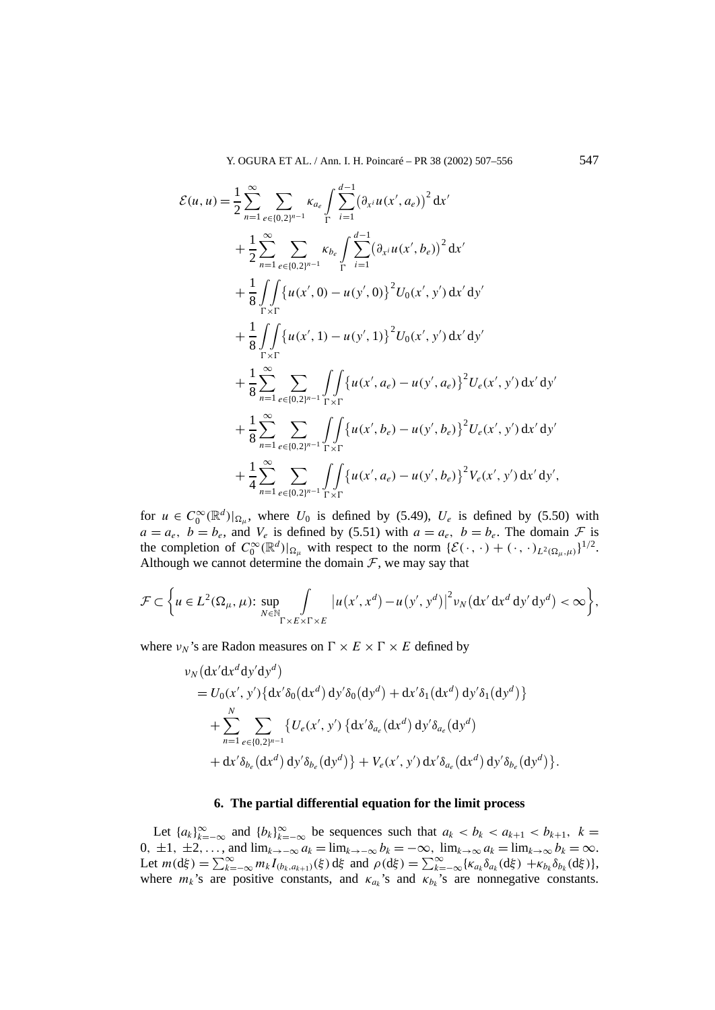$$
\mathcal{E}(u, u) = \frac{1}{2} \sum_{n=1}^{\infty} \sum_{e \in \{0, 2\}^{n-1}} \kappa_{a_e} \int_{\Gamma} \sum_{i=1}^{d-1} (\partial_{x^i} u(x', a_e))^2 dx' \n+ \frac{1}{2} \sum_{n=1}^{\infty} \sum_{e \in \{0, 2\}^{n-1}} \kappa_{b_e} \int_{\Gamma} \sum_{i=1}^{d-1} (\partial_{x^i} u(x', b_e))^2 dx' \n+ \frac{1}{8} \int_{\Gamma \times \Gamma} \{u(x', 0) - u(y', 0)\}^2 U_0(x', y') dx' dy' \n+ \frac{1}{8} \int_{\Gamma \times \Gamma} \{u(x', 1) - u(y', 1)\}^2 U_0(x', y') dx' dy' \n+ \frac{1}{8} \sum_{n=1}^{\infty} \sum_{e \in \{0, 2\}^{n-1}} \int_{\Gamma \times \Gamma} \{u(x', a_e) - u(y', a_e)\}^2 U_e(x', y') dx' dy' \n+ \frac{1}{8} \sum_{n=1}^{\infty} \sum_{e \in \{0, 2\}^{n-1}} \int_{\Gamma \times \Gamma} \{u(x', b_e) - u(y', b_e)\}^2 U_e(x', y') dx' dy' \n+ \frac{1}{4} \sum_{n=1}^{\infty} \sum_{e \in \{0, 2\}^{n-1}} \int_{\Gamma \times \Gamma} \{u(x', a_e) - u(y', b_e)\}^2 V_e(x', y') dx' dy',
$$

for  $u \in C_0^{\infty}(\mathbb{R}^d)|_{\Omega_\mu}$ , where  $U_0$  is defined by (5.49),  $U_e$  is defined by (5.50) with  $a = a_e$ ,  $b = b_e$ , and  $V_e$  is defined by (5.51) with  $a = a_e$ ,  $b = b_e$ . The domain  $\mathcal F$  is the completion of  $C_0^{\infty}(\mathbb{R}^d)|_{\Omega_\mu}$  with respect to the norm  $\{\mathcal{E}(\cdot, \cdot) + (\cdot, \cdot)_{L^2(\Omega_\mu, \mu)}\}^{1/2}$ . Although we cannot determine the domain  $F$ , we may say that

$$
\mathcal{F} \subset \bigg\{ u \in L^2(\Omega_\mu, \mu) \colon \sup_{N \in \mathbb{N}} \int_{\Gamma \times E \times \Gamma \times E} |u(x', x^d) - u(y', y^d)|^2 \nu_N(\mathrm{d}x' \, \mathrm{d}x^d \, \mathrm{d}y' \, \mathrm{d}y^d) < \infty \bigg\},
$$

where  $\nu_N$ 's are Radon measures on  $\Gamma \times E \times \Gamma \times E$  defined by

$$
v_N \left(\frac{dx'dx^d dy'dy^d}{dx^2 dy'dy^d}\right)
$$
  
=  $U_0(x', y') \left\{ \frac{dx'}{\delta_0} \left(\frac{dx^d}{dy^d}\right) + \frac{dx'}{\delta_1} \left(\frac{dx^d}{dy^d}\right) \frac{dy'}{\delta_1} \left(\frac{dy^d}{dy^d}\right) \right\}$   
+  $\sum_{n=1}^N \sum_{e \in \{0,2\}^{n-1}} \left\{ U_e(x', y') \left\{ \frac{dx'}{\delta_{a_e}} \left(\frac{dx^d}{dy^d}\right) \frac{dy'}{\delta_{a_e}} \left(\frac{dy^d}{dy^d}\right) \right\} \right\}$   
+  $\frac{dx'}{\delta_{b_e}} \left(\frac{dx^d}{dy^d}\right) \frac{dy'}{\delta_{b_e}} \left(\frac{dy^d}{dy^d}\right) + V_e(x', y') \frac{dx'}{\delta_{a_e}} \left(\frac{dx^d}{dy^d}\right) \frac{dy'}{\delta_{b_e}} \left(\frac{dy^d}{dy^d}\right).$ 

# **6. The partial differential equation for the limit process**

Let  $\{a_k\}_{k=-\infty}^{\infty}$  and  $\{b_k\}_{k=-\infty}^{\infty}$  be sequences such that  $a_k < b_k < a_{k+1} < b_{k+1}$ ,  $k =$ 0*,* ±1*,* ±2*,...,* and  $\lim_{k\to\infty} a_k = \lim_{k\to\infty} b_k = -\infty$ *,*  $\lim_{k\to\infty} a_k = \lim_{k\to\infty} b_k = \infty$ . Let  $m(d\xi) = \sum_{k=-\infty}^{\infty} m_k I_{(b_k, a_{k+1})}(\xi) d\xi$  and  $\rho(d\xi) = \sum_{k=-\infty}^{\infty} {\kappa_{a_k} \delta_{a_k} (d\xi) + \kappa_{b_k} \delta_{b_k} (d\xi)}$ , where  $m_k$ 's are positive constants, and  $\kappa_{a_k}$ 's and  $\kappa_{b_k}$ 's are nonnegative constants.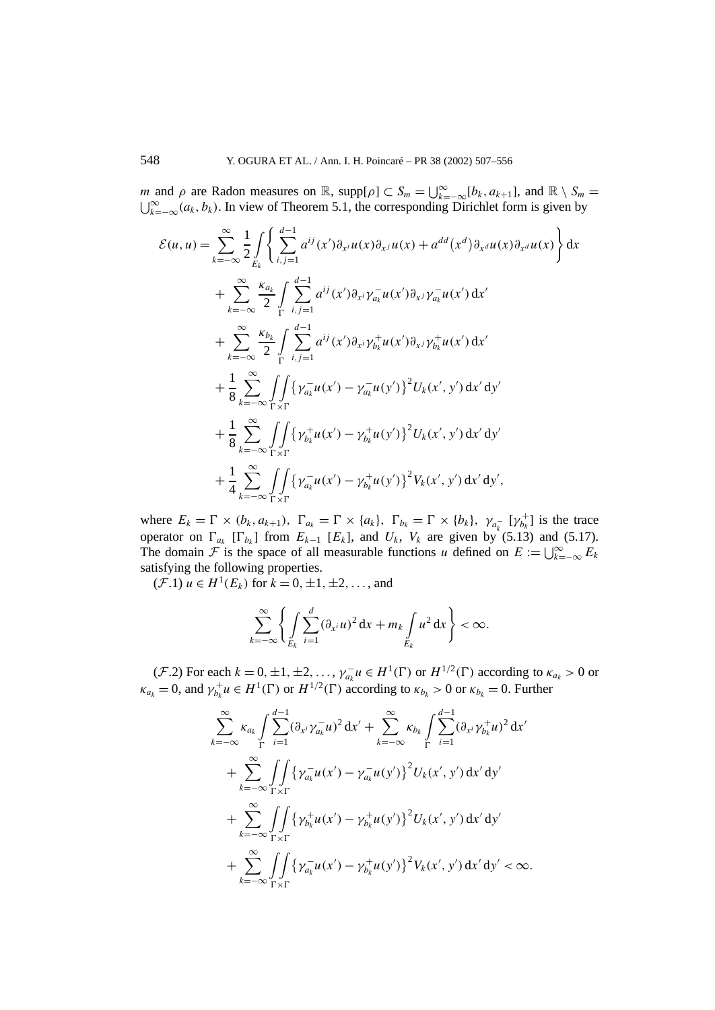*m* and *ρ* are Radon measures on  $\mathbb{R}$ , supp $[\rho] \subset S_m = \bigcup_{k=-\infty}^{\infty} [b_k, a_{k+1}]$ , and  $\mathbb{R} \setminus S_m = \bigcup_{k=-\infty}^{\infty} [a_k, b_k]$ . In view of Theorem 5.1, the corresponding Dirichlet form is given by  $\bigcup_{k=-\infty}^{\infty} (a_k, b_k)$ . In view of Theorem 5.1, the corresponding Dirichlet form is given by

$$
\mathcal{E}(u, u) = \sum_{k=-\infty}^{\infty} \frac{1}{2} \int_{E_k} \left\{ \sum_{i,j=1}^{d-1} a^{ij}(x') \partial_{x^i} u(x) \partial_{x^j} u(x) + a^{dd}(x^d) \partial_{x^d} u(x) \partial_{x^d} u(x) \right\} dx \n+ \sum_{k=-\infty}^{\infty} \frac{\kappa_{a_k}}{2} \int_{\Gamma} \sum_{i,j=1}^{d-1} a^{ij}(x') \partial_{x^i} \gamma_{a_k}^- u(x') \partial_{x^j} \gamma_{a_k}^- u(x') dx' \n+ \sum_{k=-\infty}^{\infty} \frac{\kappa_{b_k}}{2} \int_{\Gamma} \sum_{i,j=1}^{d-1} a^{ij}(x') \partial_{x^i} \gamma_{b_k}^+ u(x') \partial_{x^j} \gamma_{b_k}^+ u(x') dx' \n+ \frac{1}{8} \sum_{k=-\infty}^{\infty} \int_{\Gamma \times \Gamma} \left\{ \gamma_{a_k}^- u(x') - \gamma_{a_k}^- u(y') \right\}^2 U_k(x', y') dx' dy' \n+ \frac{1}{8} \sum_{k=-\infty}^{\infty} \int_{\Gamma \times \Gamma} \left\{ \gamma_{b_k}^+ u(x') - \gamma_{b_k}^+ u(y') \right\}^2 U_k(x', y') dx' dy' \n+ \frac{1}{4} \sum_{k=-\infty}^{\infty} \int_{\Gamma \times \Gamma} \left\{ \gamma_{a_k}^- u(x') - \gamma_{b_k}^+ u(y') \right\}^2 V_k(x', y') dx' dy',
$$

where  $E_k = \Gamma \times (b_k, a_{k+1}), \ \Gamma_{a_k} = \Gamma \times \{a_k\}, \ \Gamma_{b_k} = \Gamma \times \{b_k\}, \ \gamma_{a_k^-} [\gamma_{b_k^+}]$  is the trace operator on  $\Gamma_{a_k}$  [ $\Gamma_{b_k}$ ] from  $E_{k-1}$  [ $E_k$ ], and  $U_k$ ,  $V_k$  are given by (5.13) and (5.17). The domain  $\mathcal{F}$  is the space of all measurable functions *u* defined on  $E := \bigcup_{k=-\infty}^{\infty} E_k$ satisfying the following properties.

 $(\mathcal{F}.1) u \in H^1(E_k)$  for  $k = 0, \pm 1, \pm 2, \ldots$ , and

$$
\sum_{k=-\infty}^{\infty} \left\{ \int\limits_{E_k} \sum_{i=1}^d (\partial_{x^i} u)^2 \, \mathrm{d} x + m_k \int\limits_{E_k} u^2 \, \mathrm{d} x \right\} < \infty.
$$

 $(\mathcal{F}.2)$  For each  $k = 0, \pm 1, \pm 2, \ldots, \gamma_{a_k}^{-1} u \in H^1(\Gamma)$  or  $H^{1/2}(\Gamma)$  according to  $\kappa_{a_k} > 0$  or  $\kappa_{a_k} = 0$ , and  $\gamma_{b_k}^+ u \in H^1(\Gamma)$  or  $H^{1/2}(\Gamma)$  according to  $\kappa_{b_k} > 0$  or  $\kappa_{b_k} = 0$ . Further

$$
\sum_{k=-\infty}^{\infty} \kappa_{a_k} \int_{\Gamma} \sum_{i=1}^{d-1} (\partial_{x^i} \gamma_{a_k}^- u)^2 dx' + \sum_{k=-\infty}^{\infty} \kappa_{b_k} \int_{\Gamma} \sum_{i=1}^{d-1} (\partial_{x^i} \gamma_{b_k}^+ u)^2 dx' \n+ \sum_{k=-\infty}^{\infty} \int_{\Gamma \times \Gamma} \{ \gamma_{a_k}^- u(x') - \gamma_{a_k}^- u(y') \}^2 U_k(x', y') dx' dy' \n+ \sum_{k=-\infty}^{\infty} \int_{\Gamma \times \Gamma} \{ \gamma_{b_k}^+ u(x') - \gamma_{b_k}^+ u(y') \}^2 U_k(x', y') dx' dy' \n+ \sum_{k=-\infty}^{\infty} \int_{\Gamma \times \Gamma} \{ \gamma_{a_k}^- u(x') - \gamma_{b_k}^+ u(y') \}^2 V_k(x', y') dx' dy' < \infty.
$$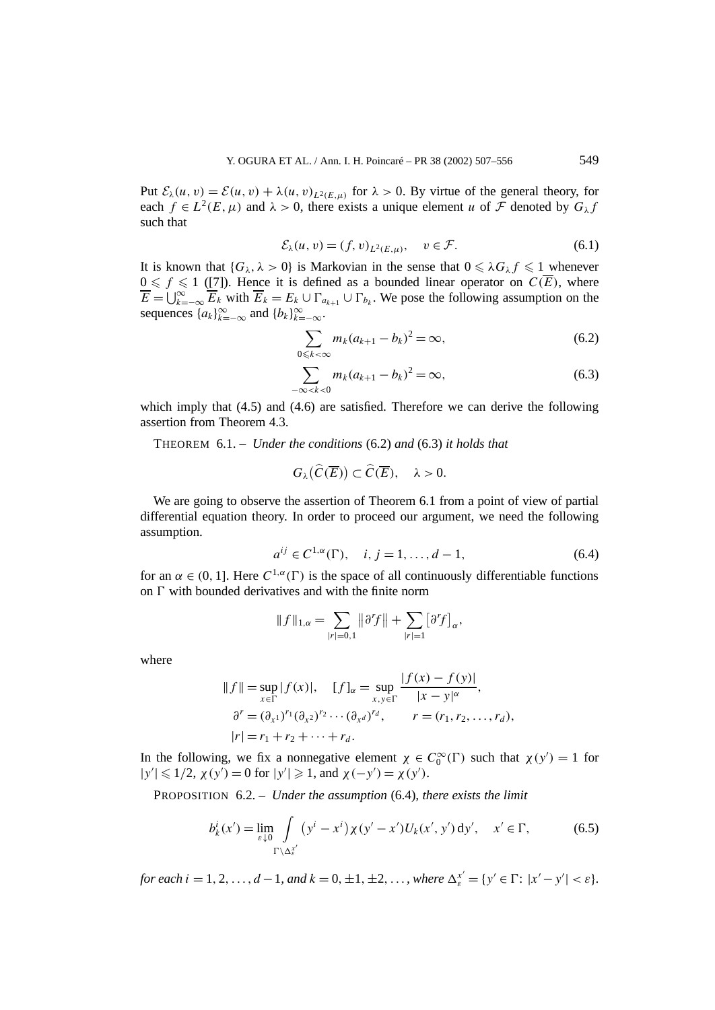Put  $\mathcal{E}_{\lambda}(u, v) = \mathcal{E}(u, v) + \lambda(u, v)_{L^2(F, u)}$  for  $\lambda > 0$ . By virtue of the general theory, for each  $f \in L^2(E, \mu)$  and  $\lambda > 0$ , there exists a unique element *u* of *F* denoted by  $G_\lambda f$ such that

$$
\mathcal{E}_{\lambda}(u,v) = (f,v)_{L^2(E,\mu)}, \quad v \in \mathcal{F}.\tag{6.1}
$$

It is known that  ${G_\lambda, \lambda > 0}$  is Markovian in the sense that  $0 \leq \lambda G_\lambda f \leq 1$  whenever  $0 \leq f \leq 1$  ([7]). Hence it is defined as a bounded linear operator on  $C(\overline{E})$ , where  $\overline{E} = \bigcup_{k=-\infty}^{\infty} \overline{E_k}$  with  $\overline{E}_k = E_k \cup \Gamma_{a_{k+1}} \cup \Gamma_{b_k}$ . We pose the following assumption on the sequences  $\{a_k\}_{k=-\infty}^{\infty}$  and  $\{b_k\}_{k=-\infty}^{\infty}$ .

$$
\sum_{0 \leqslant k < \infty} m_k (a_{k+1} - b_k)^2 = \infty,\tag{6.2}
$$

$$
\sum_{-\infty < k < 0} m_k (a_{k+1} - b_k)^2 = \infty,\tag{6.3}
$$

which imply that  $(4.5)$  and  $(4.6)$  are satisfied. Therefore we can derive the following assertion from Theorem 4.3.

THEOREM 6.1. – *Under the conditions* (6.2) *and* (6.3) *it holds that*

$$
G_{\lambda}(\widehat{C}(\overline{E})) \subset \widehat{C}(\overline{E}), \quad \lambda > 0.
$$

We are going to observe the assertion of Theorem 6.1 from a point of view of partial differential equation theory. In order to proceed our argument, we need the following assumption.

$$
a^{ij} \in C^{1,\alpha}(\Gamma), \quad i, j = 1, \dots, d - 1,\tag{6.4}
$$

for an  $\alpha \in (0, 1]$ . Here  $C^{1, \alpha}(\Gamma)$  is the space of all continuously differentiable functions on  $\Gamma$  with bounded derivatives and with the finite norm

$$
|| f ||_{1,\alpha} = \sum_{|r|=0,1} ||\partial^r f|| + \sum_{|r|=1} [\partial^r f]_{\alpha},
$$

where

$$
|| f || = \sup_{x \in \Gamma} |f(x)|, \quad [f]_{\alpha} = \sup_{x, y \in \Gamma} \frac{|f(x) - f(y)|}{|x - y|^{\alpha}},
$$
  

$$
\partial^{r} = (\partial_{x^{1}})^{r_{1}} (\partial_{x^{2}})^{r_{2}} \cdots (\partial_{x^{d}})^{r_{d}}, \qquad r = (r_{1}, r_{2}, \dots, r_{d}),
$$
  

$$
|r| = r_{1} + r_{2} + \cdots + r_{d}.
$$

In the following, we fix a nonnegative element  $\chi \in C_0^{\infty}(\Gamma)$  such that  $\chi(y') = 1$  for  $|y'| \le 1/2$ ,  $\chi(y') = 0$  for  $|y'| \ge 1$ , and  $\chi(-y') = \chi(y')$ .

PROPOSITION 6.2. – *Under the assumption* (6.4)*, there exists the limit*

$$
b_k^i(x') = \lim_{\varepsilon \downarrow 0} \int_{\Gamma \backslash \Delta_{\varepsilon}^{x'}} (y^i - x^i) \chi(y' - x') U_k(x', y') \, dy', \quad x' \in \Gamma,
$$
 (6.5)

*for each*  $i = 1, 2, ..., d - 1$ *, and*  $k = 0, \pm 1, \pm 2, ...,$  *where*  $\Delta_{\varepsilon}^{x'} = \{y' \in \Gamma : |x' - y'| < \varepsilon\}$ *.*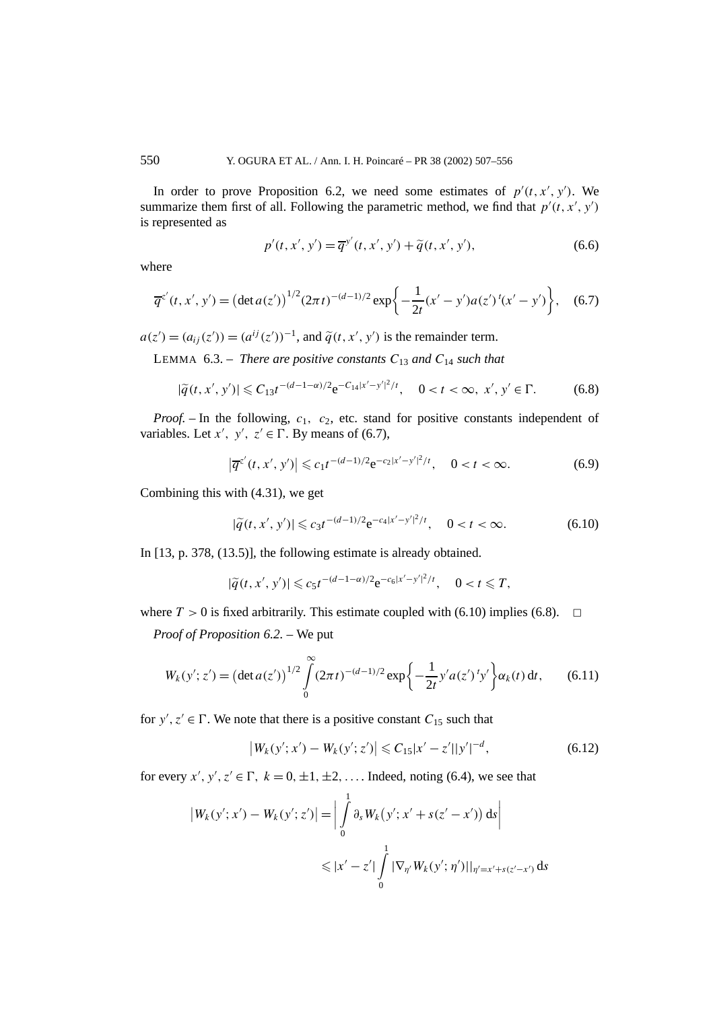In order to prove Proposition 6.2, we need some estimates of  $p'(t, x', y')$ . We summarize them first of all. Following the parametric method, we find that  $p'(t, x', y')$ is represented as

$$
p'(t, x', y') = \overline{q}^{y'}(t, x', y') + \widetilde{q}(t, x', y'),
$$
\n(6.6)

where

$$
\overline{q}^{z'}(t, x', y') = \left(\det a(z')\right)^{1/2} (2\pi t)^{-(d-1)/2} \exp\left\{-\frac{1}{2t}(x' - y')a(z')^t(x' - y')\right\},\tag{6.7}
$$

 $a(z') = (a_{ij}(z')) = (a^{ij}(z'))^{-1}$ , and  $\tilde{q}(t, x', y')$  is the remainder term.

LEMMA 6.3. – *There are positive constants*  $C_{13}$  *and*  $C_{14}$  *such that* 

$$
|\tilde{q}(t, x', y')| \leq C_{13} t^{-(d-1-\alpha)/2} e^{-C_{14}|x'-y'|^2/t}, \quad 0 < t < \infty, \ x', y' \in \Gamma.
$$
 (6.8)

*Proof.* – In the following,  $c_1$ ,  $c_2$ , etc. stand for positive constants independent of variables. Let *x'*, *y'*,  $z' \in \Gamma$ . By means of (6.7),

$$
\left|\overline{q}^{z'}(t, x', y')\right| \leqslant c_1 t^{-(d-1)/2} e^{-c_2 |x'-y'|^2/t}, \quad 0 < t < \infty.
$$
 (6.9)

Combining this with (4.31), we get

$$
|\widetilde{q}(t, x', y')| \leq c_3 t^{-(d-1)/2} e^{-c_4 |x'-y'|^2/t}, \quad 0 < t < \infty.
$$
 (6.10)

In [13, p. 378, (13.5)], the following estimate is already obtained.

$$
|\tilde{q}(t, x', y')| \leq c_5 t^{-(d-1-\alpha)/2} e^{-c_6 |x'-y'|^2/t}, \quad 0 < t \leq T,
$$

where  $T > 0$  is fixed arbitrarily. This estimate coupled with (6.10) implies (6.8).  $\Box$ 

*Proof of Proposition 6.2. –* We put

$$
W_k(y'; z') = \left(\det a(z')\right)^{1/2} \int_0^\infty (2\pi t)^{-(d-1)/2} \exp\left\{-\frac{1}{2t}y'a(z')\,t\,y'\right\} \alpha_k(t) \,dt,\tag{6.11}
$$

for  $y'$ ,  $z' \in \Gamma$ . We note that there is a positive constant  $C_{15}$  such that

$$
\left|W_k(y';x') - W_k(y';z')\right| \leqslant C_{15}|x'-z'||y'|^{-d},\tag{6.12}
$$

for every  $x'$ ,  $y'$ ,  $z' \in \Gamma$ ,  $k = 0, \pm 1, \pm 2, \ldots$  Indeed, noting (6.4), we see that

$$
\begin{aligned} \left| W_k(y'; x') - W_k(y'; z') \right| &= \left| \int_0^1 \partial_s W_k(y'; x' + s(z' - x')) \, \mathrm{d}s \right| \\ &\leqslant |x' - z'| \int_0^1 |\nabla_{\eta'} W_k(y'; \, \eta')|_{\eta' = x' + s(z' - x')} \, \mathrm{d}s \end{aligned}
$$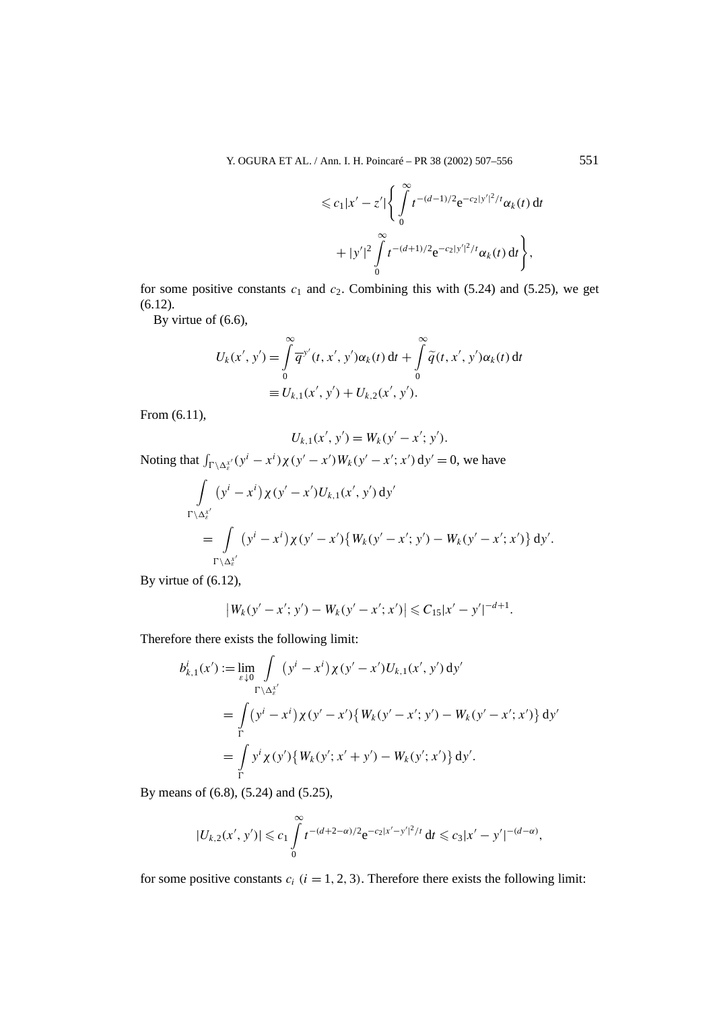$$
\leq c_1 |x'-z'| \Bigg\{ \int\limits_0^\infty t^{-(d-1)/2} e^{-c_2 |y'|^2/t} \alpha_k(t) dt + |y'|^2 \int\limits_0^\infty t^{-(d+1)/2} e^{-c_2 |y'|^2/t} \alpha_k(t) dt \Bigg\},
$$

for some positive constants  $c_1$  and  $c_2$ . Combining this with (5.24) and (5.25), we get (6.12).

By virtue of (6.6),

$$
U_k(x', y') = \int_{0}^{\infty} \overline{q}^{y'}(t, x', y') \alpha_k(t) dt + \int_{0}^{\infty} \widetilde{q}(t, x', y') \alpha_k(t) dt
$$
  

$$
\equiv U_{k,1}(x', y') + U_{k,2}(x', y').
$$

From (6.11),

$$
U_{k,1}(x',y') = W_k(y'-x';y').
$$

Noting that  $\int_{\Gamma \setminus \Delta_{\varepsilon}^{x'}} (y^{i} - x^{i}) \chi(y' - x') W_{k}(y' - x'; x') dy' = 0$ , we have

$$
\int_{\Gamma \backslash \Delta_{\varepsilon}^{x'}} (y^{i} - x^{i}) \chi(y' - x') U_{k,1}(x', y') dy' \n= \int_{\Gamma \backslash \Delta_{\varepsilon}^{x'}} (y^{i} - x^{i}) \chi(y' - x') \{ W_{k}(y' - x'; y') - W_{k}(y' - x'; x') \} dy'.
$$

By virtue of (6.12),

$$
|W_k(y'-x';y')-W_k(y'-x';x')|\leqslant C_{15}|x'-y'|^{-d+1}.
$$

Therefore there exists the following limit:

$$
b_{k,1}^{i}(x') := \lim_{\varepsilon \downarrow 0} \int_{\Gamma \setminus \Delta_{\varepsilon}^{x'}} (y^{i} - x^{i}) \chi(y' - x') U_{k,1}(x', y') dy'
$$
  
= 
$$
\int_{\Gamma} (y^{i} - x^{i}) \chi(y' - x') \{ W_{k}(y' - x'; y') - W_{k}(y' - x'; x') \} dy'
$$
  
= 
$$
\int_{\Gamma} y^{i} \chi(y') \{ W_{k}(y'; x' + y') - W_{k}(y'; x') \} dy'.
$$

By means of (6.8), (5.24) and (5.25),

$$
|U_{k,2}(x',y')| \leqslant c_1 \int\limits_0^\infty t^{-(d+2-\alpha)/2} e^{-c_2|x'-y'|^2/t} dt \leqslant c_3 |x'-y'|^{-(d-\alpha)},
$$

for some positive constants  $c_i$  ( $i = 1, 2, 3$ ). Therefore there exists the following limit: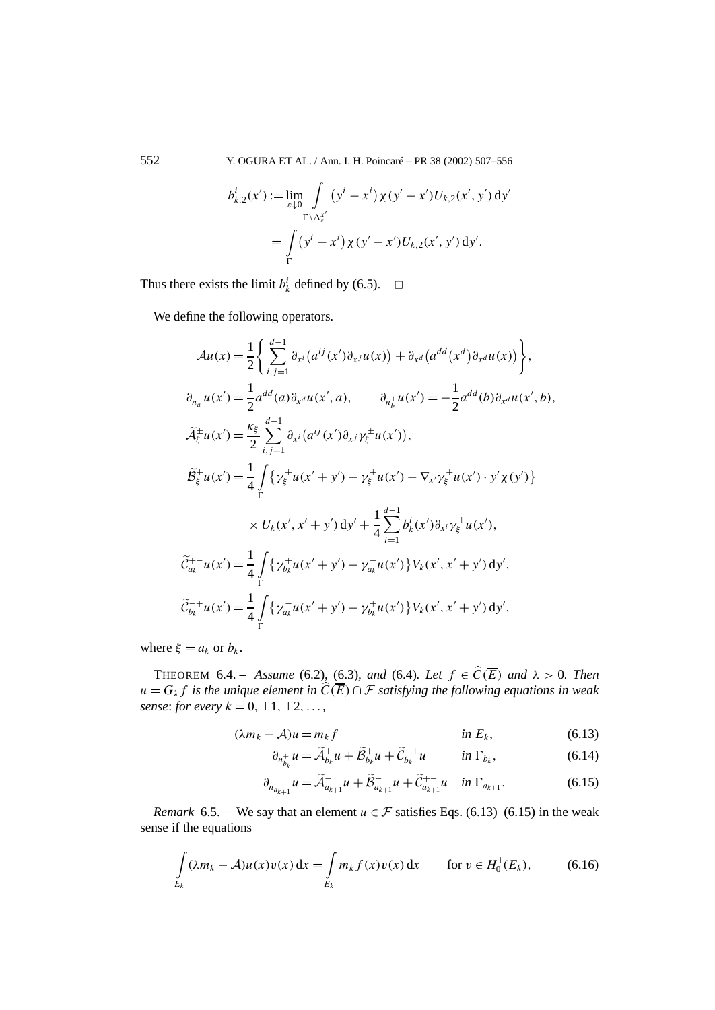552 Y. OGURA ET AL. / Ann. I. H. Poincaré – PR 38 (2002) 507–556

$$
b_{k,2}^i(x') := \lim_{\varepsilon \downarrow 0} \int_{\Gamma \backslash \Delta_{\varepsilon}^{x'}} (y^i - x^i) \chi(y' - x') U_{k,2}(x', y') \, dy' = \int_{\Gamma} (y^i - x^i) \chi(y' - x') U_{k,2}(x', y') \, dy'.
$$

Thus there exists the limit  $b^i_k$  defined by (6.5).  $\Box$ 

We define the following operators.

$$
\mathcal{A}u(x) = \frac{1}{2} \Biggl\{ \sum_{i,j=1}^{d-1} \partial_{x^i} (a^{ij}(x') \partial_{x^j} u(x)) + \partial_{x^d} (a^{dd}(x^d) \partial_{x^d} u(x)) \Biggr\},
$$
  
\n
$$
\partial_{\eta_a^-} u(x') = \frac{1}{2} a^{dd}(a) \partial_{x^d} u(x', a), \qquad \partial_{\eta_b^+} u(x') = -\frac{1}{2} a^{dd}(b) \partial_{x^d} u(x', b),
$$
  
\n
$$
\widetilde{\mathcal{A}}_{\xi}^{\pm} u(x') = \frac{\kappa_{\xi}}{2} \sum_{i,j=1}^{d-1} \partial_{x^i} (a^{ij}(x') \partial_{x^j} \gamma_{\xi}^{\pm} u(x'),
$$
  
\n
$$
\widetilde{\mathcal{B}}_{\xi}^{\pm} u(x') = \frac{1}{4} \int_{\Gamma} \{ \gamma_{\xi}^{\pm} u(x' + y') - \gamma_{\xi}^{\pm} u(x') - \nabla_{x'} \gamma_{\xi}^{\pm} u(x') \cdot y' \chi(y') \} \times U_k(x', x' + y') dy' + \frac{1}{4} \sum_{i=1}^{d-1} b^i_k(x') \partial_{x^i} \gamma_{\xi}^{\pm} u(x'),
$$
  
\n
$$
\widetilde{\mathcal{C}}_{a_k}^{+-} u(x') = \frac{1}{4} \int_{\Gamma} \{ \gamma_{b_k}^{\pm} u(x' + y') - \gamma_{a_k}^- u(x') \} V_k(x', x' + y') dy',
$$
  
\n
$$
\widetilde{\mathcal{C}}_{b_k}^{-+} u(x') = \frac{1}{4} \int_{\Gamma} \{ \gamma_{a_k}^- u(x' + y') - \gamma_{b_k}^+ u(x') \} V_k(x', x' + y') dy',
$$

where  $\xi = a_k$  or  $b_k$ .

THEOREM 6.4. – *Assume* (6.2), (6.3)*, and* (6.4)*. Let*  $f \in \widehat{C(E)}$  *and*  $\lambda > 0$ *. Then*  $u = G_{\lambda} f$  *is the unique element in*  $\widehat{C(E)} \cap \mathcal{F}$  *satisfying the following equations in weak sense: for every*  $k = 0, \pm 1, \pm 2, \ldots$ 

$$
(\lambda m_k - A)u = m_k f \qquad \qquad \text{in } E_k,\tag{6.13}
$$

$$
\partial_{n_{b_k}^+} u = \widetilde{\mathcal{A}}_{b_k}^+ u + \widetilde{\mathcal{B}}_{b_k}^+ u + \widetilde{\mathcal{C}}_{b_k}^{-+} u \qquad in \ \Gamma_{b_k}, \tag{6.14}
$$

$$
\partial_{n_{a_{k+1}}^-} u = \tilde{\mathcal{A}}_{a_{k+1}}^- u + \tilde{\mathcal{B}}_{a_{k+1}}^- u + \tilde{\mathcal{C}}_{a_{k+1}}^{+-} u \quad \text{in } \Gamma_{a_{k+1}}.
$$
 (6.15)

*Remark* 6.5. – We say that an element  $u \in \mathcal{F}$  satisfies Eqs. (6.13)–(6.15) in the weak sense if the equations

$$
\int_{E_k} (\lambda m_k - A) u(x) v(x) dx = \int_{E_k} m_k f(x) v(x) dx \quad \text{for } v \in H_0^1(E_k), \tag{6.16}
$$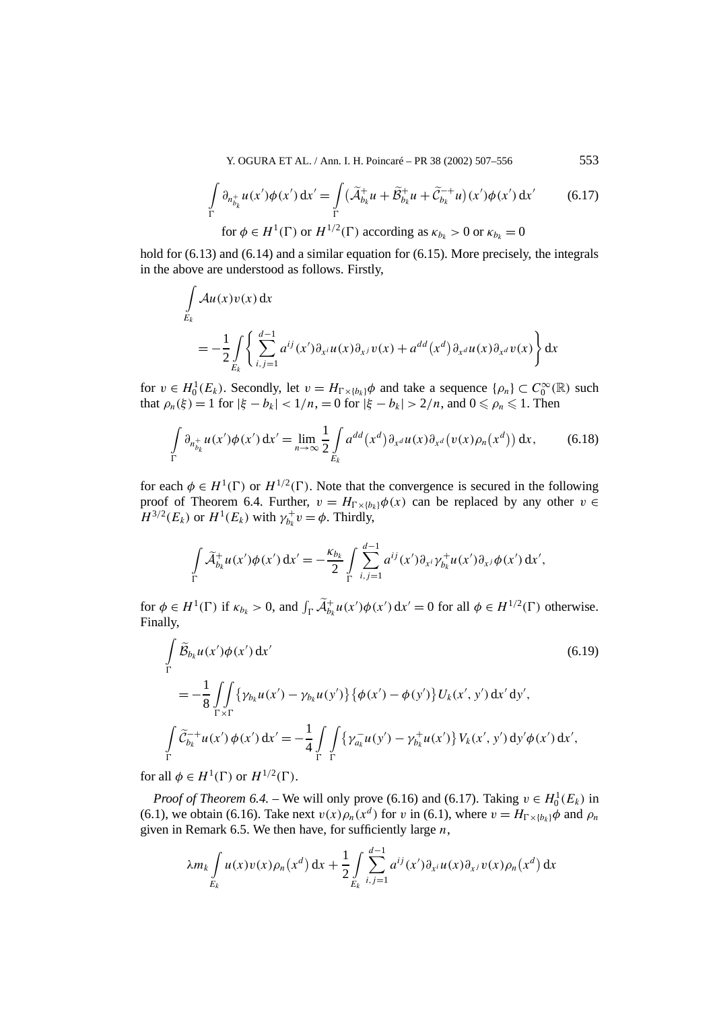Y. OGURA ET AL. / Ann. I. H. Poincaré – PR 38 (2002) 507–556 553

$$
\int_{\Gamma} \partial_{n_{b_k}^+} u(x') \phi(x') dx' = \int_{\Gamma} (\widetilde{\mathcal{A}}_{b_k}^+ u + \widetilde{\mathcal{B}}_{b_k}^+ u + \widetilde{\mathcal{C}}_{b_k}^{-+} u)(x') \phi(x') dx' \qquad (6.17)
$$
  
for  $\phi \in H^1(\Gamma)$  or  $H^{1/2}(\Gamma)$  according as  $\kappa_{b_k} > 0$  or  $\kappa_{b_k} = 0$ 

hold for  $(6.13)$  and  $(6.14)$  and a similar equation for  $(6.15)$ . More precisely, the integrals in the above are understood as follows. Firstly,

$$
\int_{E_k} Au(x)v(x) dx
$$
\n
$$
= -\frac{1}{2} \int_{E_k} \left\{ \sum_{i,j=1}^{d-1} a^{ij}(x') \partial_{x^i} u(x) \partial_{x^j} v(x) + a^{dd}(x^d) \partial_{x^d} u(x) \partial_{x^d} v(x) \right\} dx
$$

for  $v \in H_0^1(E_k)$ . Secondly, let  $v = H_{\Gamma \times \{b_k\}}\phi$  and take a sequence  $\{\rho_n\} \subset C_0^{\infty}(\mathbb{R})$  such that  $\rho_n(\xi) = 1$  for  $|\xi - b_k| < 1/n$ ,  $= 0$  for  $|\xi - b_k| > 2/n$ , and  $0 \le \rho_n \le 1$ . Then

$$
\int\limits_{\Gamma} \partial_{n_{b_k}^+} u(x') \phi(x') dx' = \lim_{n \to \infty} \frac{1}{2} \int\limits_{E_k} a^{dd}(x^d) \partial_{x^d} u(x) \partial_{x^d} (v(x) \rho_n(x^d)) dx, \tag{6.18}
$$

for each  $\phi \in H^1(\Gamma)$  or  $H^{1/2}(\Gamma)$ . Note that the convergence is secured in the following proof of Theorem 6.4. Further,  $v = H_{\Gamma \times \{b_k\}} \phi(x)$  can be replaced by any other  $v \in$  $H^{3/2}(E_k)$  or  $H^1(E_k)$  with  $\gamma_{b_k}^+ v = \phi$ . Thirdly,

$$
\int\limits_{\Gamma} \widetilde{\mathcal{A}}_{b_k}^+ u(x') \phi(x') dx' = -\frac{\kappa_{b_k}}{2} \int\limits_{\Gamma} \sum_{i,j=1}^{d-1} a^{ij}(x') \partial_{x^i} \gamma_{b_k}^+ u(x') \partial_{x^j} \phi(x') dx',
$$

for  $\phi \in H^1(\Gamma)$  if  $\kappa_{b_k} > 0$ , and  $\int_{\Gamma} \widetilde{\mathcal{A}}_{b_k}^+ u(x') \phi(x') dx' = 0$  for all  $\phi \in H^{1/2}(\Gamma)$  otherwise. Finally,

$$
\int_{\Gamma} \widetilde{\mathcal{B}}_{b_k} u(x') \phi(x') dx' \qquad (6.19)
$$
\n
$$
= -\frac{1}{8} \int_{\Gamma \times \Gamma} \{ \gamma_{b_k} u(x') - \gamma_{b_k} u(y') \} \{ \phi(x') - \phi(y') \} U_k(x', y') dx' dy',
$$
\n
$$
\int_{\Gamma} \widetilde{\mathcal{C}}_{b_k}^{-+} u(x') \phi(x') dx' = -\frac{1}{4} \int_{\Gamma} \int_{\Gamma} \{ \gamma_{a_k}^{-} u(y') - \gamma_{b_k}^{+} u(x') \} V_k(x', y') dy' \phi(x') dx',
$$

for all  $\phi \in H^1(\Gamma)$  or  $H^{1/2}(\Gamma)$ .

*Proof of Theorem 6.4.* – We will only prove (6.16) and (6.17). Taking  $v \in H_0^1(E_k)$  in (6.1), we obtain (6.16). Take next  $v(x)\rho_n(x^d)$  for *v* in (6.1), where  $v = H_{\Gamma\times\{b_k\}}\phi$  and  $\rho_n$ given in Remark 6.5. We then have, for sufficiently large *n*,

$$
\lambda m_k \int\limits_{E_k} u(x) v(x) \rho_n(x^d) dx + \frac{1}{2} \int\limits_{E_k} \sum_{i,j=1}^{d-1} a^{ij}(x') \partial_{x^i} u(x) \partial_{x^j} v(x) \rho_n(x^d) dx
$$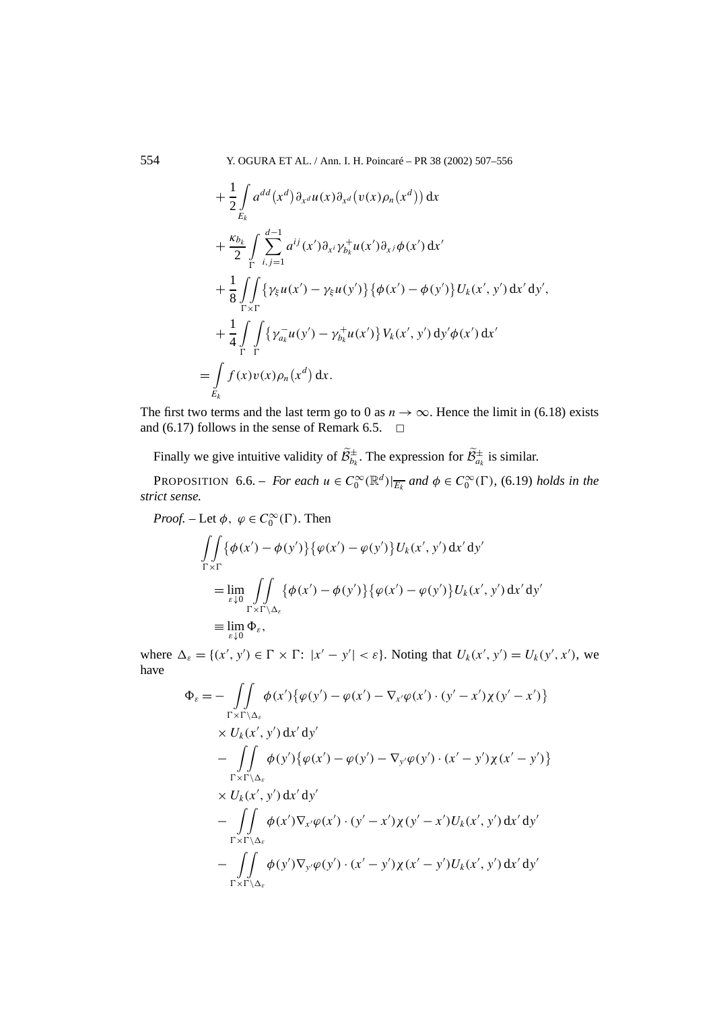554 Y. OGURA ET AL. / Ann. I. H. Poincaré – PR 38 (2002) 507–556

$$
+\frac{1}{2}\int_{E_k} a^{dd}(x^d)\partial_{x^d}u(x)\partial_{x^d}(v(x)\rho_n(x^d)) dx
$$
  
+
$$
\frac{\kappa_{b_k}}{2}\int_{\Gamma} \sum_{i,j=1}^{d-1} a^{ij}(x')\partial_{x^i}\gamma_{b_k}^+u(x')\partial_{x^j}\phi(x') dx'
$$
  
+
$$
\frac{1}{8}\int_{\Gamma\times\Gamma} \{\gamma_{\xi}u(x')-\gamma_{\xi}u(y')\}\{\phi(x')-\phi(y')\}U_k(x',y') dx'dy',
$$
  
+
$$
\frac{1}{4}\int_{\Gamma} \int_{\Gamma} \{\gamma_{a_k}^-u(y')-\gamma_{b_k}^+u(x')\}V_k(x',y') dy'\phi(x') dx'
$$
  
=
$$
\int_{E_k} f(x)v(x)\rho_n(x^d) dx.
$$

The first two terms and the last term go to 0 as  $n \to \infty$ . Hence the limit in (6.18) exists and (6.17) follows in the sense of Remark 6.5.  $\Box$ 

Finally we give intuitive validity of  $\widetilde{\mathcal{B}}_{b_k}^{\pm}$ . The expression for  $\widetilde{\mathcal{B}}_{a_k}^{\pm}$  is similar.

PROPOSITION 6.6. – *For each*  $u \in C_0^{\infty}(\mathbb{R}^d)|_{\overline{E_k}}$  *and*  $\phi \in C_0^{\infty}(\Gamma)$ , (6.19) *holds in the strict sense.*

*Proof.* – Let  $\phi$ ,  $\varphi \in C_0^{\infty}(\Gamma)$ . Then  $\int$  $\Gamma \times \Gamma$  $\{\phi(x') - \phi(y')\} \{\phi(x') - \phi(y')\} U_k(x', y') dx' dy'$ = lim *ε*↓0  $\int$  $\Gamma \times \Gamma \backslash \Delta_{\varepsilon}$  $\{\phi(x') - \phi(y')\} \{\phi(x') - \phi(y')\} U_k(x', y') dx' dy'$  $\equiv \lim_{\varepsilon \downarrow 0} \Phi_{\varepsilon},$ 

where  $\Delta_{\varepsilon} = \{(x', y') \in \Gamma \times \Gamma : |x' - y'| < \varepsilon\}$ . Noting that  $U_k(x', y') = U_k(y', x')$ , we have

$$
\Phi_{\varepsilon} = -\iint\limits_{\Gamma \times \Gamma \backslash \Delta_{\varepsilon}} \phi(x') \{ \varphi(y') - \varphi(x') - \nabla_{x'} \varphi(x') \cdot (y' - x') \chi(y' - x') \} \times U_k(x', y') dx' dy' \n- \iint\limits_{\Gamma \times \Gamma \backslash \Delta_{\varepsilon}} \phi(y') \{ \varphi(x') - \varphi(y') - \nabla_{y'} \varphi(y') \cdot (x' - y') \chi(x' - y') \} \times U_k(x', y') dx' dy' \n- \iint\limits_{\Gamma \times \Gamma \backslash \Delta_{\varepsilon}} \phi(x') \nabla_{x'} \varphi(x') \cdot (y' - x') \chi(y' - x') U_k(x', y') dx' dy' \n- \iint\limits_{\Gamma \times \Gamma \backslash \Delta_{\varepsilon}} \phi(y') \nabla_{y'} \varphi(y') \cdot (x' - y') \chi(x' - y') U_k(x', y') dx' dy' \n\Gamma \times \Gamma \backslash \Delta_{\varepsilon}
$$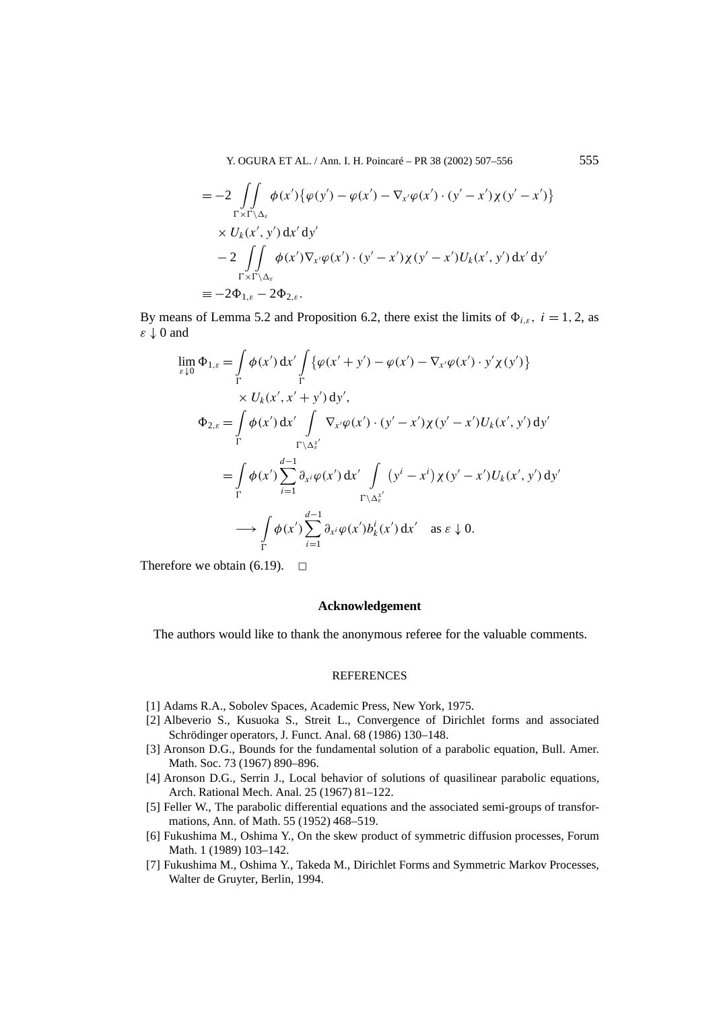Y. OGURA ET AL. / Ann. I. H. Poincaré – PR 38 (2002) 507–556 555

$$
= -2 \iint_{\Gamma \times \Gamma \backslash \Delta_{\varepsilon}} \phi(x') \{ \varphi(y') - \varphi(x') - \nabla_{x'} \varphi(x') \cdot (y' - x') \chi(y' - x') \} \times U_k(x', y') dx' dy' - 2 \iint_{\Gamma \times \Gamma \backslash \Delta_{\varepsilon}} \phi(x') \nabla_{x'} \varphi(x') \cdot (y' - x') \chi(y' - x') U_k(x', y') dx' dy' \n= -2\Phi_{1,\varepsilon} - 2\Phi_{2,\varepsilon}.
$$

By means of Lemma 5.2 and Proposition 6.2, there exist the limits of  $\Phi_{i,\varepsilon}$ ,  $i = 1, 2$ , as *ε* ↓ 0 and

$$
\lim_{\varepsilon \downarrow 0} \Phi_{1,\varepsilon} = \int_{\Gamma} \phi(x') dx' \int_{\Gamma} \{ \varphi(x' + y') - \varphi(x') - \nabla_{x'} \varphi(x') \cdot y' \chi(y') \}
$$
\n
$$
\times U_k(x', x' + y') dy',
$$
\n
$$
\Phi_{2,\varepsilon} = \int_{\Gamma} \phi(x') dx' \int_{\Gamma \setminus \Delta_{\varepsilon}^{x'}} \nabla_{x'} \varphi(x') \cdot (y' - x') \chi(y' - x') U_k(x', y') dy'
$$
\n
$$
= \int_{\Gamma} \phi(x') \sum_{i=1}^{d-1} \partial_{x^i} \varphi(x') dx' \int_{\Gamma \setminus \Delta_{\varepsilon}^{x'}} (y^i - x^i) \chi(y' - x') U_k(x', y') dy'
$$
\n
$$
\longrightarrow \int_{\Gamma} \phi(x') \sum_{i=1}^{d-1} \partial_{x^i} \varphi(x') b_k(x') dx' \text{ as } \varepsilon \downarrow 0.
$$

Therefore we obtain (6.19).  $\Box$ 

# **Acknowledgement**

The authors would like to thank the anonymous referee for the valuable comments.

#### **REFERENCES**

- [1] Adams R.A., Sobolev Spaces, Academic Press, New York, 1975.
- [2] Albeverio S., Kusuoka S., Streit L., Convergence of Dirichlet forms and associated Schrödinger operators, J. Funct. Anal. 68 (1986) 130–148.
- [3] Aronson D.G., Bounds for the fundamental solution of a parabolic equation, Bull. Amer. Math. Soc. 73 (1967) 890–896.
- [4] Aronson D.G., Serrin J., Local behavior of solutions of quasilinear parabolic equations, Arch. Rational Mech. Anal. 25 (1967) 81–122.
- [5] Feller W., The parabolic differential equations and the associated semi-groups of transformations, Ann. of Math. 55 (1952) 468–519.
- [6] Fukushima M., Oshima Y., On the skew product of symmetric diffusion processes, Forum Math. 1 (1989) 103–142.
- [7] Fukushima M., Oshima Y., Takeda M., Dirichlet Forms and Symmetric Markov Processes, Walter de Gruyter, Berlin, 1994.